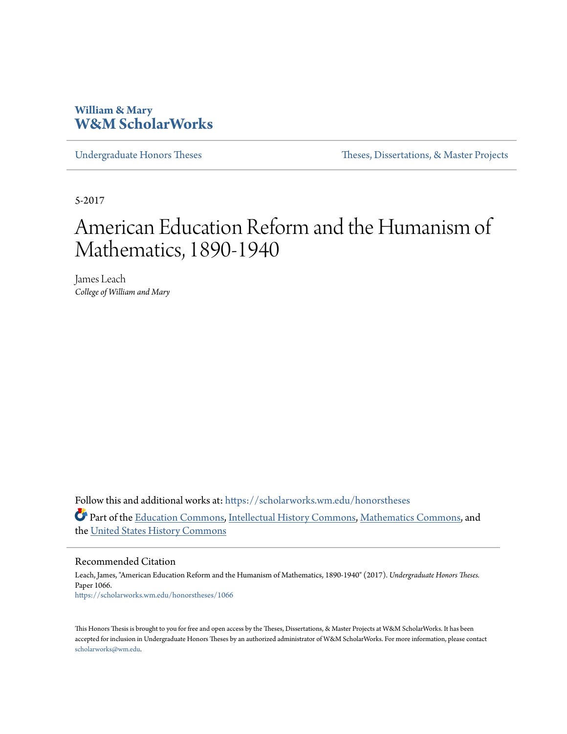# **William & Mary [W&M ScholarWorks](https://scholarworks.wm.edu?utm_source=scholarworks.wm.edu%2Fhonorstheses%2F1066&utm_medium=PDF&utm_campaign=PDFCoverPages)**

[Undergraduate Honors Theses](https://scholarworks.wm.edu/honorstheses?utm_source=scholarworks.wm.edu%2Fhonorstheses%2F1066&utm_medium=PDF&utm_campaign=PDFCoverPages) Theses [Theses, Dissertations, & Master Projects](https://scholarworks.wm.edu/etds?utm_source=scholarworks.wm.edu%2Fhonorstheses%2F1066&utm_medium=PDF&utm_campaign=PDFCoverPages)

5-2017

# American Education Reform and the Humanism of Mathematics, 1890-1940

James Leach *College of William and Mary*

Follow this and additional works at: [https://scholarworks.wm.edu/honorstheses](https://scholarworks.wm.edu/honorstheses?utm_source=scholarworks.wm.edu%2Fhonorstheses%2F1066&utm_medium=PDF&utm_campaign=PDFCoverPages) Part of the [Education Commons](http://network.bepress.com/hgg/discipline/784?utm_source=scholarworks.wm.edu%2Fhonorstheses%2F1066&utm_medium=PDF&utm_campaign=PDFCoverPages), [Intellectual History Commons](http://network.bepress.com/hgg/discipline/501?utm_source=scholarworks.wm.edu%2Fhonorstheses%2F1066&utm_medium=PDF&utm_campaign=PDFCoverPages), [Mathematics Commons,](http://network.bepress.com/hgg/discipline/174?utm_source=scholarworks.wm.edu%2Fhonorstheses%2F1066&utm_medium=PDF&utm_campaign=PDFCoverPages) and the [United States History Commons](http://network.bepress.com/hgg/discipline/495?utm_source=scholarworks.wm.edu%2Fhonorstheses%2F1066&utm_medium=PDF&utm_campaign=PDFCoverPages)

#### Recommended Citation

Leach, James, "American Education Reform and the Humanism of Mathematics, 1890-1940" (2017). *Undergraduate Honors Theses.* Paper 1066. [https://scholarworks.wm.edu/honorstheses/1066](https://scholarworks.wm.edu/honorstheses/1066?utm_source=scholarworks.wm.edu%2Fhonorstheses%2F1066&utm_medium=PDF&utm_campaign=PDFCoverPages)

This Honors Thesis is brought to you for free and open access by the Theses, Dissertations, & Master Projects at W&M ScholarWorks. It has been accepted for inclusion in Undergraduate Honors Theses by an authorized administrator of W&M ScholarWorks. For more information, please contact [scholarworks@wm.edu](mailto:scholarworks@wm.edu).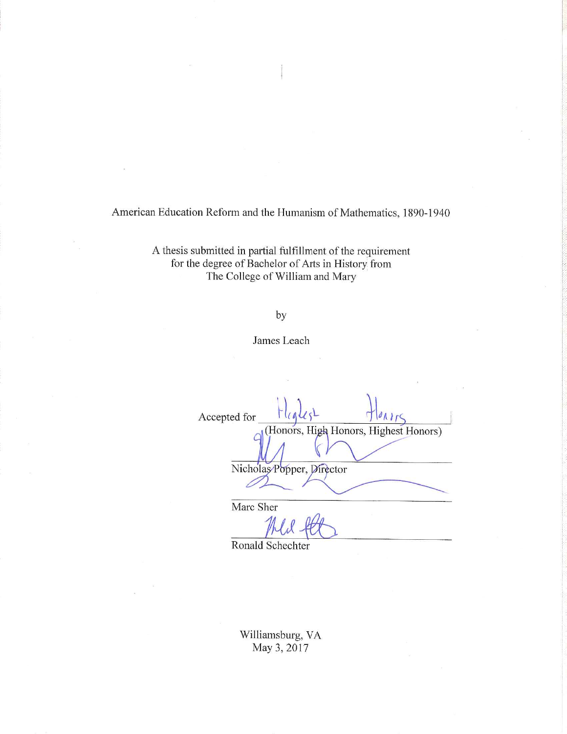American Education Reform and the Humanism of Mathematics, 1890-1940

A thesis submitted in partial fulfillment of the requirement for the degree of Bachelor of Arts in History from The College of William and Mary

## by

James Leach

Accepted for (Honors, High Honors, Highest Honors) Nicholas Popper, Director Marc Sher

Ronald Schechter

Williamsburg, VA May 3, 2017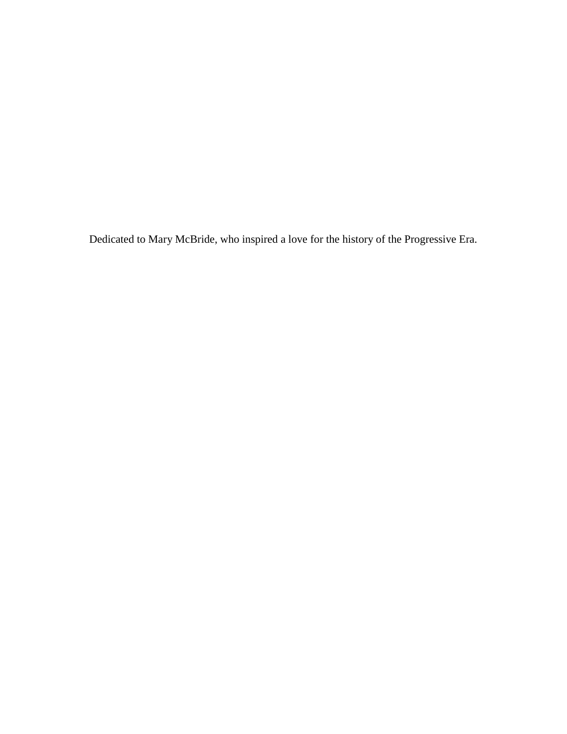Dedicated to Mary McBride, who inspired a love for the history of the Progressive Era.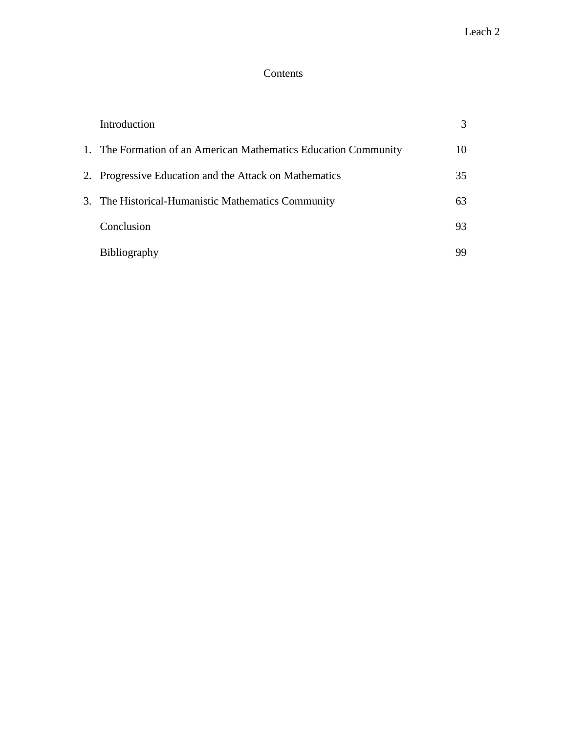## Contents

| Introduction                                                    | 3  |
|-----------------------------------------------------------------|----|
| 1. The Formation of an American Mathematics Education Community | 10 |
| 2. Progressive Education and the Attack on Mathematics          | 35 |
| 3. The Historical-Humanistic Mathematics Community              | 63 |
| Conclusion                                                      | 93 |
| <b>Bibliography</b>                                             | 99 |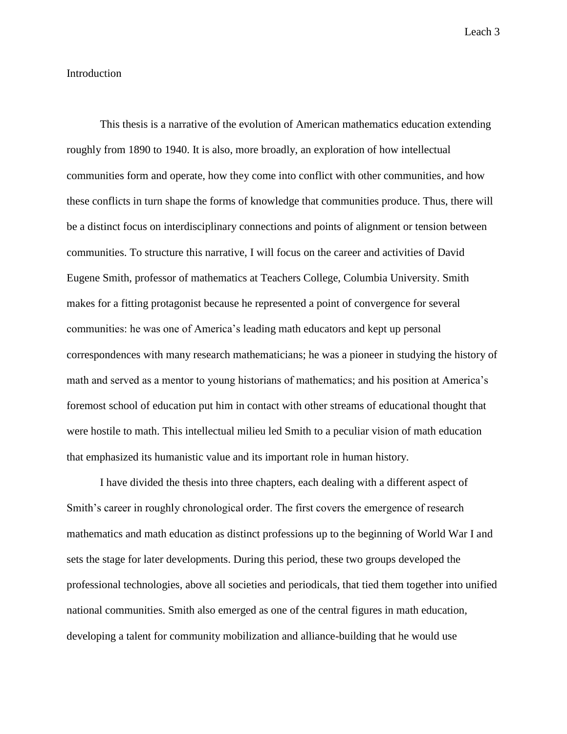### Introduction

This thesis is a narrative of the evolution of American mathematics education extending roughly from 1890 to 1940. It is also, more broadly, an exploration of how intellectual communities form and operate, how they come into conflict with other communities, and how these conflicts in turn shape the forms of knowledge that communities produce. Thus, there will be a distinct focus on interdisciplinary connections and points of alignment or tension between communities. To structure this narrative, I will focus on the career and activities of David Eugene Smith, professor of mathematics at Teachers College, Columbia University. Smith makes for a fitting protagonist because he represented a point of convergence for several communities: he was one of America's leading math educators and kept up personal correspondences with many research mathematicians; he was a pioneer in studying the history of math and served as a mentor to young historians of mathematics; and his position at America's foremost school of education put him in contact with other streams of educational thought that were hostile to math. This intellectual milieu led Smith to a peculiar vision of math education that emphasized its humanistic value and its important role in human history.

I have divided the thesis into three chapters, each dealing with a different aspect of Smith's career in roughly chronological order. The first covers the emergence of research mathematics and math education as distinct professions up to the beginning of World War I and sets the stage for later developments. During this period, these two groups developed the professional technologies, above all societies and periodicals, that tied them together into unified national communities. Smith also emerged as one of the central figures in math education, developing a talent for community mobilization and alliance-building that he would use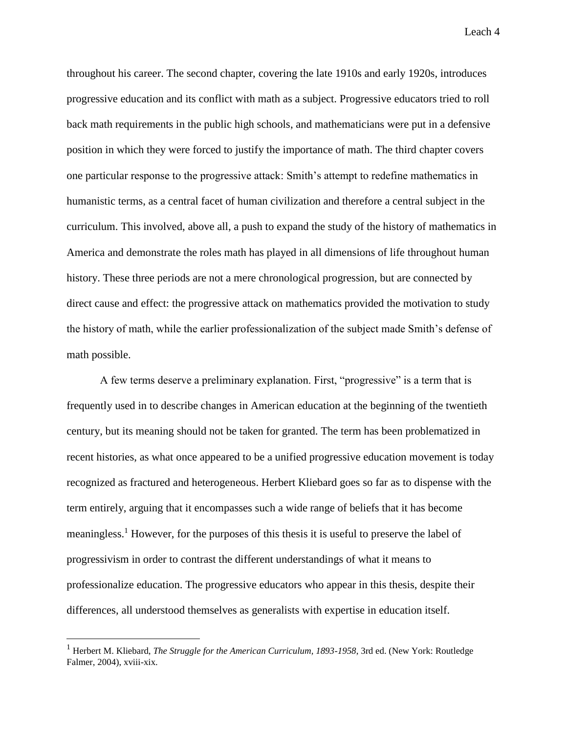throughout his career. The second chapter, covering the late 1910s and early 1920s, introduces progressive education and its conflict with math as a subject. Progressive educators tried to roll back math requirements in the public high schools, and mathematicians were put in a defensive position in which they were forced to justify the importance of math. The third chapter covers one particular response to the progressive attack: Smith's attempt to redefine mathematics in humanistic terms, as a central facet of human civilization and therefore a central subject in the curriculum. This involved, above all, a push to expand the study of the history of mathematics in America and demonstrate the roles math has played in all dimensions of life throughout human history. These three periods are not a mere chronological progression, but are connected by direct cause and effect: the progressive attack on mathematics provided the motivation to study the history of math, while the earlier professionalization of the subject made Smith's defense of math possible.

A few terms deserve a preliminary explanation. First, "progressive" is a term that is frequently used in to describe changes in American education at the beginning of the twentieth century, but its meaning should not be taken for granted. The term has been problematized in recent histories, as what once appeared to be a unified progressive education movement is today recognized as fractured and heterogeneous. Herbert Kliebard goes so far as to dispense with the term entirely, arguing that it encompasses such a wide range of beliefs that it has become meaningless.<sup>1</sup> However, for the purposes of this thesis it is useful to preserve the label of progressivism in order to contrast the different understandings of what it means to professionalize education. The progressive educators who appear in this thesis, despite their differences, all understood themselves as generalists with expertise in education itself.

<sup>1</sup> Herbert M. Kliebard, *The Struggle for the American Curriculum, 1893-1958*, 3rd ed. (New York: Routledge Falmer, 2004), xviii-xix.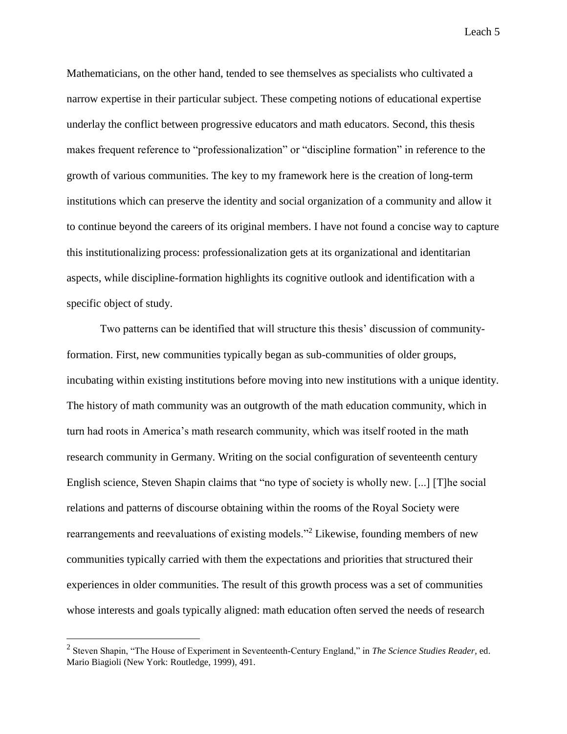Mathematicians, on the other hand, tended to see themselves as specialists who cultivated a narrow expertise in their particular subject. These competing notions of educational expertise underlay the conflict between progressive educators and math educators. Second, this thesis makes frequent reference to "professionalization" or "discipline formation" in reference to the growth of various communities. The key to my framework here is the creation of long-term institutions which can preserve the identity and social organization of a community and allow it to continue beyond the careers of its original members. I have not found a concise way to capture this institutionalizing process: professionalization gets at its organizational and identitarian aspects, while discipline-formation highlights its cognitive outlook and identification with a specific object of study.

Two patterns can be identified that will structure this thesis' discussion of communityformation. First, new communities typically began as sub-communities of older groups, incubating within existing institutions before moving into new institutions with a unique identity. The history of math community was an outgrowth of the math education community, which in turn had roots in America's math research community, which was itself rooted in the math research community in Germany. Writing on the social configuration of seventeenth century English science, Steven Shapin claims that "no type of society is wholly new. [...] [T]he social relations and patterns of discourse obtaining within the rooms of the Royal Society were rearrangements and reevaluations of existing models."<sup>2</sup> Likewise, founding members of new communities typically carried with them the expectations and priorities that structured their experiences in older communities. The result of this growth process was a set of communities whose interests and goals typically aligned: math education often served the needs of research

<sup>2</sup> Steven Shapin, "The House of Experiment in Seventeenth-Century England," in *The Science Studies Reader*, ed. Mario Biagioli (New York: Routledge, 1999), 491.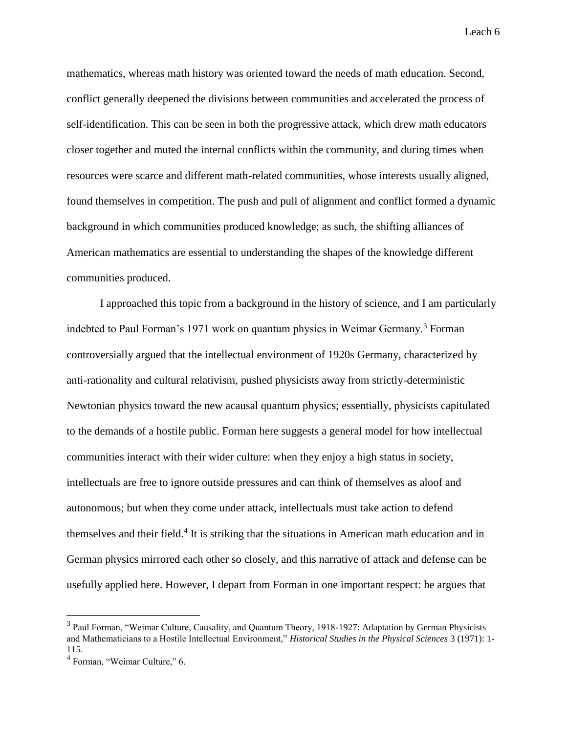mathematics, whereas math history was oriented toward the needs of math education. Second, conflict generally deepened the divisions between communities and accelerated the process of self-identification. This can be seen in both the progressive attack, which drew math educators closer together and muted the internal conflicts within the community, and during times when resources were scarce and different math-related communities, whose interests usually aligned, found themselves in competition. The push and pull of alignment and conflict formed a dynamic background in which communities produced knowledge; as such, the shifting alliances of American mathematics are essential to understanding the shapes of the knowledge different communities produced.

I approached this topic from a background in the history of science, and I am particularly indebted to Paul Forman's 1971 work on quantum physics in Weimar Germany.<sup>3</sup> Forman controversially argued that the intellectual environment of 1920s Germany, characterized by anti-rationality and cultural relativism, pushed physicists away from strictly-deterministic Newtonian physics toward the new acausal quantum physics; essentially, physicists capitulated to the demands of a hostile public. Forman here suggests a general model for how intellectual communities interact with their wider culture: when they enjoy a high status in society, intellectuals are free to ignore outside pressures and can think of themselves as aloof and autonomous; but when they come under attack, intellectuals must take action to defend themselves and their field.<sup>4</sup> It is striking that the situations in American math education and in German physics mirrored each other so closely, and this narrative of attack and defense can be usefully applied here. However, I depart from Forman in one important respect: he argues that

<sup>&</sup>lt;sup>3</sup> Paul Forman, "Weimar Culture, Causality, and Quantum Theory, 1918-1927: Adaptation by German Physicists and Mathematicians to a Hostile Intellectual Environment," *Historical Studies in the Physical Sciences* 3 (1971): 1- 115.

<sup>&</sup>lt;sup>4</sup> Forman, "Weimar Culture," 6.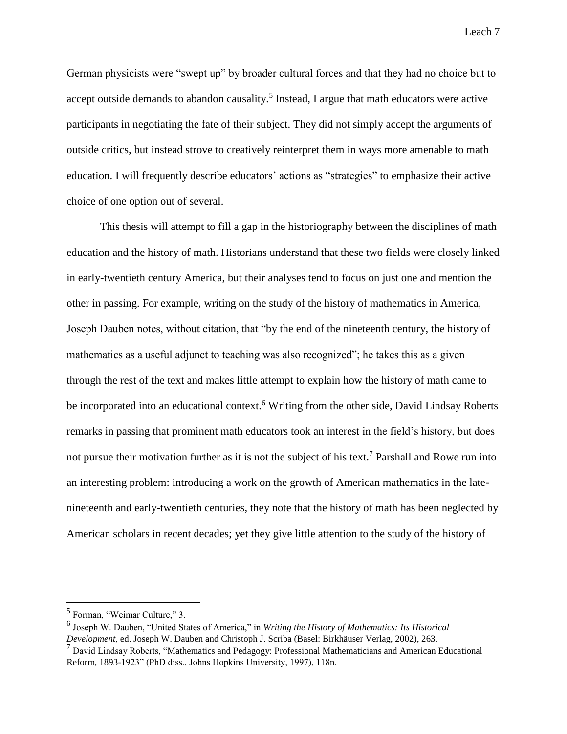German physicists were "swept up" by broader cultural forces and that they had no choice but to accept outside demands to abandon causality.<sup>5</sup> Instead, I argue that math educators were active participants in negotiating the fate of their subject. They did not simply accept the arguments of outside critics, but instead strove to creatively reinterpret them in ways more amenable to math education. I will frequently describe educators' actions as "strategies" to emphasize their active choice of one option out of several.

This thesis will attempt to fill a gap in the historiography between the disciplines of math education and the history of math. Historians understand that these two fields were closely linked in early-twentieth century America, but their analyses tend to focus on just one and mention the other in passing. For example, writing on the study of the history of mathematics in America, Joseph Dauben notes, without citation, that "by the end of the nineteenth century, the history of mathematics as a useful adjunct to teaching was also recognized"; he takes this as a given through the rest of the text and makes little attempt to explain how the history of math came to be incorporated into an educational context.<sup>6</sup> Writing from the other side, David Lindsay Roberts remarks in passing that prominent math educators took an interest in the field's history, but does not pursue their motivation further as it is not the subject of his text.<sup>7</sup> Parshall and Rowe run into an interesting problem: introducing a work on the growth of American mathematics in the latenineteenth and early-twentieth centuries, they note that the history of math has been neglected by American scholars in recent decades; yet they give little attention to the study of the history of

<sup>&</sup>lt;sup>5</sup> Forman, "Weimar Culture," 3.

<sup>6</sup> Joseph W. Dauben, "United States of America," in *Writing the History of Mathematics: Its Historical Development*, ed. Joseph W. Dauben and Christoph J. Scriba (Basel: Birkhäuser Verlag, 2002), 263.

<sup>7</sup> David Lindsay Roberts, "Mathematics and Pedagogy: Professional Mathematicians and American Educational Reform, 1893-1923" (PhD diss., Johns Hopkins University, 1997), 118n.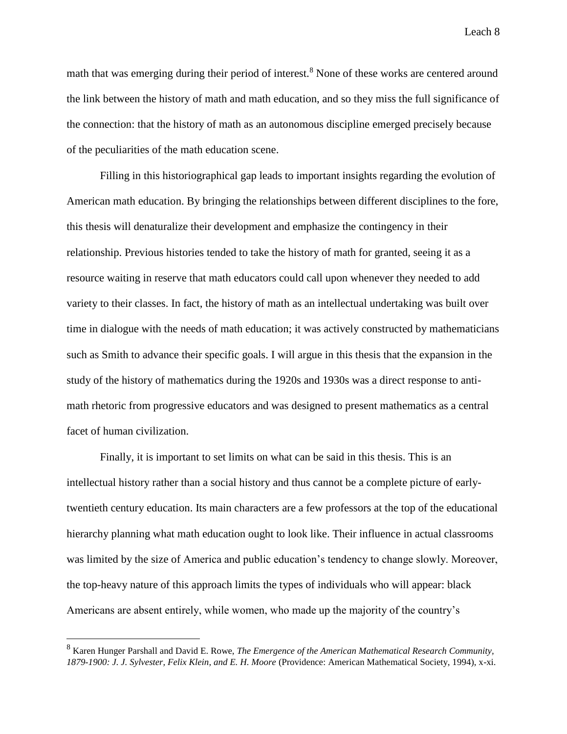math that was emerging during their period of interest.<sup>8</sup> None of these works are centered around the link between the history of math and math education, and so they miss the full significance of the connection: that the history of math as an autonomous discipline emerged precisely because of the peculiarities of the math education scene.

Filling in this historiographical gap leads to important insights regarding the evolution of American math education. By bringing the relationships between different disciplines to the fore, this thesis will denaturalize their development and emphasize the contingency in their relationship. Previous histories tended to take the history of math for granted, seeing it as a resource waiting in reserve that math educators could call upon whenever they needed to add variety to their classes. In fact, the history of math as an intellectual undertaking was built over time in dialogue with the needs of math education; it was actively constructed by mathematicians such as Smith to advance their specific goals. I will argue in this thesis that the expansion in the study of the history of mathematics during the 1920s and 1930s was a direct response to antimath rhetoric from progressive educators and was designed to present mathematics as a central facet of human civilization.

Finally, it is important to set limits on what can be said in this thesis. This is an intellectual history rather than a social history and thus cannot be a complete picture of earlytwentieth century education. Its main characters are a few professors at the top of the educational hierarchy planning what math education ought to look like. Their influence in actual classrooms was limited by the size of America and public education's tendency to change slowly. Moreover, the top-heavy nature of this approach limits the types of individuals who will appear: black Americans are absent entirely, while women, who made up the majority of the country's

<sup>8</sup> Karen Hunger Parshall and David E. Rowe, *The Emergence of the American Mathematical Research Community, 1879-1900: J. J. Sylvester, Felix Klein, and E. H. Moore* (Providence: American Mathematical Society, 1994), x-xi.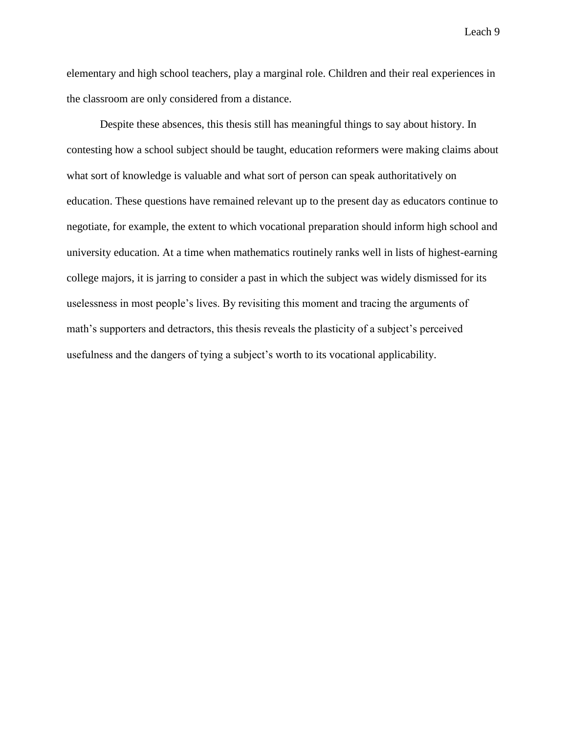elementary and high school teachers, play a marginal role. Children and their real experiences in the classroom are only considered from a distance.

Despite these absences, this thesis still has meaningful things to say about history. In contesting how a school subject should be taught, education reformers were making claims about what sort of knowledge is valuable and what sort of person can speak authoritatively on education. These questions have remained relevant up to the present day as educators continue to negotiate, for example, the extent to which vocational preparation should inform high school and university education. At a time when mathematics routinely ranks well in lists of highest-earning college majors, it is jarring to consider a past in which the subject was widely dismissed for its uselessness in most people's lives. By revisiting this moment and tracing the arguments of math's supporters and detractors, this thesis reveals the plasticity of a subject's perceived usefulness and the dangers of tying a subject's worth to its vocational applicability.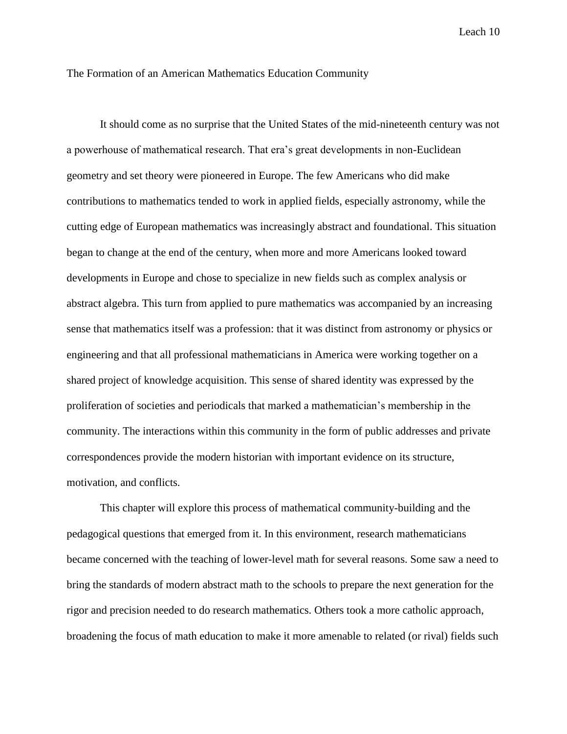The Formation of an American Mathematics Education Community

It should come as no surprise that the United States of the mid-nineteenth century was not a powerhouse of mathematical research. That era's great developments in non-Euclidean geometry and set theory were pioneered in Europe. The few Americans who did make contributions to mathematics tended to work in applied fields, especially astronomy, while the cutting edge of European mathematics was increasingly abstract and foundational. This situation began to change at the end of the century, when more and more Americans looked toward developments in Europe and chose to specialize in new fields such as complex analysis or abstract algebra. This turn from applied to pure mathematics was accompanied by an increasing sense that mathematics itself was a profession: that it was distinct from astronomy or physics or engineering and that all professional mathematicians in America were working together on a shared project of knowledge acquisition. This sense of shared identity was expressed by the proliferation of societies and periodicals that marked a mathematician's membership in the community. The interactions within this community in the form of public addresses and private correspondences provide the modern historian with important evidence on its structure, motivation, and conflicts.

This chapter will explore this process of mathematical community-building and the pedagogical questions that emerged from it. In this environment, research mathematicians became concerned with the teaching of lower-level math for several reasons. Some saw a need to bring the standards of modern abstract math to the schools to prepare the next generation for the rigor and precision needed to do research mathematics. Others took a more catholic approach, broadening the focus of math education to make it more amenable to related (or rival) fields such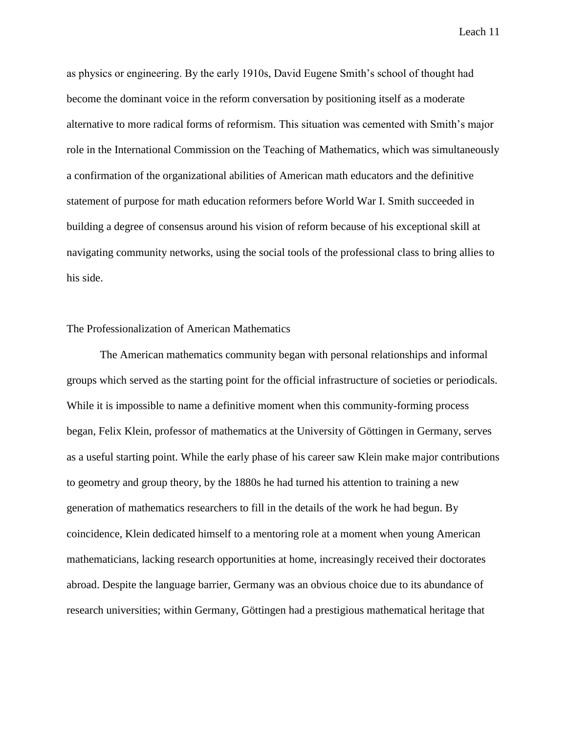as physics or engineering. By the early 1910s, David Eugene Smith's school of thought had become the dominant voice in the reform conversation by positioning itself as a moderate alternative to more radical forms of reformism. This situation was cemented with Smith's major role in the International Commission on the Teaching of Mathematics, which was simultaneously a confirmation of the organizational abilities of American math educators and the definitive statement of purpose for math education reformers before World War I. Smith succeeded in building a degree of consensus around his vision of reform because of his exceptional skill at navigating community networks, using the social tools of the professional class to bring allies to his side.

#### The Professionalization of American Mathematics

The American mathematics community began with personal relationships and informal groups which served as the starting point for the official infrastructure of societies or periodicals. While it is impossible to name a definitive moment when this community-forming process began, Felix Klein, professor of mathematics at the University of Göttingen in Germany, serves as a useful starting point. While the early phase of his career saw Klein make major contributions to geometry and group theory, by the 1880s he had turned his attention to training a new generation of mathematics researchers to fill in the details of the work he had begun. By coincidence, Klein dedicated himself to a mentoring role at a moment when young American mathematicians, lacking research opportunities at home, increasingly received their doctorates abroad. Despite the language barrier, Germany was an obvious choice due to its abundance of research universities; within Germany, Göttingen had a prestigious mathematical heritage that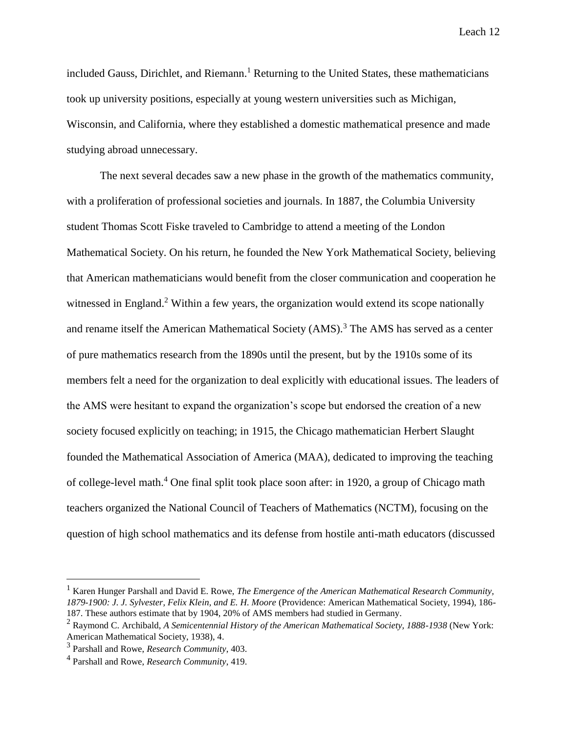included Gauss, Dirichlet, and Riemann.<sup>1</sup> Returning to the United States, these mathematicians took up university positions, especially at young western universities such as Michigan, Wisconsin, and California, where they established a domestic mathematical presence and made studying abroad unnecessary.

The next several decades saw a new phase in the growth of the mathematics community, with a proliferation of professional societies and journals. In 1887, the Columbia University student Thomas Scott Fiske traveled to Cambridge to attend a meeting of the London Mathematical Society. On his return, he founded the New York Mathematical Society, believing that American mathematicians would benefit from the closer communication and cooperation he witnessed in England.<sup>2</sup> Within a few years, the organization would extend its scope nationally and rename itself the American Mathematical Society  $(AMS)$ .<sup>3</sup> The AMS has served as a center of pure mathematics research from the 1890s until the present, but by the 1910s some of its members felt a need for the organization to deal explicitly with educational issues. The leaders of the AMS were hesitant to expand the organization's scope but endorsed the creation of a new society focused explicitly on teaching; in 1915, the Chicago mathematician Herbert Slaught founded the Mathematical Association of America (MAA), dedicated to improving the teaching of college-level math.<sup>4</sup> One final split took place soon after: in 1920, a group of Chicago math teachers organized the National Council of Teachers of Mathematics (NCTM), focusing on the question of high school mathematics and its defense from hostile anti-math educators (discussed

<sup>&</sup>lt;sup>1</sup> Karen Hunger Parshall and David E. Rowe, *The Emergence of the American Mathematical Research Community, 1879-1900: J. J. Sylvester, Felix Klein, and E. H. Moore* (Providence: American Mathematical Society, 1994), 186- 187. These authors estimate that by 1904, 20% of AMS members had studied in Germany.

<sup>2</sup> Raymond C. Archibald, *A Semicentennial History of the American Mathematical Society, 1888-1938* (New York: American Mathematical Society, 1938), 4.

<sup>3</sup> Parshall and Rowe, *Research Community*, 403.

<sup>4</sup> Parshall and Rowe, *Research Community*, 419.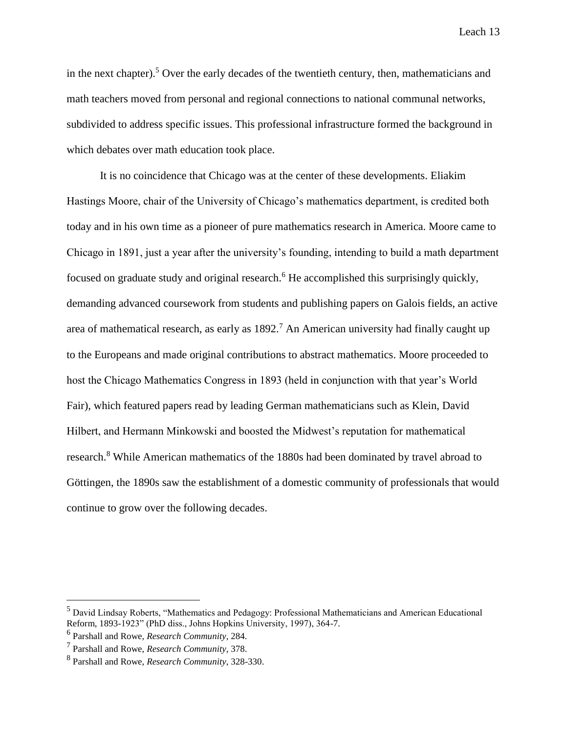in the next chapter).<sup>5</sup> Over the early decades of the twentieth century, then, mathematicians and math teachers moved from personal and regional connections to national communal networks, subdivided to address specific issues. This professional infrastructure formed the background in which debates over math education took place.

It is no coincidence that Chicago was at the center of these developments. Eliakim Hastings Moore, chair of the University of Chicago's mathematics department, is credited both today and in his own time as a pioneer of pure mathematics research in America. Moore came to Chicago in 1891, just a year after the university's founding, intending to build a math department focused on graduate study and original research.<sup>6</sup> He accomplished this surprisingly quickly, demanding advanced coursework from students and publishing papers on Galois fields, an active area of mathematical research, as early as  $1892<sup>7</sup>$  An American university had finally caught up to the Europeans and made original contributions to abstract mathematics. Moore proceeded to host the Chicago Mathematics Congress in 1893 (held in conjunction with that year's World Fair), which featured papers read by leading German mathematicians such as Klein, David Hilbert, and Hermann Minkowski and boosted the Midwest's reputation for mathematical research.<sup>8</sup> While American mathematics of the 1880s had been dominated by travel abroad to Göttingen, the 1890s saw the establishment of a domestic community of professionals that would continue to grow over the following decades.

<sup>5</sup> David Lindsay Roberts, "Mathematics and Pedagogy: Professional Mathematicians and American Educational Reform, 1893-1923" (PhD diss., Johns Hopkins University, 1997), 364-7.

<sup>6</sup> Parshall and Rowe, *Research Community*, 284.

<sup>7</sup> Parshall and Rowe, *Research Community*, 378.

<sup>8</sup> Parshall and Rowe, *Research Community*, 328-330.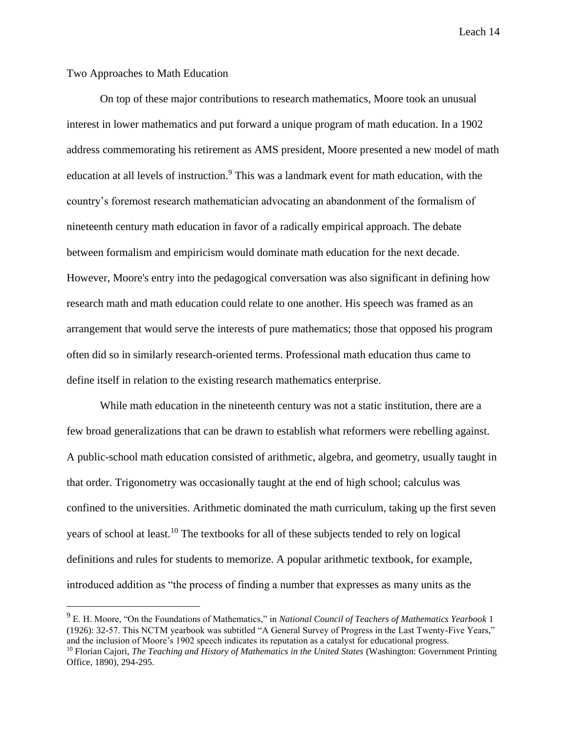### Two Approaches to Math Education

On top of these major contributions to research mathematics, Moore took an unusual interest in lower mathematics and put forward a unique program of math education. In a 1902 address commemorating his retirement as AMS president, Moore presented a new model of math education at all levels of instruction.<sup>9</sup> This was a landmark event for math education, with the country's foremost research mathematician advocating an abandonment of the formalism of nineteenth century math education in favor of a radically empirical approach. The debate between formalism and empiricism would dominate math education for the next decade. However, Moore's entry into the pedagogical conversation was also significant in defining how research math and math education could relate to one another. His speech was framed as an arrangement that would serve the interests of pure mathematics; those that opposed his program often did so in similarly research-oriented terms. Professional math education thus came to define itself in relation to the existing research mathematics enterprise.

While math education in the nineteenth century was not a static institution, there are a few broad generalizations that can be drawn to establish what reformers were rebelling against. A public-school math education consisted of arithmetic, algebra, and geometry, usually taught in that order. Trigonometry was occasionally taught at the end of high school; calculus was confined to the universities. Arithmetic dominated the math curriculum, taking up the first seven years of school at least.<sup>10</sup> The textbooks for all of these subjects tended to rely on logical definitions and rules for students to memorize. A popular arithmetic textbook, for example, introduced addition as "the process of finding a number that expresses as many units as the

<sup>9</sup> E. H. Moore, "On the Foundations of Mathematics," in *National Council of Teachers of Mathematics Yearbook* 1 (1926): 32-57. This NCTM yearbook was subtitled "A General Survey of Progress in the Last Twenty-Five Years," and the inclusion of Moore's 1902 speech indicates its reputation as a catalyst for educational progress. <sup>10</sup> Florian Cajori, *The Teaching and History of Mathematics in the United States* (Washington: Government Printing

Office, 1890), 294-295.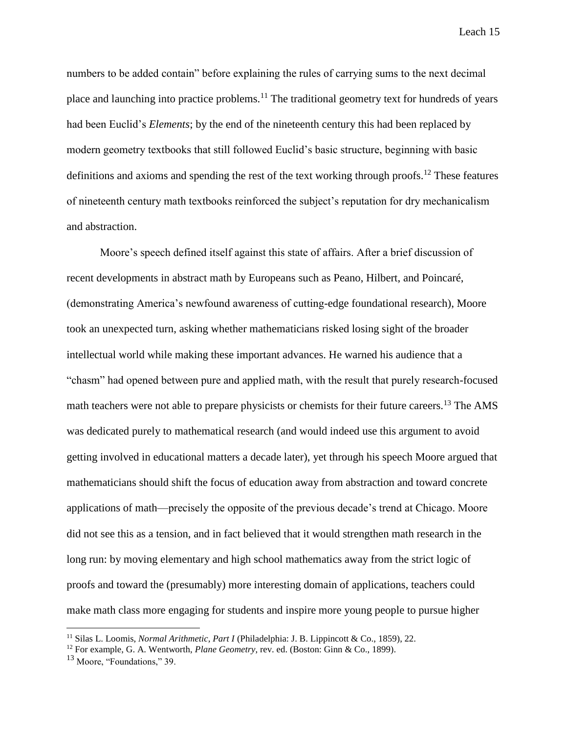numbers to be added contain" before explaining the rules of carrying sums to the next decimal place and launching into practice problems.<sup>11</sup> The traditional geometry text for hundreds of years had been Euclid's *Elements*; by the end of the nineteenth century this had been replaced by modern geometry textbooks that still followed Euclid's basic structure, beginning with basic definitions and axioms and spending the rest of the text working through proofs.<sup>12</sup> These features of nineteenth century math textbooks reinforced the subject's reputation for dry mechanicalism and abstraction.

Moore's speech defined itself against this state of affairs. After a brief discussion of recent developments in abstract math by Europeans such as Peano, Hilbert, and Poincaré, (demonstrating America's newfound awareness of cutting-edge foundational research), Moore took an unexpected turn, asking whether mathematicians risked losing sight of the broader intellectual world while making these important advances. He warned his audience that a "chasm" had opened between pure and applied math, with the result that purely research-focused math teachers were not able to prepare physicists or chemists for their future careers.<sup>13</sup> The AMS was dedicated purely to mathematical research (and would indeed use this argument to avoid getting involved in educational matters a decade later), yet through his speech Moore argued that mathematicians should shift the focus of education away from abstraction and toward concrete applications of math—precisely the opposite of the previous decade's trend at Chicago. Moore did not see this as a tension, and in fact believed that it would strengthen math research in the long run: by moving elementary and high school mathematics away from the strict logic of proofs and toward the (presumably) more interesting domain of applications, teachers could make math class more engaging for students and inspire more young people to pursue higher

<sup>11</sup> Silas L. Loomis, *Normal Arithmetic, Part I* (Philadelphia: J. B. Lippincott & Co., 1859), 22.

<sup>12</sup> For example, G. A. Wentworth, *Plane Geometry*, rev. ed. (Boston: Ginn & Co., 1899).

<sup>&</sup>lt;sup>13</sup> Moore. "Foundations," 39.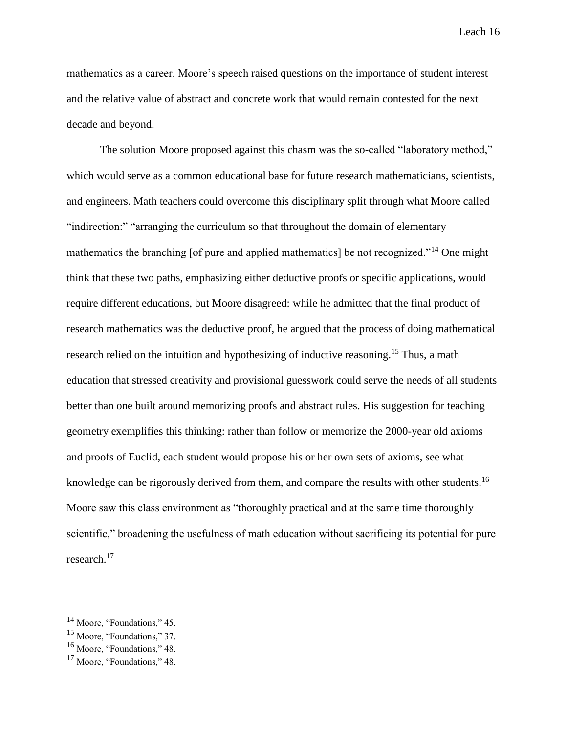mathematics as a career. Moore's speech raised questions on the importance of student interest and the relative value of abstract and concrete work that would remain contested for the next decade and beyond.

The solution Moore proposed against this chasm was the so-called "laboratory method," which would serve as a common educational base for future research mathematicians, scientists, and engineers. Math teachers could overcome this disciplinary split through what Moore called "indirection:" "arranging the curriculum so that throughout the domain of elementary mathematics the branching [of pure and applied mathematics] be not recognized."<sup>14</sup> One might think that these two paths, emphasizing either deductive proofs or specific applications, would require different educations, but Moore disagreed: while he admitted that the final product of research mathematics was the deductive proof, he argued that the process of doing mathematical research relied on the intuition and hypothesizing of inductive reasoning.<sup>15</sup> Thus, a math education that stressed creativity and provisional guesswork could serve the needs of all students better than one built around memorizing proofs and abstract rules. His suggestion for teaching geometry exemplifies this thinking: rather than follow or memorize the 2000-year old axioms and proofs of Euclid, each student would propose his or her own sets of axioms, see what knowledge can be rigorously derived from them, and compare the results with other students.<sup>16</sup> Moore saw this class environment as "thoroughly practical and at the same time thoroughly scientific," broadening the usefulness of math education without sacrificing its potential for pure research.<sup>17</sup>

<sup>&</sup>lt;sup>14</sup> Moore, "Foundations," 45.

<sup>15</sup> Moore, "Foundations," 37.

<sup>16</sup> Moore, "Foundations," 48.

<sup>&</sup>lt;sup>17</sup> Moore. "Foundations," 48.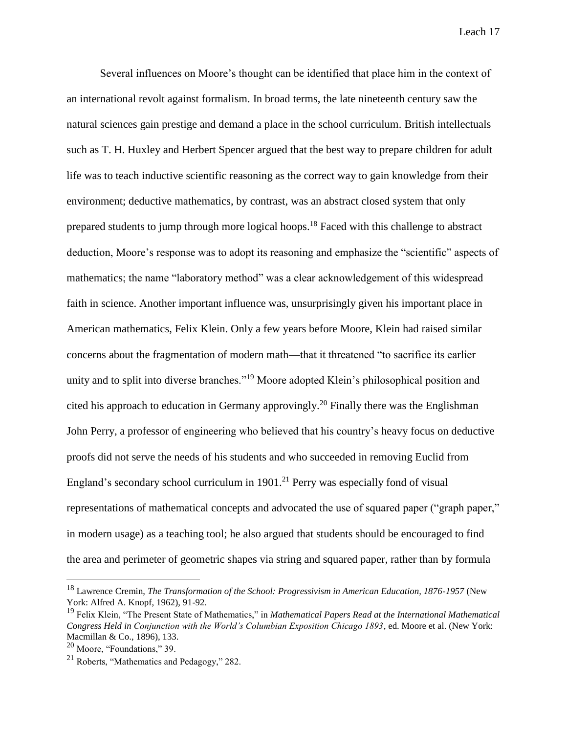Several influences on Moore's thought can be identified that place him in the context of an international revolt against formalism. In broad terms, the late nineteenth century saw the natural sciences gain prestige and demand a place in the school curriculum. British intellectuals such as T. H. Huxley and Herbert Spencer argued that the best way to prepare children for adult life was to teach inductive scientific reasoning as the correct way to gain knowledge from their environment; deductive mathematics, by contrast, was an abstract closed system that only prepared students to jump through more logical hoops.<sup>18</sup> Faced with this challenge to abstract deduction, Moore's response was to adopt its reasoning and emphasize the "scientific" aspects of mathematics; the name "laboratory method" was a clear acknowledgement of this widespread faith in science. Another important influence was, unsurprisingly given his important place in American mathematics, Felix Klein. Only a few years before Moore, Klein had raised similar concerns about the fragmentation of modern math—that it threatened "to sacrifice its earlier unity and to split into diverse branches."<sup>19</sup> Moore adopted Klein's philosophical position and cited his approach to education in Germany approvingly.<sup>20</sup> Finally there was the Englishman John Perry, a professor of engineering who believed that his country's heavy focus on deductive proofs did not serve the needs of his students and who succeeded in removing Euclid from England's secondary school curriculum in  $1901<sup>21</sup>$  Perry was especially fond of visual representations of mathematical concepts and advocated the use of squared paper ("graph paper," in modern usage) as a teaching tool; he also argued that students should be encouraged to find the area and perimeter of geometric shapes via string and squared paper, rather than by formula

<sup>18</sup> Lawrence Cremin, *The Transformation of the School: Progressivism in American Education, 1876-1957* (New York: Alfred A. Knopf, 1962), 91-92.

<sup>19</sup> Felix Klein, "The Present State of Mathematics," in *Mathematical Papers Read at the International Mathematical Congress Held in Conjunction with the World's Columbian Exposition Chicago 1893*, ed. Moore et al. (New York: Macmillan & Co., 1896), 133.

<sup>20</sup> Moore, "Foundations," 39.

<sup>21</sup> Roberts, "Mathematics and Pedagogy," 282.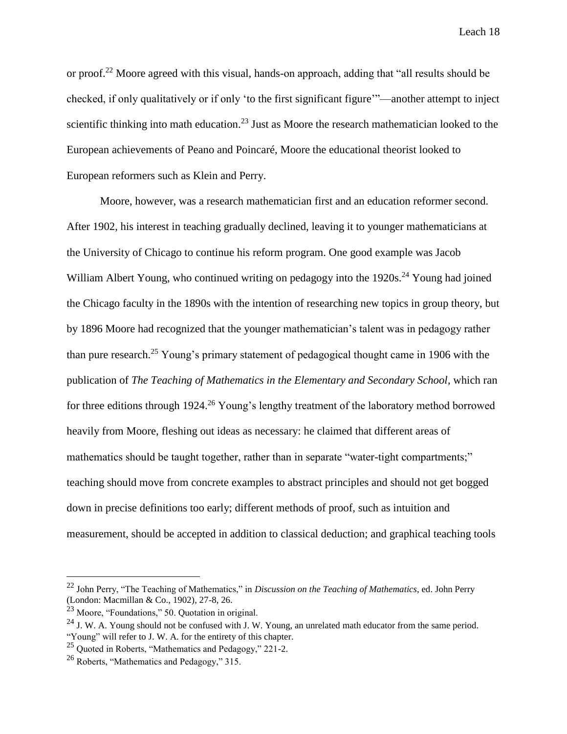or proof.<sup>22</sup> Moore agreed with this visual, hands-on approach, adding that "all results should be checked, if only qualitatively or if only 'to the first significant figure'"—another attempt to inject scientific thinking into math education.<sup>23</sup> Just as Moore the research mathematician looked to the European achievements of Peano and Poincaré, Moore the educational theorist looked to European reformers such as Klein and Perry.

Moore, however, was a research mathematician first and an education reformer second. After 1902, his interest in teaching gradually declined, leaving it to younger mathematicians at the University of Chicago to continue his reform program. One good example was Jacob William Albert Young, who continued writing on pedagogy into the 1920s.<sup>24</sup> Young had joined the Chicago faculty in the 1890s with the intention of researching new topics in group theory, but by 1896 Moore had recognized that the younger mathematician's talent was in pedagogy rather than pure research.<sup>25</sup> Young's primary statement of pedagogical thought came in 1906 with the publication of *The Teaching of Mathematics in the Elementary and Secondary School*, which ran for three editions through 1924.<sup>26</sup> Young's lengthy treatment of the laboratory method borrowed heavily from Moore, fleshing out ideas as necessary: he claimed that different areas of mathematics should be taught together, rather than in separate "water-tight compartments;" teaching should move from concrete examples to abstract principles and should not get bogged down in precise definitions too early; different methods of proof, such as intuition and measurement, should be accepted in addition to classical deduction; and graphical teaching tools

<sup>22</sup> John Perry, "The Teaching of Mathematics," in *Discussion on the Teaching of Mathematics*, ed. John Perry (London: Macmillan & Co., 1902), 27-8, 26.

<sup>23</sup> Moore, "Foundations," 50. Quotation in original.

<sup>&</sup>lt;sup>24</sup> J. W. A. Young should not be confused with J. W. Young, an unrelated math educator from the same period. "Young" will refer to J. W. A. for the entirety of this chapter.

<sup>25</sup> Quoted in Roberts, "Mathematics and Pedagogy," 221-2.

<sup>26</sup> Roberts, "Mathematics and Pedagogy," 315.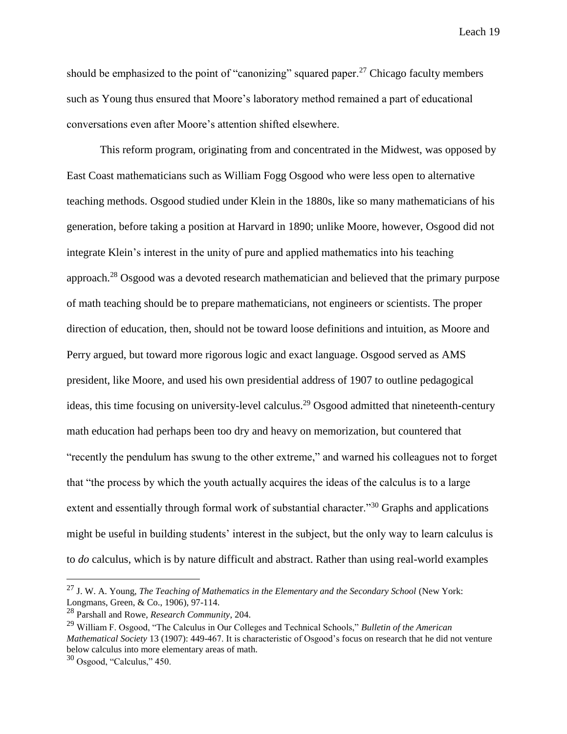should be emphasized to the point of "canonizing" squared paper.<sup>27</sup> Chicago faculty members such as Young thus ensured that Moore's laboratory method remained a part of educational conversations even after Moore's attention shifted elsewhere.

This reform program, originating from and concentrated in the Midwest, was opposed by East Coast mathematicians such as William Fogg Osgood who were less open to alternative teaching methods. Osgood studied under Klein in the 1880s, like so many mathematicians of his generation, before taking a position at Harvard in 1890; unlike Moore, however, Osgood did not integrate Klein's interest in the unity of pure and applied mathematics into his teaching approach.<sup>28</sup> Osgood was a devoted research mathematician and believed that the primary purpose of math teaching should be to prepare mathematicians, not engineers or scientists. The proper direction of education, then, should not be toward loose definitions and intuition, as Moore and Perry argued, but toward more rigorous logic and exact language. Osgood served as AMS president, like Moore, and used his own presidential address of 1907 to outline pedagogical ideas, this time focusing on university-level calculus.<sup>29</sup> Osgood admitted that nineteenth-century math education had perhaps been too dry and heavy on memorization, but countered that "recently the pendulum has swung to the other extreme," and warned his colleagues not to forget that "the process by which the youth actually acquires the ideas of the calculus is to a large extent and essentially through formal work of substantial character."<sup>30</sup> Graphs and applications might be useful in building students' interest in the subject, but the only way to learn calculus is to *do* calculus, which is by nature difficult and abstract. Rather than using real-world examples

<sup>27</sup> J. W. A. Young, *The Teaching of Mathematics in the Elementary and the Secondary School* (New York: Longmans, Green, & Co., 1906), 97-114.

<sup>28</sup> Parshall and Rowe, *Research Community*, 204.

<sup>29</sup> William F. Osgood, "The Calculus in Our Colleges and Technical Schools," *Bulletin of the American Mathematical Society* 13 (1907): 449-467. It is characteristic of Osgood's focus on research that he did not venture below calculus into more elementary areas of math.

 $30$  Osgood, "Calculus," 450.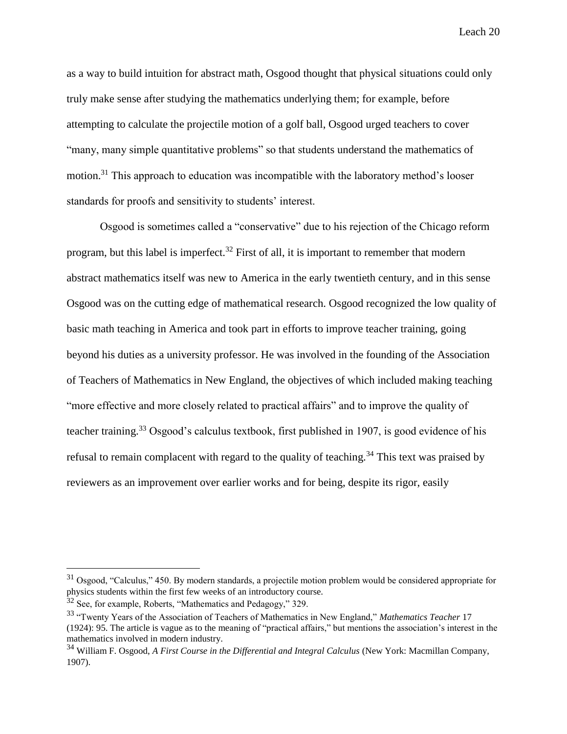as a way to build intuition for abstract math, Osgood thought that physical situations could only truly make sense after studying the mathematics underlying them; for example, before attempting to calculate the projectile motion of a golf ball, Osgood urged teachers to cover "many, many simple quantitative problems" so that students understand the mathematics of motion.<sup>31</sup> This approach to education was incompatible with the laboratory method's looser standards for proofs and sensitivity to students' interest.

Osgood is sometimes called a "conservative" due to his rejection of the Chicago reform program, but this label is imperfect.<sup>32</sup> First of all, it is important to remember that modern abstract mathematics itself was new to America in the early twentieth century, and in this sense Osgood was on the cutting edge of mathematical research. Osgood recognized the low quality of basic math teaching in America and took part in efforts to improve teacher training, going beyond his duties as a university professor. He was involved in the founding of the Association of Teachers of Mathematics in New England, the objectives of which included making teaching "more effective and more closely related to practical affairs" and to improve the quality of teacher training.<sup>33</sup> Osgood's calculus textbook, first published in 1907, is good evidence of his refusal to remain complacent with regard to the quality of teaching.<sup>34</sup> This text was praised by reviewers as an improvement over earlier works and for being, despite its rigor, easily

<sup>&</sup>lt;sup>31</sup> Osgood, "Calculus," 450. By modern standards, a projectile motion problem would be considered appropriate for physics students within the first few weeks of an introductory course.

 $32$  See, for example, Roberts, "Mathematics and Pedagogy," 329.

<sup>33</sup> "Twenty Years of the Association of Teachers of Mathematics in New England," *Mathematics Teacher* 17 (1924): 95. The article is vague as to the meaning of "practical affairs," but mentions the association's interest in the mathematics involved in modern industry.

<sup>34</sup> William F. Osgood, *A First Course in the Differential and Integral Calculus* (New York: Macmillan Company, 1907).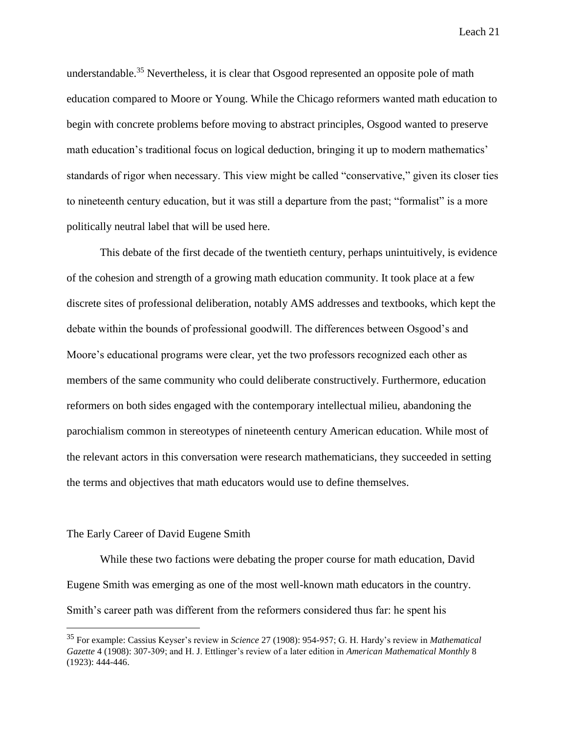understandable.<sup>35</sup> Nevertheless, it is clear that Osgood represented an opposite pole of math education compared to Moore or Young. While the Chicago reformers wanted math education to begin with concrete problems before moving to abstract principles, Osgood wanted to preserve math education's traditional focus on logical deduction, bringing it up to modern mathematics' standards of rigor when necessary. This view might be called "conservative," given its closer ties to nineteenth century education, but it was still a departure from the past; "formalist" is a more politically neutral label that will be used here.

This debate of the first decade of the twentieth century, perhaps unintuitively, is evidence of the cohesion and strength of a growing math education community. It took place at a few discrete sites of professional deliberation, notably AMS addresses and textbooks, which kept the debate within the bounds of professional goodwill. The differences between Osgood's and Moore's educational programs were clear, yet the two professors recognized each other as members of the same community who could deliberate constructively. Furthermore, education reformers on both sides engaged with the contemporary intellectual milieu, abandoning the parochialism common in stereotypes of nineteenth century American education. While most of the relevant actors in this conversation were research mathematicians, they succeeded in setting the terms and objectives that math educators would use to define themselves.

#### The Early Career of David Eugene Smith

 $\overline{a}$ 

While these two factions were debating the proper course for math education, David Eugene Smith was emerging as one of the most well-known math educators in the country. Smith's career path was different from the reformers considered thus far: he spent his

<sup>35</sup> For example: Cassius Keyser's review in *Science* 27 (1908): 954-957; G. H. Hardy's review in *Mathematical Gazette* 4 (1908): 307-309; and H. J. Ettlinger's review of a later edition in *American Mathematical Monthly* 8 (1923): 444-446.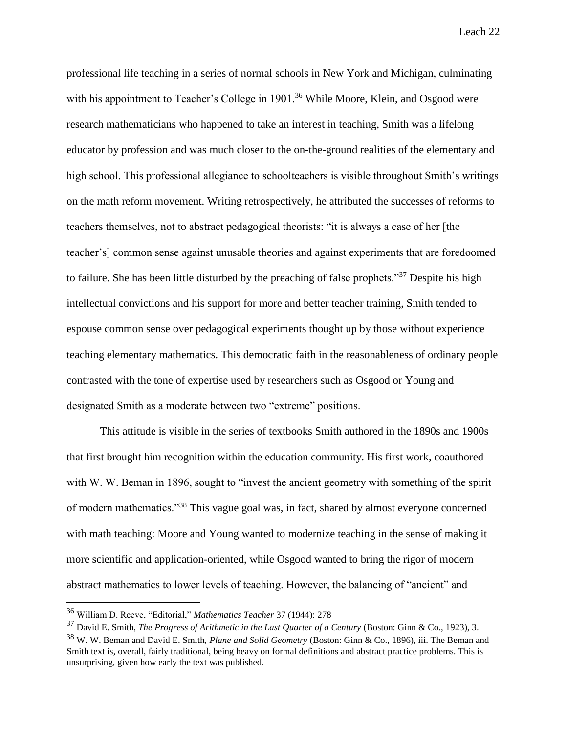professional life teaching in a series of normal schools in New York and Michigan, culminating with his appointment to Teacher's College in 1901.<sup>36</sup> While Moore, Klein, and Osgood were research mathematicians who happened to take an interest in teaching, Smith was a lifelong educator by profession and was much closer to the on-the-ground realities of the elementary and high school. This professional allegiance to schoolteachers is visible throughout Smith's writings on the math reform movement. Writing retrospectively, he attributed the successes of reforms to teachers themselves, not to abstract pedagogical theorists: "it is always a case of her [the teacher's] common sense against unusable theories and against experiments that are foredoomed to failure. She has been little disturbed by the preaching of false prophets."<sup>37</sup> Despite his high intellectual convictions and his support for more and better teacher training, Smith tended to espouse common sense over pedagogical experiments thought up by those without experience teaching elementary mathematics. This democratic faith in the reasonableness of ordinary people contrasted with the tone of expertise used by researchers such as Osgood or Young and designated Smith as a moderate between two "extreme" positions.

This attitude is visible in the series of textbooks Smith authored in the 1890s and 1900s that first brought him recognition within the education community. His first work, coauthored with W. W. Beman in 1896, sought to "invest the ancient geometry with something of the spirit of modern mathematics."<sup>38</sup> This vague goal was, in fact, shared by almost everyone concerned with math teaching: Moore and Young wanted to modernize teaching in the sense of making it more scientific and application-oriented, while Osgood wanted to bring the rigor of modern abstract mathematics to lower levels of teaching. However, the balancing of "ancient" and

<sup>36</sup> William D. Reeve, "Editorial," *Mathematics Teacher* 37 (1944): 278

<sup>37</sup> David E. Smith, *The Progress of Arithmetic in the Last Quarter of a Century* (Boston: Ginn & Co., 1923), 3.

<sup>38</sup> W. W. Beman and David E. Smith, *Plane and Solid Geometry* (Boston: Ginn & Co., 1896), iii. The Beman and Smith text is, overall, fairly traditional, being heavy on formal definitions and abstract practice problems. This is unsurprising, given how early the text was published.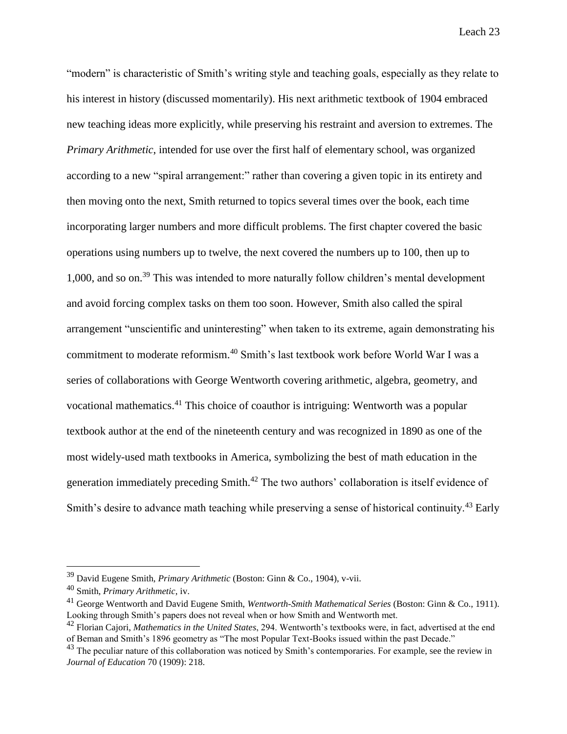"modern" is characteristic of Smith's writing style and teaching goals, especially as they relate to his interest in history (discussed momentarily). His next arithmetic textbook of 1904 embraced new teaching ideas more explicitly, while preserving his restraint and aversion to extremes. The *Primary Arithmetic*, intended for use over the first half of elementary school, was organized according to a new "spiral arrangement:" rather than covering a given topic in its entirety and then moving onto the next, Smith returned to topics several times over the book, each time incorporating larger numbers and more difficult problems. The first chapter covered the basic operations using numbers up to twelve, the next covered the numbers up to 100, then up to 1,000, and so on.<sup>39</sup> This was intended to more naturally follow children's mental development and avoid forcing complex tasks on them too soon. However, Smith also called the spiral arrangement "unscientific and uninteresting" when taken to its extreme, again demonstrating his commitment to moderate reformism.<sup>40</sup> Smith's last textbook work before World War I was a series of collaborations with George Wentworth covering arithmetic, algebra, geometry, and vocational mathematics.<sup>41</sup> This choice of coauthor is intriguing: Wentworth was a popular textbook author at the end of the nineteenth century and was recognized in 1890 as one of the most widely-used math textbooks in America, symbolizing the best of math education in the generation immediately preceding Smith.<sup>42</sup> The two authors' collaboration is itself evidence of Smith's desire to advance math teaching while preserving a sense of historical continuity.<sup>43</sup> Early

<sup>39</sup> David Eugene Smith, *Primary Arithmetic* (Boston: Ginn & Co., 1904), v-vii.

<sup>40</sup> Smith, *Primary Arithmetic*, iv.

<sup>41</sup> George Wentworth and David Eugene Smith, *Wentworth-Smith Mathematical Series* (Boston: Ginn & Co., 1911). Looking through Smith's papers does not reveal when or how Smith and Wentworth met.

<sup>42</sup> Florian Cajori, *Mathematics in the United States*, 294. Wentworth's textbooks were, in fact, advertised at the end of Beman and Smith's 1896 geometry as "The most Popular Text-Books issued within the past Decade."

<sup>&</sup>lt;sup>43</sup> The peculiar nature of this collaboration was noticed by Smith's contemporaries. For example, see the review in *Journal of Education* 70 (1909): 218.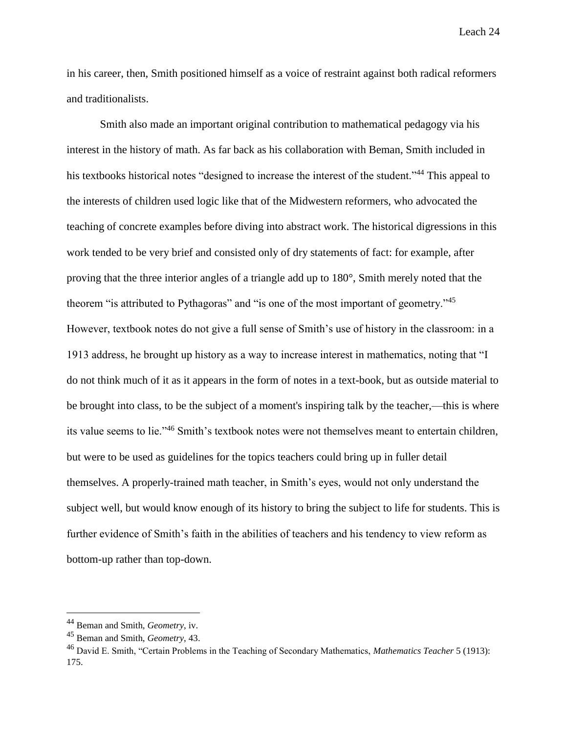in his career, then, Smith positioned himself as a voice of restraint against both radical reformers and traditionalists.

Smith also made an important original contribution to mathematical pedagogy via his interest in the history of math. As far back as his collaboration with Beman, Smith included in his textbooks historical notes "designed to increase the interest of the student."<sup>44</sup> This appeal to the interests of children used logic like that of the Midwestern reformers, who advocated the teaching of concrete examples before diving into abstract work. The historical digressions in this work tended to be very brief and consisted only of dry statements of fact: for example, after proving that the three interior angles of a triangle add up to 180°, Smith merely noted that the theorem "is attributed to Pythagoras" and "is one of the most important of geometry."<sup>45</sup> However, textbook notes do not give a full sense of Smith's use of history in the classroom: in a 1913 address, he brought up history as a way to increase interest in mathematics, noting that "I do not think much of it as it appears in the form of notes in a text-book, but as outside material to be brought into class, to be the subject of a moment's inspiring talk by the teacher,—this is where its value seems to lie."<sup>46</sup> Smith's textbook notes were not themselves meant to entertain children, but were to be used as guidelines for the topics teachers could bring up in fuller detail themselves. A properly-trained math teacher, in Smith's eyes, would not only understand the subject well, but would know enough of its history to bring the subject to life for students. This is further evidence of Smith's faith in the abilities of teachers and his tendency to view reform as bottom-up rather than top-down.

<sup>44</sup> Beman and Smith, *Geometry*, iv.

<sup>45</sup> Beman and Smith, *Geometry*, 43.

<sup>46</sup> David E. Smith, "Certain Problems in the Teaching of Secondary Mathematics, *Mathematics Teacher* 5 (1913): 175.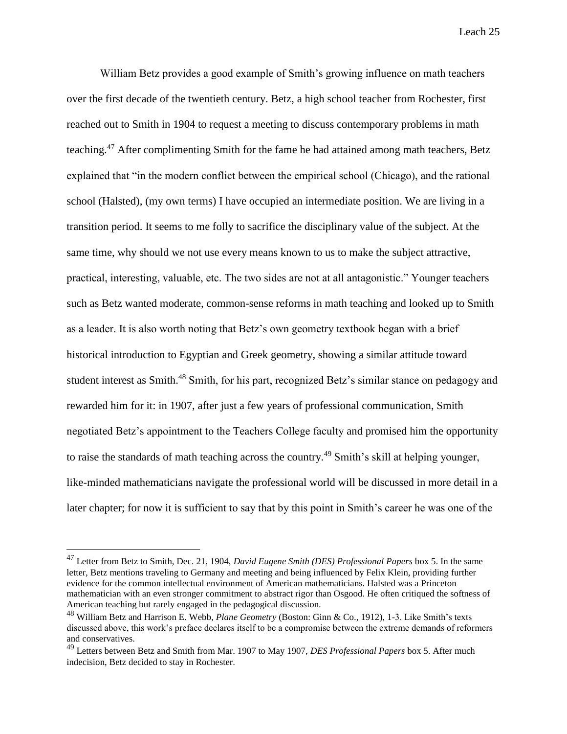William Betz provides a good example of Smith's growing influence on math teachers over the first decade of the twentieth century. Betz, a high school teacher from Rochester, first reached out to Smith in 1904 to request a meeting to discuss contemporary problems in math teaching.<sup>47</sup> After complimenting Smith for the fame he had attained among math teachers, Betz explained that "in the modern conflict between the empirical school (Chicago), and the rational school (Halsted), (my own terms) I have occupied an intermediate position. We are living in a transition period. It seems to me folly to sacrifice the disciplinary value of the subject. At the same time, why should we not use every means known to us to make the subject attractive, practical, interesting, valuable, etc. The two sides are not at all antagonistic." Younger teachers such as Betz wanted moderate, common-sense reforms in math teaching and looked up to Smith as a leader. It is also worth noting that Betz's own geometry textbook began with a brief historical introduction to Egyptian and Greek geometry, showing a similar attitude toward student interest as Smith.<sup>48</sup> Smith, for his part, recognized Betz's similar stance on pedagogy and rewarded him for it: in 1907, after just a few years of professional communication, Smith negotiated Betz's appointment to the Teachers College faculty and promised him the opportunity to raise the standards of math teaching across the country.<sup>49</sup> Smith's skill at helping younger, like-minded mathematicians navigate the professional world will be discussed in more detail in a later chapter; for now it is sufficient to say that by this point in Smith's career he was one of the

<sup>47</sup> Letter from Betz to Smith, Dec. 21, 1904, *David Eugene Smith (DES) Professional Papers* box 5. In the same letter, Betz mentions traveling to Germany and meeting and being influenced by Felix Klein, providing further evidence for the common intellectual environment of American mathematicians. Halsted was a Princeton mathematician with an even stronger commitment to abstract rigor than Osgood. He often critiqued the softness of American teaching but rarely engaged in the pedagogical discussion.

<sup>48</sup> William Betz and Harrison E. Webb, *Plane Geometry* (Boston: Ginn & Co., 1912), 1-3. Like Smith's texts discussed above, this work's preface declares itself to be a compromise between the extreme demands of reformers and conservatives.

<sup>49</sup> Letters between Betz and Smith from Mar. 1907 to May 1907, *DES Professional Papers* box 5. After much indecision, Betz decided to stay in Rochester.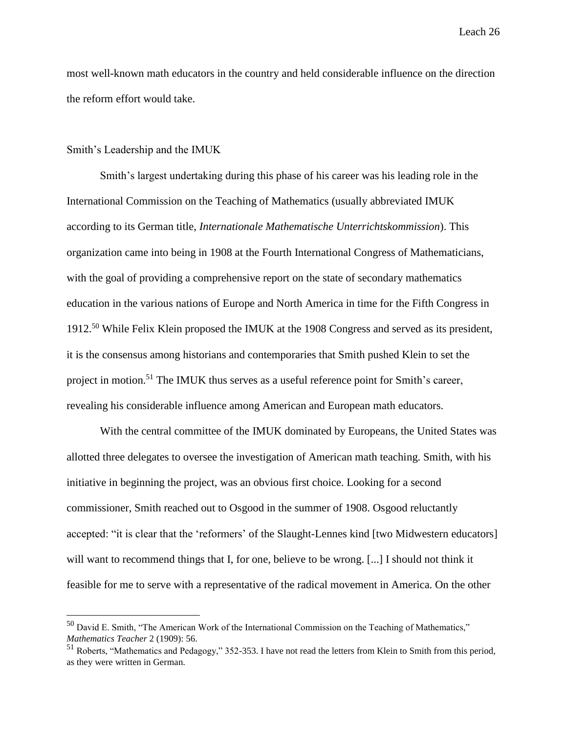most well-known math educators in the country and held considerable influence on the direction the reform effort would take.

#### Smith's Leadership and the IMUK

 $\overline{a}$ 

Smith's largest undertaking during this phase of his career was his leading role in the International Commission on the Teaching of Mathematics (usually abbreviated IMUK according to its German title, *Internationale Mathematische Unterrichtskommission*). This organization came into being in 1908 at the Fourth International Congress of Mathematicians, with the goal of providing a comprehensive report on the state of secondary mathematics education in the various nations of Europe and North America in time for the Fifth Congress in 1912.<sup>50</sup> While Felix Klein proposed the IMUK at the 1908 Congress and served as its president, it is the consensus among historians and contemporaries that Smith pushed Klein to set the project in motion.<sup>51</sup> The IMUK thus serves as a useful reference point for Smith's career, revealing his considerable influence among American and European math educators.

With the central committee of the IMUK dominated by Europeans, the United States was allotted three delegates to oversee the investigation of American math teaching. Smith, with his initiative in beginning the project, was an obvious first choice. Looking for a second commissioner, Smith reached out to Osgood in the summer of 1908. Osgood reluctantly accepted: "it is clear that the 'reformers' of the Slaught-Lennes kind [two Midwestern educators] will want to recommend things that I, for one, believe to be wrong. [...] I should not think it feasible for me to serve with a representative of the radical movement in America. On the other

 $50$  David E. Smith, "The American Work of the International Commission on the Teaching of Mathematics," *Mathematics Teacher* 2 (1909): 56.

<sup>51</sup> Roberts, "Mathematics and Pedagogy," 352-353. I have not read the letters from Klein to Smith from this period, as they were written in German.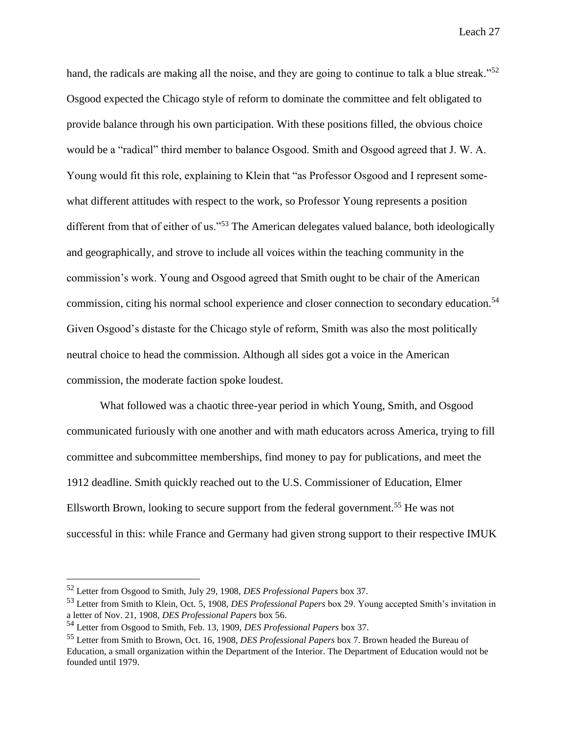hand, the radicals are making all the noise, and they are going to continue to talk a blue streak."<sup>52</sup> Osgood expected the Chicago style of reform to dominate the committee and felt obligated to provide balance through his own participation. With these positions filled, the obvious choice would be a "radical" third member to balance Osgood. Smith and Osgood agreed that J. W. A. Young would fit this role, explaining to Klein that "as Professor Osgood and I represent somewhat different attitudes with respect to the work, so Professor Young represents a position different from that of either of us."<sup>53</sup> The American delegates valued balance, both ideologically and geographically, and strove to include all voices within the teaching community in the commission's work. Young and Osgood agreed that Smith ought to be chair of the American commission, citing his normal school experience and closer connection to secondary education.<sup>54</sup> Given Osgood's distaste for the Chicago style of reform, Smith was also the most politically neutral choice to head the commission. Although all sides got a voice in the American commission, the moderate faction spoke loudest.

What followed was a chaotic three-year period in which Young, Smith, and Osgood communicated furiously with one another and with math educators across America, trying to fill committee and subcommittee memberships, find money to pay for publications, and meet the 1912 deadline. Smith quickly reached out to the U.S. Commissioner of Education, Elmer Ellsworth Brown, looking to secure support from the federal government.<sup>55</sup> He was not successful in this: while France and Germany had given strong support to their respective IMUK

<sup>52</sup> Letter from Osgood to Smith, July 29, 1908, *DES Professional Papers* box 37.

<sup>53</sup> Letter from Smith to Klein, Oct. 5, 1908, *DES Professional Papers* box 29. Young accepted Smith's invitation in a letter of Nov. 21, 1908, *DES Professional Papers* box 56.

<sup>54</sup> Letter from Osgood to Smith, Feb. 13, 1909, *DES Professional Papers* box 37.

<sup>55</sup> Letter from Smith to Brown, Oct. 16, 1908, *DES Professional Papers* box 7. Brown headed the Bureau of Education, a small organization within the Department of the Interior. The Department of Education would not be founded until 1979.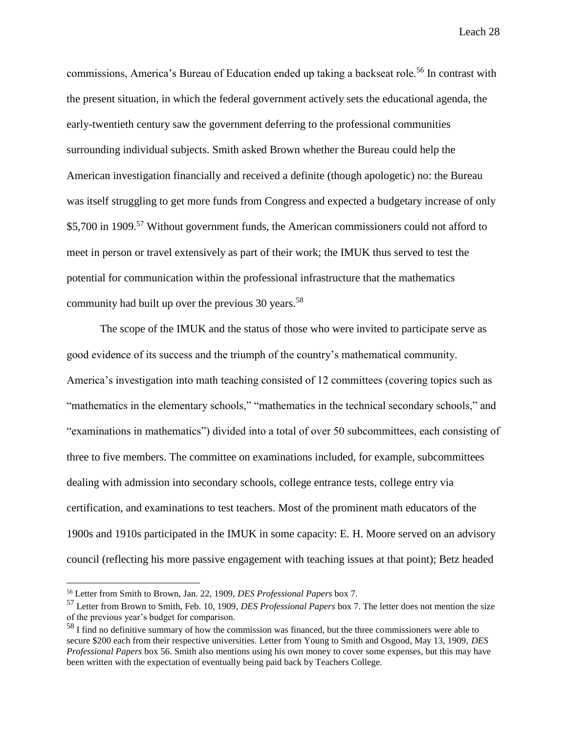commissions, America's Bureau of Education ended up taking a backseat role.<sup>56</sup> In contrast with the present situation, in which the federal government actively sets the educational agenda, the early-twentieth century saw the government deferring to the professional communities surrounding individual subjects. Smith asked Brown whether the Bureau could help the American investigation financially and received a definite (though apologetic) no: the Bureau was itself struggling to get more funds from Congress and expected a budgetary increase of only \$5,700 in 1909.<sup>57</sup> Without government funds, the American commissioners could not afford to meet in person or travel extensively as part of their work; the IMUK thus served to test the potential for communication within the professional infrastructure that the mathematics community had built up over the previous  $30$  years.<sup>58</sup>

The scope of the IMUK and the status of those who were invited to participate serve as good evidence of its success and the triumph of the country's mathematical community. America's investigation into math teaching consisted of 12 committees (covering topics such as "mathematics in the elementary schools," "mathematics in the technical secondary schools," and "examinations in mathematics") divided into a total of over 50 subcommittees, each consisting of three to five members. The committee on examinations included, for example, subcommittees dealing with admission into secondary schools, college entrance tests, college entry via certification, and examinations to test teachers. Most of the prominent math educators of the 1900s and 1910s participated in the IMUK in some capacity: E. H. Moore served on an advisory council (reflecting his more passive engagement with teaching issues at that point); Betz headed

<sup>56</sup> Letter from Smith to Brown, Jan. 22, 1909, *DES Professional Papers* box 7.

<sup>57</sup> Letter from Brown to Smith, Feb. 10, 1909, *DES Professional Papers* box 7. The letter does not mention the size of the previous year's budget for comparison.

<sup>&</sup>lt;sup>58</sup> I find no definitive summary of how the commission was financed, but the three commissioners were able to secure \$200 each from their respective universities. Letter from Young to Smith and Osgood, May 13, 1909, *DES Professional Papers* box 56. Smith also mentions using his own money to cover some expenses, but this may have been written with the expectation of eventually being paid back by Teachers College.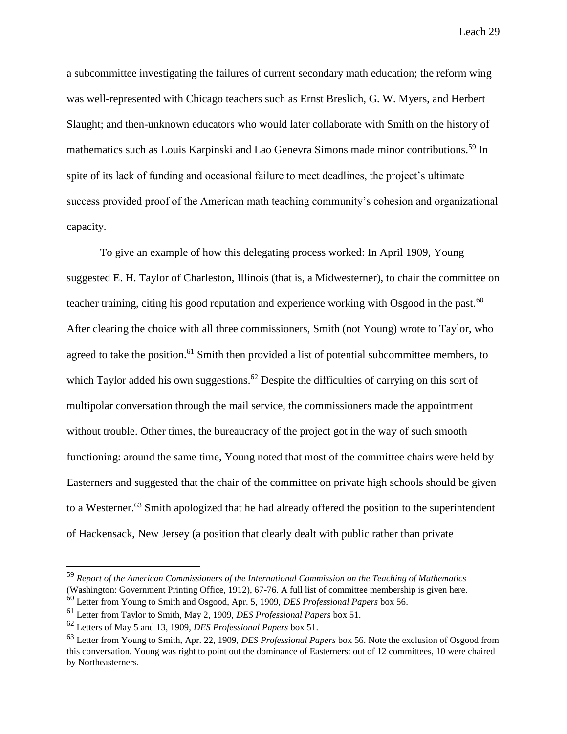a subcommittee investigating the failures of current secondary math education; the reform wing was well-represented with Chicago teachers such as Ernst Breslich, G. W. Myers, and Herbert Slaught; and then-unknown educators who would later collaborate with Smith on the history of mathematics such as Louis Karpinski and Lao Genevra Simons made minor contributions.<sup>59</sup> In spite of its lack of funding and occasional failure to meet deadlines, the project's ultimate success provided proof of the American math teaching community's cohesion and organizational capacity.

To give an example of how this delegating process worked: In April 1909, Young suggested E. H. Taylor of Charleston, Illinois (that is, a Midwesterner), to chair the committee on teacher training, citing his good reputation and experience working with Osgood in the past.<sup>60</sup> After clearing the choice with all three commissioners, Smith (not Young) wrote to Taylor, who agreed to take the position.<sup>61</sup> Smith then provided a list of potential subcommittee members, to which Taylor added his own suggestions.<sup>62</sup> Despite the difficulties of carrying on this sort of multipolar conversation through the mail service, the commissioners made the appointment without trouble. Other times, the bureaucracy of the project got in the way of such smooth functioning: around the same time, Young noted that most of the committee chairs were held by Easterners and suggested that the chair of the committee on private high schools should be given to a Westerner.<sup>63</sup> Smith apologized that he had already offered the position to the superintendent of Hackensack, New Jersey (a position that clearly dealt with public rather than private

<sup>59</sup> *Report of the American Commissioners of the International Commission on the Teaching of Mathematics* (Washington: Government Printing Office, 1912), 67-76. A full list of committee membership is given here. <sup>60</sup> Letter from Young to Smith and Osgood, Apr. 5, 1909, *DES Professional Papers* box 56.

<sup>61</sup> Letter from Taylor to Smith, May 2, 1909, *DES Professional Papers* box 51.

<sup>62</sup> Letters of May 5 and 13, 1909, *DES Professional Papers* box 51.

<sup>63</sup> Letter from Young to Smith, Apr. 22, 1909, *DES Professional Papers* box 56. Note the exclusion of Osgood from this conversation. Young was right to point out the dominance of Easterners: out of 12 committees, 10 were chaired by Northeasterners.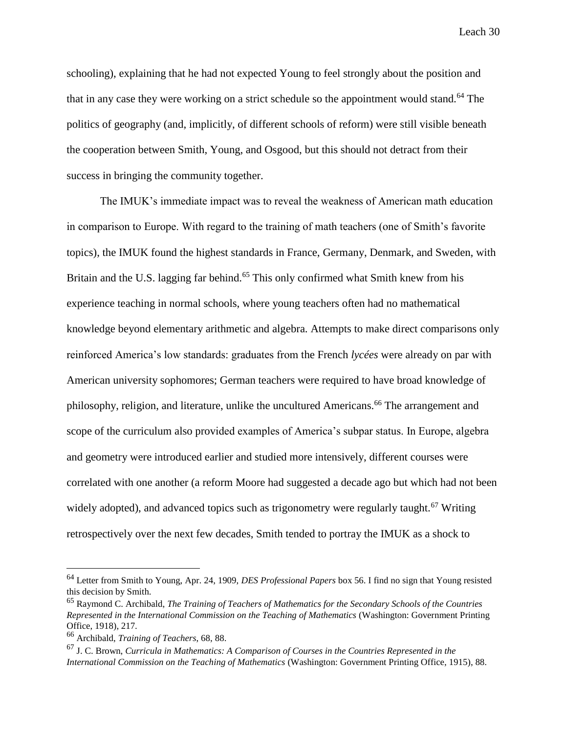schooling), explaining that he had not expected Young to feel strongly about the position and that in any case they were working on a strict schedule so the appointment would stand.<sup>64</sup> The politics of geography (and, implicitly, of different schools of reform) were still visible beneath the cooperation between Smith, Young, and Osgood, but this should not detract from their success in bringing the community together.

The IMUK's immediate impact was to reveal the weakness of American math education in comparison to Europe. With regard to the training of math teachers (one of Smith's favorite topics), the IMUK found the highest standards in France, Germany, Denmark, and Sweden, with Britain and the U.S. lagging far behind.<sup>65</sup> This only confirmed what Smith knew from his experience teaching in normal schools, where young teachers often had no mathematical knowledge beyond elementary arithmetic and algebra. Attempts to make direct comparisons only reinforced America's low standards: graduates from the French *lycées* were already on par with American university sophomores; German teachers were required to have broad knowledge of philosophy, religion, and literature, unlike the uncultured Americans.<sup>66</sup> The arrangement and scope of the curriculum also provided examples of America's subpar status. In Europe, algebra and geometry were introduced earlier and studied more intensively, different courses were correlated with one another (a reform Moore had suggested a decade ago but which had not been widely adopted), and advanced topics such as trigonometry were regularly taught.<sup>67</sup> Writing retrospectively over the next few decades, Smith tended to portray the IMUK as a shock to

<sup>64</sup> Letter from Smith to Young, Apr. 24, 1909, *DES Professional Papers* box 56. I find no sign that Young resisted this decision by Smith.

<sup>65</sup> Raymond C. Archibald, *The Training of Teachers of Mathematics for the Secondary Schools of the Countries Represented in the International Commission on the Teaching of Mathematics* (Washington: Government Printing Office, 1918), 217.

<sup>66</sup> Archibald, *Training of Teachers*, 68, 88.

<sup>67</sup> J. C. Brown, *Curricula in Mathematics: A Comparison of Courses in the Countries Represented in the International Commission on the Teaching of Mathematics* (Washington: Government Printing Office, 1915), 88.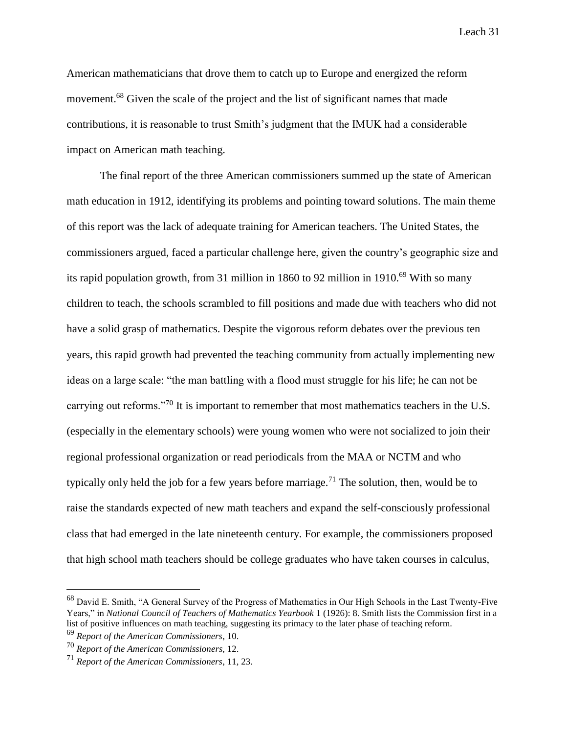American mathematicians that drove them to catch up to Europe and energized the reform movement.<sup>68</sup> Given the scale of the project and the list of significant names that made contributions, it is reasonable to trust Smith's judgment that the IMUK had a considerable impact on American math teaching.

The final report of the three American commissioners summed up the state of American math education in 1912, identifying its problems and pointing toward solutions. The main theme of this report was the lack of adequate training for American teachers. The United States, the commissioners argued, faced a particular challenge here, given the country's geographic size and its rapid population growth, from 31 million in 1860 to 92 million in 1910.<sup>69</sup> With so many children to teach, the schools scrambled to fill positions and made due with teachers who did not have a solid grasp of mathematics. Despite the vigorous reform debates over the previous ten years, this rapid growth had prevented the teaching community from actually implementing new ideas on a large scale: "the man battling with a flood must struggle for his life; he can not be carrying out reforms."<sup>70</sup> It is important to remember that most mathematics teachers in the U.S. (especially in the elementary schools) were young women who were not socialized to join their regional professional organization or read periodicals from the MAA or NCTM and who typically only held the job for a few years before marriage.<sup>71</sup> The solution, then, would be to raise the standards expected of new math teachers and expand the self-consciously professional class that had emerged in the late nineteenth century. For example, the commissioners proposed that high school math teachers should be college graduates who have taken courses in calculus,

<sup>&</sup>lt;sup>68</sup> David E. Smith, "A General Survey of the Progress of Mathematics in Our High Schools in the Last Twenty-Five Years," in *National Council of Teachers of Mathematics Yearbook* 1 (1926): 8. Smith lists the Commission first in a list of positive influences on math teaching, suggesting its primacy to the later phase of teaching reform. <sup>69</sup> *Report of the American Commissioners*, 10.

<sup>70</sup> *Report of the American Commissioners*, 12.

<sup>71</sup> *Report of the American Commissioners*, 11, 23.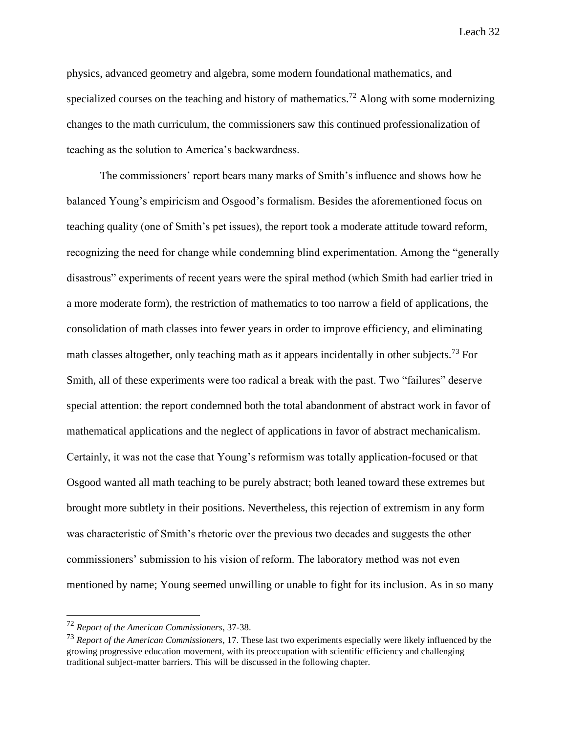physics, advanced geometry and algebra, some modern foundational mathematics, and specialized courses on the teaching and history of mathematics.<sup>72</sup> Along with some modernizing changes to the math curriculum, the commissioners saw this continued professionalization of teaching as the solution to America's backwardness.

The commissioners' report bears many marks of Smith's influence and shows how he balanced Young's empiricism and Osgood's formalism. Besides the aforementioned focus on teaching quality (one of Smith's pet issues), the report took a moderate attitude toward reform, recognizing the need for change while condemning blind experimentation. Among the "generally disastrous" experiments of recent years were the spiral method (which Smith had earlier tried in a more moderate form), the restriction of mathematics to too narrow a field of applications, the consolidation of math classes into fewer years in order to improve efficiency, and eliminating math classes altogether, only teaching math as it appears incidentally in other subjects.<sup>73</sup> For Smith, all of these experiments were too radical a break with the past. Two "failures" deserve special attention: the report condemned both the total abandonment of abstract work in favor of mathematical applications and the neglect of applications in favor of abstract mechanicalism. Certainly, it was not the case that Young's reformism was totally application-focused or that Osgood wanted all math teaching to be purely abstract; both leaned toward these extremes but brought more subtlety in their positions. Nevertheless, this rejection of extremism in any form was characteristic of Smith's rhetoric over the previous two decades and suggests the other commissioners' submission to his vision of reform. The laboratory method was not even mentioned by name; Young seemed unwilling or unable to fight for its inclusion. As in so many

<sup>72</sup> *Report of the American Commissioners*, 37-38.

<sup>73</sup> *Report of the American Commissioners*, 17. These last two experiments especially were likely influenced by the growing progressive education movement, with its preoccupation with scientific efficiency and challenging traditional subject-matter barriers. This will be discussed in the following chapter.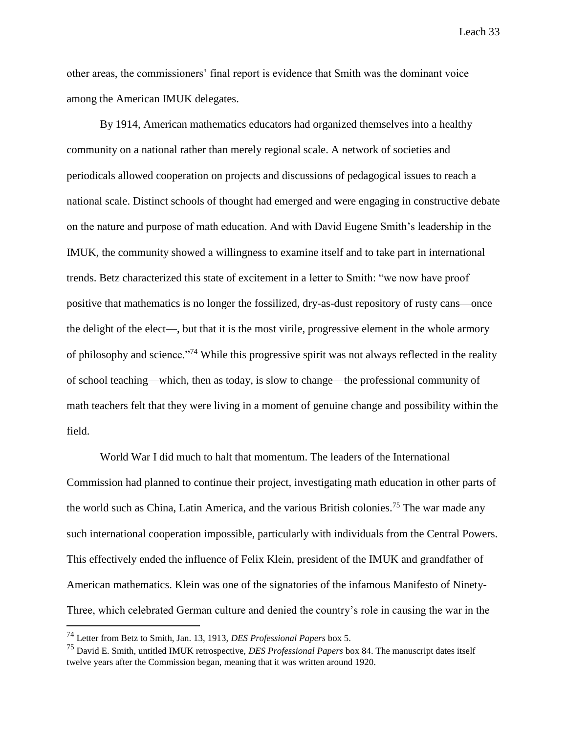other areas, the commissioners' final report is evidence that Smith was the dominant voice among the American IMUK delegates.

By 1914, American mathematics educators had organized themselves into a healthy community on a national rather than merely regional scale. A network of societies and periodicals allowed cooperation on projects and discussions of pedagogical issues to reach a national scale. Distinct schools of thought had emerged and were engaging in constructive debate on the nature and purpose of math education. And with David Eugene Smith's leadership in the IMUK, the community showed a willingness to examine itself and to take part in international trends. Betz characterized this state of excitement in a letter to Smith: "we now have proof positive that mathematics is no longer the fossilized, dry-as-dust repository of rusty cans—once the delight of the elect—, but that it is the most virile, progressive element in the whole armory of philosophy and science."<sup>74</sup> While this progressive spirit was not always reflected in the reality of school teaching—which, then as today, is slow to change—the professional community of math teachers felt that they were living in a moment of genuine change and possibility within the field.

World War I did much to halt that momentum. The leaders of the International Commission had planned to continue their project, investigating math education in other parts of the world such as China, Latin America, and the various British colonies.<sup>75</sup> The war made any such international cooperation impossible, particularly with individuals from the Central Powers. This effectively ended the influence of Felix Klein, president of the IMUK and grandfather of American mathematics. Klein was one of the signatories of the infamous Manifesto of Ninety-Three, which celebrated German culture and denied the country's role in causing the war in the

<sup>74</sup> Letter from Betz to Smith, Jan. 13, 1913, *DES Professional Papers* box 5.

<sup>75</sup> David E. Smith, untitled IMUK retrospective, *DES Professional Papers* box 84. The manuscript dates itself twelve years after the Commission began, meaning that it was written around 1920.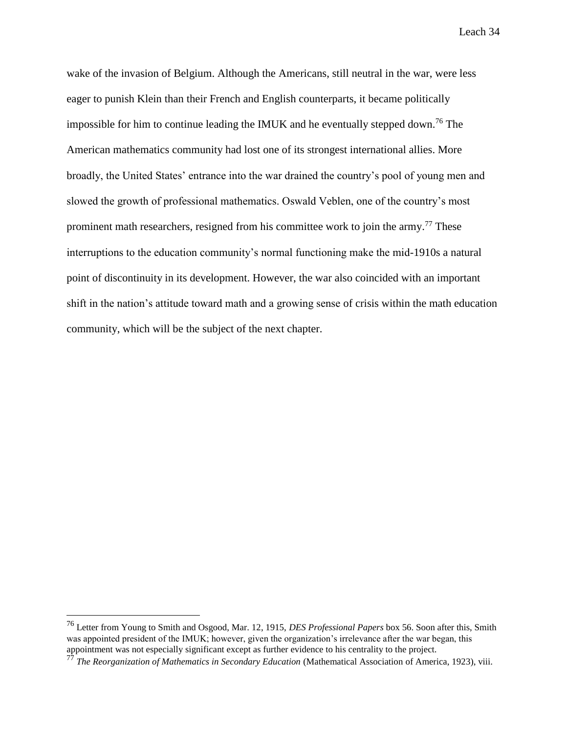wake of the invasion of Belgium. Although the Americans, still neutral in the war, were less eager to punish Klein than their French and English counterparts, it became politically impossible for him to continue leading the IMUK and he eventually stepped down.<sup>76</sup> The American mathematics community had lost one of its strongest international allies. More broadly, the United States' entrance into the war drained the country's pool of young men and slowed the growth of professional mathematics. Oswald Veblen, one of the country's most prominent math researchers, resigned from his committee work to join the army.<sup>77</sup> These interruptions to the education community's normal functioning make the mid-1910s a natural point of discontinuity in its development. However, the war also coincided with an important shift in the nation's attitude toward math and a growing sense of crisis within the math education community, which will be the subject of the next chapter.

<sup>76</sup> Letter from Young to Smith and Osgood, Mar. 12, 1915, *DES Professional Papers* box 56. Soon after this, Smith was appointed president of the IMUK; however, given the organization's irrelevance after the war began, this appointment was not especially significant except as further evidence to his centrality to the project.

<sup>77</sup> *The Reorganization of Mathematics in Secondary Education* (Mathematical Association of America, 1923), viii.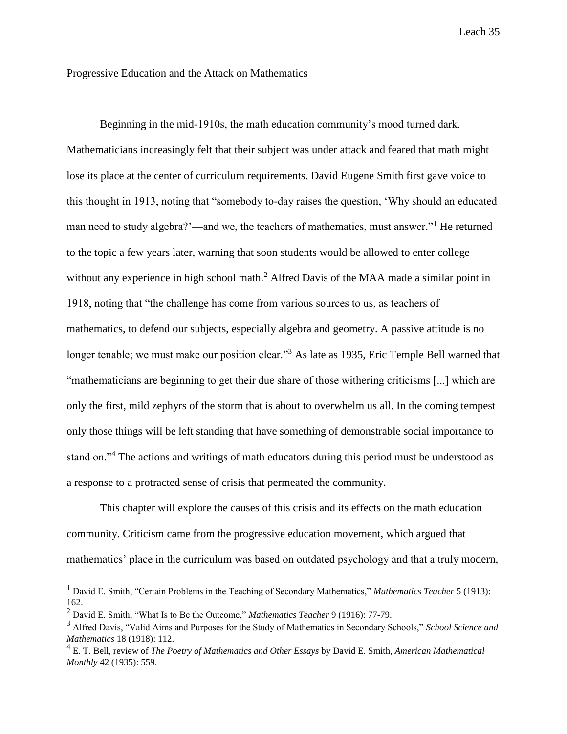Progressive Education and the Attack on Mathematics

Beginning in the mid-1910s, the math education community's mood turned dark. Mathematicians increasingly felt that their subject was under attack and feared that math might lose its place at the center of curriculum requirements. David Eugene Smith first gave voice to this thought in 1913, noting that "somebody to-day raises the question, 'Why should an educated man need to study algebra?'—and we, the teachers of mathematics, must answer."<sup>1</sup> He returned to the topic a few years later, warning that soon students would be allowed to enter college without any experience in high school math.<sup>2</sup> Alfred Davis of the MAA made a similar point in 1918, noting that "the challenge has come from various sources to us, as teachers of mathematics, to defend our subjects, especially algebra and geometry. A passive attitude is no longer tenable; we must make our position clear."<sup>3</sup> As late as 1935, Eric Temple Bell warned that "mathematicians are beginning to get their due share of those withering criticisms [...] which are only the first, mild zephyrs of the storm that is about to overwhelm us all. In the coming tempest only those things will be left standing that have something of demonstrable social importance to stand on."<sup>4</sup> The actions and writings of math educators during this period must be understood as a response to a protracted sense of crisis that permeated the community.

This chapter will explore the causes of this crisis and its effects on the math education community. Criticism came from the progressive education movement, which argued that mathematics' place in the curriculum was based on outdated psychology and that a truly modern,

<sup>1</sup> David E. Smith, "Certain Problems in the Teaching of Secondary Mathematics," *Mathematics Teacher* 5 (1913): 162.

<sup>2</sup> David E. Smith, "What Is to Be the Outcome," *Mathematics Teacher* 9 (1916): 77-79.

<sup>3</sup> Alfred Davis, "Valid Aims and Purposes for the Study of Mathematics in Secondary Schools," *School Science and Mathematics* 18 (1918): 112.

<sup>4</sup> E. T. Bell, review of *The Poetry of Mathematics and Other Essays* by David E. Smith, *American Mathematical Monthly* 42 (1935): 559.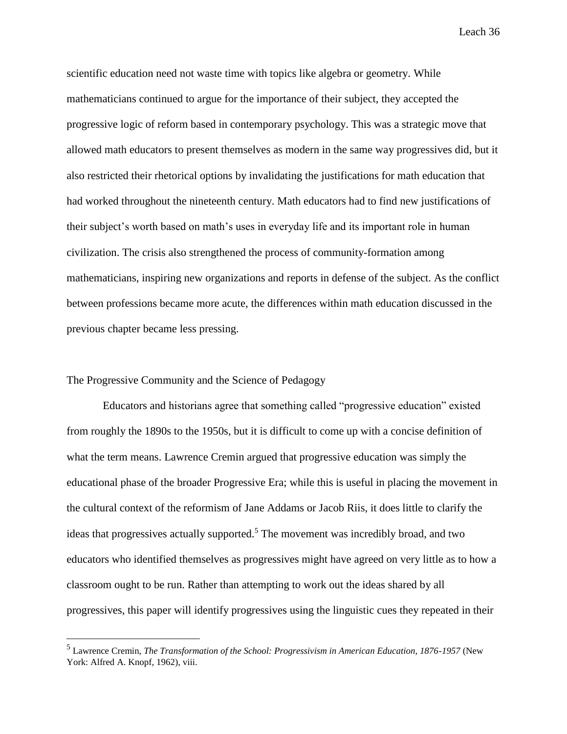scientific education need not waste time with topics like algebra or geometry. While mathematicians continued to argue for the importance of their subject, they accepted the progressive logic of reform based in contemporary psychology. This was a strategic move that allowed math educators to present themselves as modern in the same way progressives did, but it also restricted their rhetorical options by invalidating the justifications for math education that had worked throughout the nineteenth century. Math educators had to find new justifications of their subject's worth based on math's uses in everyday life and its important role in human civilization. The crisis also strengthened the process of community-formation among mathematicians, inspiring new organizations and reports in defense of the subject. As the conflict between professions became more acute, the differences within math education discussed in the previous chapter became less pressing.

## The Progressive Community and the Science of Pedagogy

 $\overline{a}$ 

Educators and historians agree that something called "progressive education" existed from roughly the 1890s to the 1950s, but it is difficult to come up with a concise definition of what the term means. Lawrence Cremin argued that progressive education was simply the educational phase of the broader Progressive Era; while this is useful in placing the movement in the cultural context of the reformism of Jane Addams or Jacob Riis, it does little to clarify the ideas that progressives actually supported.<sup>5</sup> The movement was incredibly broad, and two educators who identified themselves as progressives might have agreed on very little as to how a classroom ought to be run. Rather than attempting to work out the ideas shared by all progressives, this paper will identify progressives using the linguistic cues they repeated in their

<sup>5</sup> Lawrence Cremin, *The Transformation of the School: Progressivism in American Education, 1876-1957* (New York: Alfred A. Knopf, 1962), viii.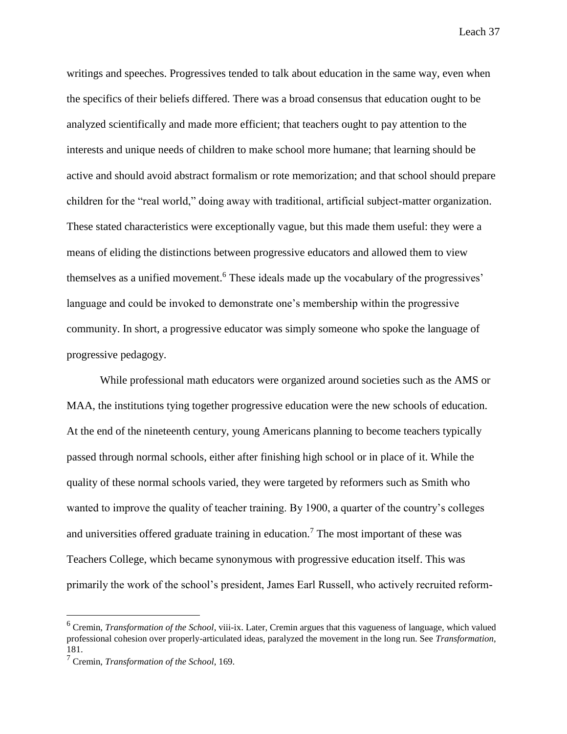writings and speeches. Progressives tended to talk about education in the same way, even when the specifics of their beliefs differed. There was a broad consensus that education ought to be analyzed scientifically and made more efficient; that teachers ought to pay attention to the interests and unique needs of children to make school more humane; that learning should be active and should avoid abstract formalism or rote memorization; and that school should prepare children for the "real world," doing away with traditional, artificial subject-matter organization. These stated characteristics were exceptionally vague, but this made them useful: they were a means of eliding the distinctions between progressive educators and allowed them to view themselves as a unified movement.<sup>6</sup> These ideals made up the vocabulary of the progressives' language and could be invoked to demonstrate one's membership within the progressive community. In short, a progressive educator was simply someone who spoke the language of progressive pedagogy.

While professional math educators were organized around societies such as the AMS or MAA, the institutions tying together progressive education were the new schools of education. At the end of the nineteenth century, young Americans planning to become teachers typically passed through normal schools, either after finishing high school or in place of it. While the quality of these normal schools varied, they were targeted by reformers such as Smith who wanted to improve the quality of teacher training. By 1900, a quarter of the country's colleges and universities offered graduate training in education.<sup>7</sup> The most important of these was Teachers College, which became synonymous with progressive education itself. This was primarily the work of the school's president, James Earl Russell, who actively recruited reform-

<sup>6</sup> Cremin, *Transformation of the School*, viii-ix. Later, Cremin argues that this vagueness of language, which valued professional cohesion over properly-articulated ideas, paralyzed the movement in the long run. See *Transformation*, 181.

<sup>7</sup> Cremin, *Transformation of the School*, 169.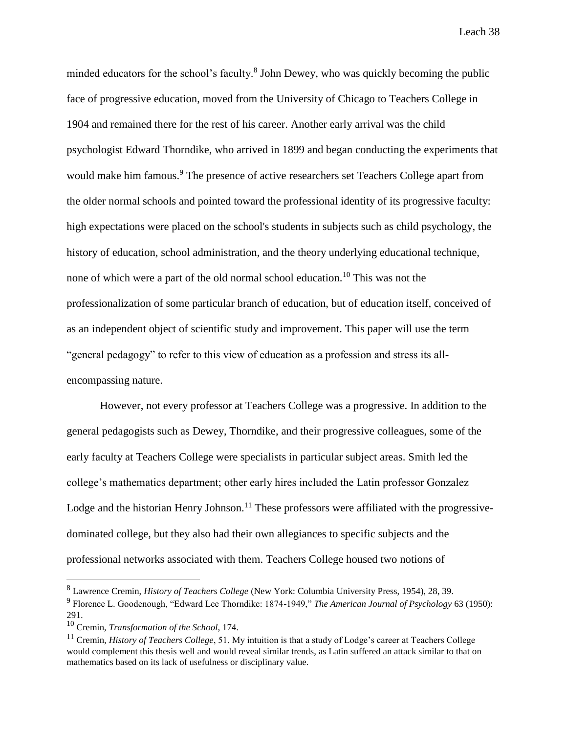minded educators for the school's faculty.<sup>8</sup> John Dewey, who was quickly becoming the public face of progressive education, moved from the University of Chicago to Teachers College in 1904 and remained there for the rest of his career. Another early arrival was the child psychologist Edward Thorndike, who arrived in 1899 and began conducting the experiments that would make him famous.<sup>9</sup> The presence of active researchers set Teachers College apart from the older normal schools and pointed toward the professional identity of its progressive faculty: high expectations were placed on the school's students in subjects such as child psychology, the history of education, school administration, and the theory underlying educational technique, none of which were a part of the old normal school education.<sup>10</sup> This was not the professionalization of some particular branch of education, but of education itself, conceived of as an independent object of scientific study and improvement. This paper will use the term "general pedagogy" to refer to this view of education as a profession and stress its allencompassing nature.

However, not every professor at Teachers College was a progressive. In addition to the general pedagogists such as Dewey, Thorndike, and their progressive colleagues, some of the early faculty at Teachers College were specialists in particular subject areas. Smith led the college's mathematics department; other early hires included the Latin professor Gonzalez Lodge and the historian Henry Johnson.<sup>11</sup> These professors were affiliated with the progressivedominated college, but they also had their own allegiances to specific subjects and the professional networks associated with them. Teachers College housed two notions of

<sup>8</sup> Lawrence Cremin, *History of Teachers College* (New York: Columbia University Press, 1954), 28, 39.

<sup>9</sup> Florence L. Goodenough, "Edward Lee Thorndike: 1874-1949," *The American Journal of Psychology* 63 (1950): 291.

<sup>10</sup> Cremin, *Transformation of the School*, 174.

<sup>&</sup>lt;sup>11</sup> Cremin, *History of Teachers College*, 51. My intuition is that a study of Lodge's career at Teachers College would complement this thesis well and would reveal similar trends, as Latin suffered an attack similar to that on mathematics based on its lack of usefulness or disciplinary value.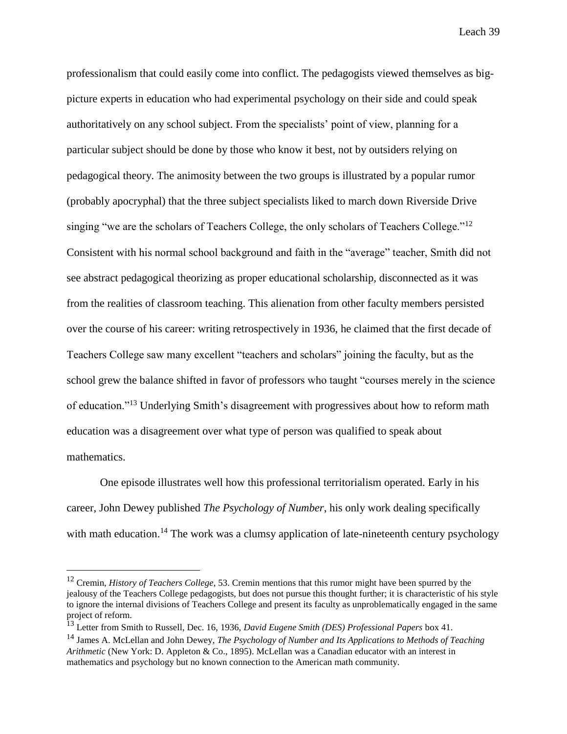professionalism that could easily come into conflict. The pedagogists viewed themselves as bigpicture experts in education who had experimental psychology on their side and could speak authoritatively on any school subject. From the specialists' point of view, planning for a particular subject should be done by those who know it best, not by outsiders relying on pedagogical theory. The animosity between the two groups is illustrated by a popular rumor (probably apocryphal) that the three subject specialists liked to march down Riverside Drive singing "we are the scholars of Teachers College, the only scholars of Teachers College."<sup>12</sup> Consistent with his normal school background and faith in the "average" teacher, Smith did not see abstract pedagogical theorizing as proper educational scholarship, disconnected as it was from the realities of classroom teaching. This alienation from other faculty members persisted over the course of his career: writing retrospectively in 1936, he claimed that the first decade of Teachers College saw many excellent "teachers and scholars" joining the faculty, but as the school grew the balance shifted in favor of professors who taught "courses merely in the science of education."<sup>13</sup> Underlying Smith's disagreement with progressives about how to reform math education was a disagreement over what type of person was qualified to speak about mathematics.

One episode illustrates well how this professional territorialism operated. Early in his career, John Dewey published *The Psychology of Number*, his only work dealing specifically with math education.<sup>14</sup> The work was a clumsy application of late-nineteenth century psychology

<sup>&</sup>lt;sup>12</sup> Cremin, *History of Teachers College*, 53. Cremin mentions that this rumor might have been spurred by the jealousy of the Teachers College pedagogists, but does not pursue this thought further; it is characteristic of his style to ignore the internal divisions of Teachers College and present its faculty as unproblematically engaged in the same project of reform.

<sup>13</sup> Letter from Smith to Russell, Dec. 16, 1936, *David Eugene Smith (DES) Professional Papers* box 41.

<sup>14</sup> James A. McLellan and John Dewey, *The Psychology of Number and Its Applications to Methods of Teaching Arithmetic* (New York: D. Appleton & Co., 1895). McLellan was a Canadian educator with an interest in mathematics and psychology but no known connection to the American math community.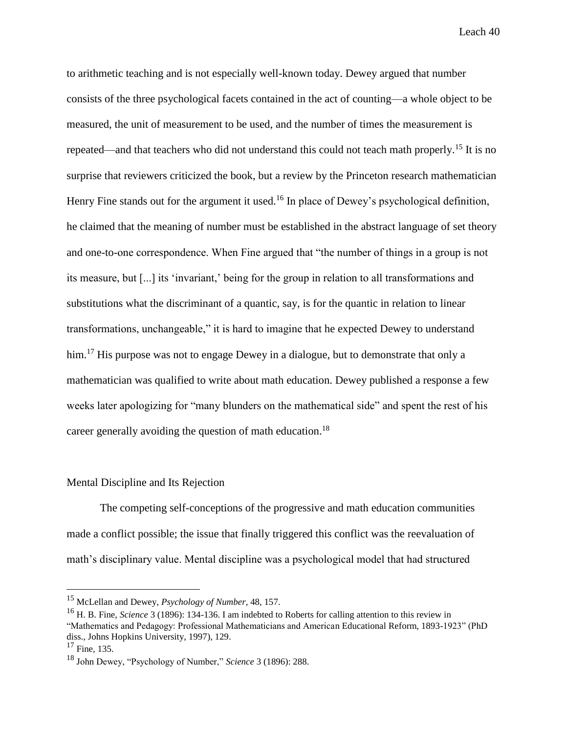to arithmetic teaching and is not especially well-known today. Dewey argued that number consists of the three psychological facets contained in the act of counting—a whole object to be measured, the unit of measurement to be used, and the number of times the measurement is repeated—and that teachers who did not understand this could not teach math properly.<sup>15</sup> It is no surprise that reviewers criticized the book, but a review by the Princeton research mathematician Henry Fine stands out for the argument it used.<sup>16</sup> In place of Dewey's psychological definition, he claimed that the meaning of number must be established in the abstract language of set theory and one-to-one correspondence. When Fine argued that "the number of things in a group is not its measure, but [...] its 'invariant,' being for the group in relation to all transformations and substitutions what the discriminant of a quantic, say, is for the quantic in relation to linear transformations, unchangeable," it is hard to imagine that he expected Dewey to understand him.<sup>17</sup> His purpose was not to engage Dewey in a dialogue, but to demonstrate that only a mathematician was qualified to write about math education. Dewey published a response a few weeks later apologizing for "many blunders on the mathematical side" and spent the rest of his career generally avoiding the question of math education.<sup>18</sup>

#### Mental Discipline and Its Rejection

The competing self-conceptions of the progressive and math education communities made a conflict possible; the issue that finally triggered this conflict was the reevaluation of math's disciplinary value. Mental discipline was a psychological model that had structured

<sup>15</sup> McLellan and Dewey, *Psychology of Number*, 48, 157.

<sup>16</sup> H. B. Fine, *Science* 3 (1896): 134-136. I am indebted to Roberts for calling attention to this review in "Mathematics and Pedagogy: Professional Mathematicians and American Educational Reform, 1893-1923" (PhD diss., Johns Hopkins University, 1997), 129.

 $17$  Fine, 135.

<sup>18</sup> John Dewey, "Psychology of Number," *Science* 3 (1896): 288.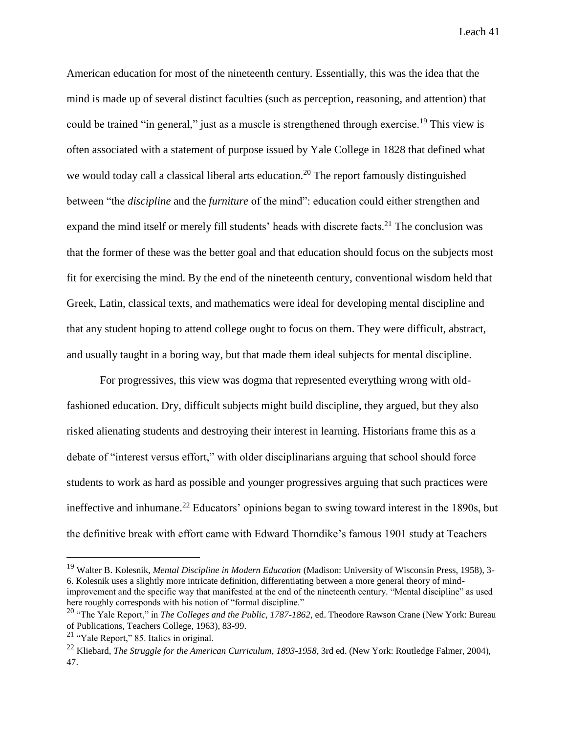American education for most of the nineteenth century. Essentially, this was the idea that the mind is made up of several distinct faculties (such as perception, reasoning, and attention) that could be trained "in general," just as a muscle is strengthened through exercise.<sup>19</sup> This view is often associated with a statement of purpose issued by Yale College in 1828 that defined what we would today call a classical liberal arts education.<sup>20</sup> The report famously distinguished between "the *discipline* and the *furniture* of the mind": education could either strengthen and expand the mind itself or merely fill students' heads with discrete facts.<sup>21</sup> The conclusion was that the former of these was the better goal and that education should focus on the subjects most fit for exercising the mind. By the end of the nineteenth century, conventional wisdom held that Greek, Latin, classical texts, and mathematics were ideal for developing mental discipline and that any student hoping to attend college ought to focus on them. They were difficult, abstract, and usually taught in a boring way, but that made them ideal subjects for mental discipline.

For progressives, this view was dogma that represented everything wrong with oldfashioned education. Dry, difficult subjects might build discipline, they argued, but they also risked alienating students and destroying their interest in learning. Historians frame this as a debate of "interest versus effort," with older disciplinarians arguing that school should force students to work as hard as possible and younger progressives arguing that such practices were ineffective and inhumane.<sup>22</sup> Educators' opinions began to swing toward interest in the 1890s, but the definitive break with effort came with Edward Thorndike's famous 1901 study at Teachers

<sup>19</sup> Walter B. Kolesnik, *Mental Discipline in Modern Education* (Madison: University of Wisconsin Press, 1958), 3- 6. Kolesnik uses a slightly more intricate definition, differentiating between a more general theory of mindimprovement and the specific way that manifested at the end of the nineteenth century. "Mental discipline" as used here roughly corresponds with his notion of "formal discipline."

<sup>&</sup>lt;sup>20</sup> "The Yale Report," in *The Colleges and the Public, 1787-1862*, ed. Theodore Rawson Crane (New York: Bureau of Publications, Teachers College, 1963), 83-99.

 $21$  "Yale Report," 85. Italics in original.

<sup>22</sup> Kliebard, *The Struggle for the American Curriculum*, *1893-1958*, 3rd ed. (New York: Routledge Falmer, 2004), 47.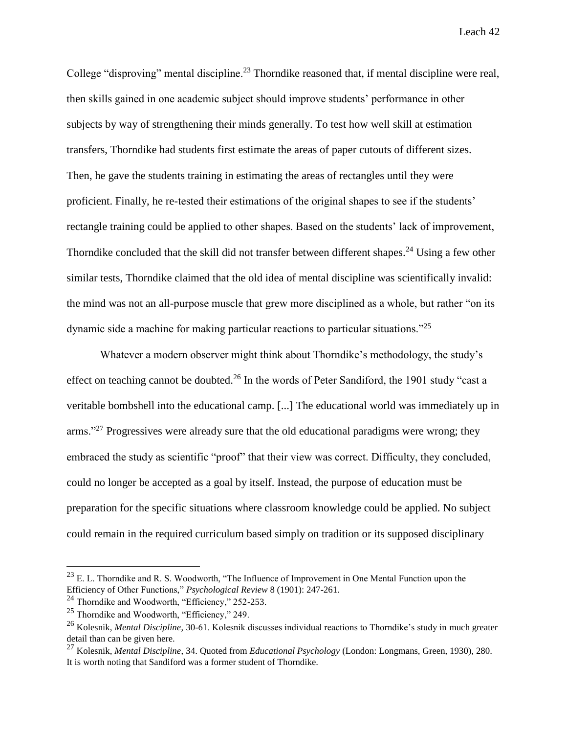College "disproving" mental discipline.<sup>23</sup> Thorndike reasoned that, if mental discipline were real, then skills gained in one academic subject should improve students' performance in other subjects by way of strengthening their minds generally. To test how well skill at estimation transfers, Thorndike had students first estimate the areas of paper cutouts of different sizes. Then, he gave the students training in estimating the areas of rectangles until they were proficient. Finally, he re-tested their estimations of the original shapes to see if the students' rectangle training could be applied to other shapes. Based on the students' lack of improvement, Thorndike concluded that the skill did not transfer between different shapes.<sup>24</sup> Using a few other similar tests, Thorndike claimed that the old idea of mental discipline was scientifically invalid: the mind was not an all-purpose muscle that grew more disciplined as a whole, but rather "on its dynamic side a machine for making particular reactions to particular situations."<sup>25</sup>

Whatever a modern observer might think about Thorndike's methodology, the study's effect on teaching cannot be doubted.<sup>26</sup> In the words of Peter Sandiford, the 1901 study "cast a veritable bombshell into the educational camp. [...] The educational world was immediately up in arms."<sup>27</sup> Progressives were already sure that the old educational paradigms were wrong; they embraced the study as scientific "proof" that their view was correct. Difficulty, they concluded, could no longer be accepted as a goal by itself. Instead, the purpose of education must be preparation for the specific situations where classroom knowledge could be applied. No subject could remain in the required curriculum based simply on tradition or its supposed disciplinary

 $^{23}$  E. L. Thorndike and R. S. Woodworth, "The Influence of Improvement in One Mental Function upon the Efficiency of Other Functions," *Psychological Review* 8 (1901): 247-261.

<sup>&</sup>lt;sup>24</sup> Thorndike and Woodworth, "Efficiency," 252-253.

<sup>25</sup> Thorndike and Woodworth, "Efficiency," 249.

<sup>26</sup> Kolesnik, *Mental Discipline*, 30-61. Kolesnik discusses individual reactions to Thorndike's study in much greater detail than can be given here.

<sup>27</sup> Kolesnik, *Mental Discipline*, 34. Quoted from *Educational Psychology* (London: Longmans, Green, 1930), 280. It is worth noting that Sandiford was a former student of Thorndike.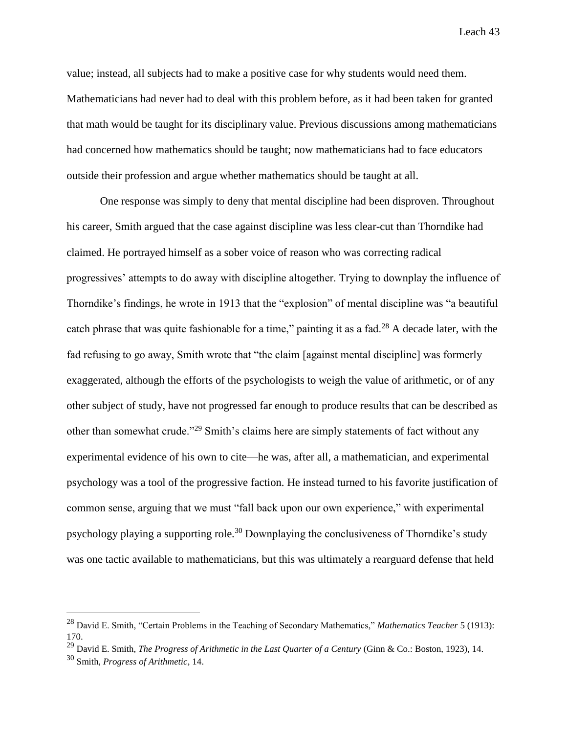value; instead, all subjects had to make a positive case for why students would need them. Mathematicians had never had to deal with this problem before, as it had been taken for granted that math would be taught for its disciplinary value. Previous discussions among mathematicians had concerned how mathematics should be taught; now mathematicians had to face educators outside their profession and argue whether mathematics should be taught at all.

One response was simply to deny that mental discipline had been disproven. Throughout his career, Smith argued that the case against discipline was less clear-cut than Thorndike had claimed. He portrayed himself as a sober voice of reason who was correcting radical progressives' attempts to do away with discipline altogether. Trying to downplay the influence of Thorndike's findings, he wrote in 1913 that the "explosion" of mental discipline was "a beautiful catch phrase that was quite fashionable for a time," painting it as a fad.<sup>28</sup> A decade later, with the fad refusing to go away, Smith wrote that "the claim [against mental discipline] was formerly exaggerated, although the efforts of the psychologists to weigh the value of arithmetic, or of any other subject of study, have not progressed far enough to produce results that can be described as other than somewhat crude."<sup>29</sup> Smith's claims here are simply statements of fact without any experimental evidence of his own to cite—he was, after all, a mathematician, and experimental psychology was a tool of the progressive faction. He instead turned to his favorite justification of common sense, arguing that we must "fall back upon our own experience," with experimental psychology playing a supporting role.<sup>30</sup> Downplaying the conclusiveness of Thorndike's study was one tactic available to mathematicians, but this was ultimately a rearguard defense that held

<sup>28</sup> David E. Smith, "Certain Problems in the Teaching of Secondary Mathematics," *Mathematics Teacher* 5 (1913): 170.

<sup>29</sup> David E. Smith, *The Progress of Arithmetic in the Last Quarter of a Century* (Ginn & Co.: Boston, 1923), 14.

<sup>30</sup> Smith, *Progress of Arithmetic*, 14.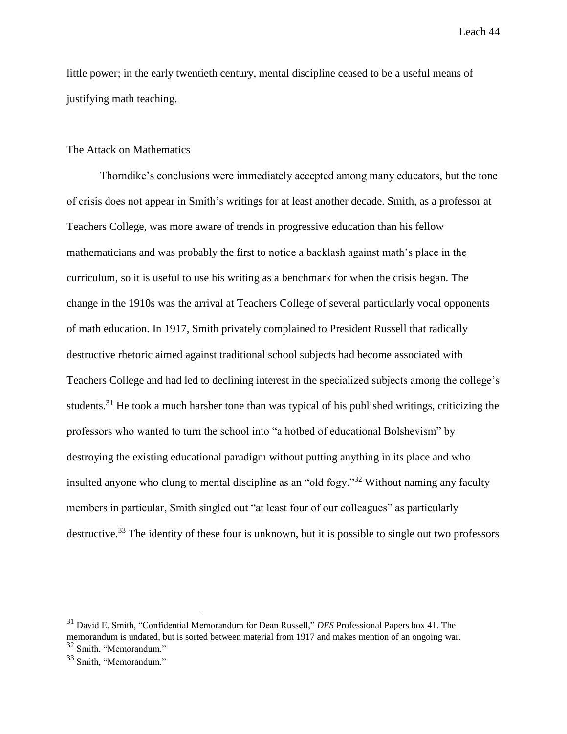little power; in the early twentieth century, mental discipline ceased to be a useful means of justifying math teaching.

# The Attack on Mathematics

Thorndike's conclusions were immediately accepted among many educators, but the tone of crisis does not appear in Smith's writings for at least another decade. Smith, as a professor at Teachers College, was more aware of trends in progressive education than his fellow mathematicians and was probably the first to notice a backlash against math's place in the curriculum, so it is useful to use his writing as a benchmark for when the crisis began. The change in the 1910s was the arrival at Teachers College of several particularly vocal opponents of math education. In 1917, Smith privately complained to President Russell that radically destructive rhetoric aimed against traditional school subjects had become associated with Teachers College and had led to declining interest in the specialized subjects among the college's students.<sup>31</sup> He took a much harsher tone than was typical of his published writings, criticizing the professors who wanted to turn the school into "a hotbed of educational Bolshevism" by destroying the existing educational paradigm without putting anything in its place and who insulted anyone who clung to mental discipline as an "old fogy."<sup>32</sup> Without naming any faculty members in particular, Smith singled out "at least four of our colleagues" as particularly destructive.<sup>33</sup> The identity of these four is unknown, but it is possible to single out two professors

<sup>31</sup> David E. Smith, "Confidential Memorandum for Dean Russell," *DES* Professional Papers box 41. The memorandum is undated, but is sorted between material from 1917 and makes mention of an ongoing war. <sup>32</sup> Smith, "Memorandum."

<sup>33</sup> Smith, "Memorandum."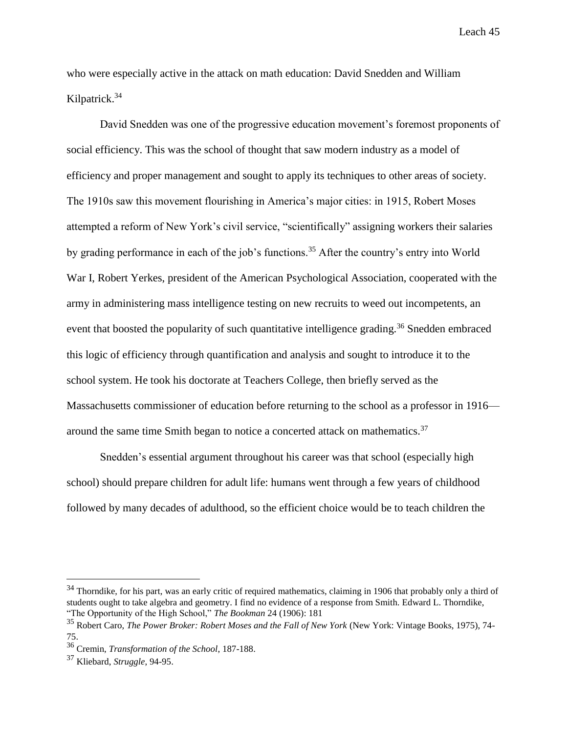who were especially active in the attack on math education: David Snedden and William Kilpatrick.<sup>34</sup>

David Snedden was one of the progressive education movement's foremost proponents of social efficiency. This was the school of thought that saw modern industry as a model of efficiency and proper management and sought to apply its techniques to other areas of society. The 1910s saw this movement flourishing in America's major cities: in 1915, Robert Moses attempted a reform of New York's civil service, "scientifically" assigning workers their salaries by grading performance in each of the job's functions.<sup>35</sup> After the country's entry into World War I, Robert Yerkes, president of the American Psychological Association, cooperated with the army in administering mass intelligence testing on new recruits to weed out incompetents, an event that boosted the popularity of such quantitative intelligence grading.<sup>36</sup> Snedden embraced this logic of efficiency through quantification and analysis and sought to introduce it to the school system. He took his doctorate at Teachers College, then briefly served as the Massachusetts commissioner of education before returning to the school as a professor in 1916 around the same time Smith began to notice a concerted attack on mathematics.<sup>37</sup>

Snedden's essential argument throughout his career was that school (especially high school) should prepare children for adult life: humans went through a few years of childhood followed by many decades of adulthood, so the efficient choice would be to teach children the

<sup>&</sup>lt;sup>34</sup> Thorndike, for his part, was an early critic of required mathematics, claiming in 1906 that probably only a third of students ought to take algebra and geometry. I find no evidence of a response from Smith. Edward L. Thorndike, "The Opportunity of the High School," *The Bookman* 24 (1906): 181

<sup>35</sup> Robert Caro, *The Power Broker: Robert Moses and the Fall of New York* (New York: Vintage Books, 1975), 74- 75.

<sup>36</sup> Cremin, *Transformation of the School*, 187-188.

<sup>37</sup> Kliebard, *Struggle*, 94-95.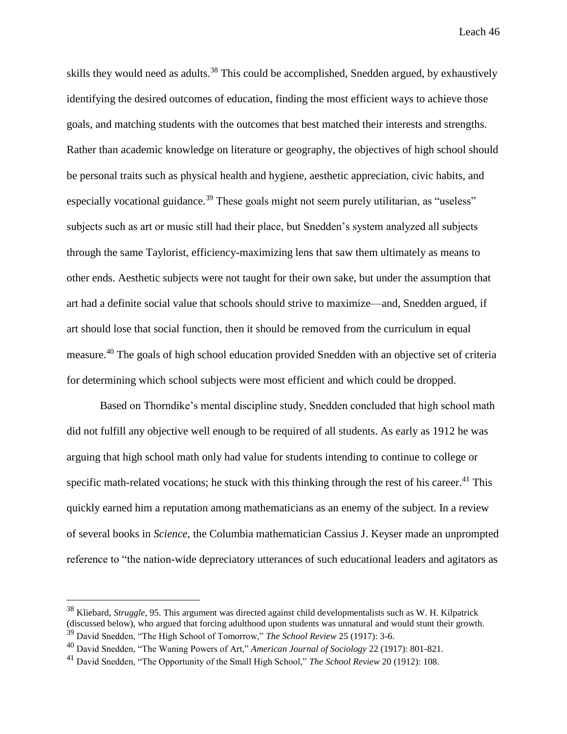skills they would need as adults.<sup>38</sup> This could be accomplished, Snedden argued, by exhaustively identifying the desired outcomes of education, finding the most efficient ways to achieve those goals, and matching students with the outcomes that best matched their interests and strengths. Rather than academic knowledge on literature or geography, the objectives of high school should be personal traits such as physical health and hygiene, aesthetic appreciation, civic habits, and especially vocational guidance.<sup>39</sup> These goals might not seem purely utilitarian, as "useless" subjects such as art or music still had their place, but Snedden's system analyzed all subjects through the same Taylorist, efficiency-maximizing lens that saw them ultimately as means to other ends. Aesthetic subjects were not taught for their own sake, but under the assumption that art had a definite social value that schools should strive to maximize—and, Snedden argued, if art should lose that social function, then it should be removed from the curriculum in equal measure.<sup>40</sup> The goals of high school education provided Snedden with an objective set of criteria for determining which school subjects were most efficient and which could be dropped.

Based on Thorndike's mental discipline study, Snedden concluded that high school math did not fulfill any objective well enough to be required of all students. As early as 1912 he was arguing that high school math only had value for students intending to continue to college or specific math-related vocations; he stuck with this thinking through the rest of his career.<sup>41</sup> This quickly earned him a reputation among mathematicians as an enemy of the subject. In a review of several books in *Science*, the Columbia mathematician Cassius J. Keyser made an unprompted reference to "the nation-wide depreciatory utterances of such educational leaders and agitators as

<sup>38</sup> Kliebard, *Struggle*, 95. This argument was directed against child developmentalists such as W. H. Kilpatrick (discussed below), who argued that forcing adulthood upon students was unnatural and would stunt their growth. <sup>39</sup> David Snedden, "The High School of Tomorrow," *The School Review* 25 (1917): 3-6.

<sup>40</sup> David Snedden, "The Waning Powers of Art," *American Journal of Sociology* 22 (1917): 801-821.

<sup>41</sup> David Snedden, "The Opportunity of the Small High School," *The School Review* 20 (1912): 108.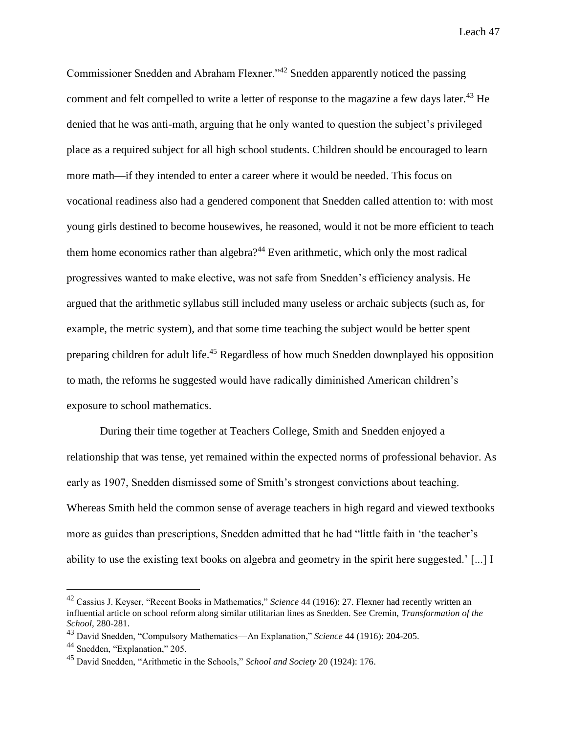Commissioner Snedden and Abraham Flexner."<sup>42</sup> Snedden apparently noticed the passing comment and felt compelled to write a letter of response to the magazine a few days later.<sup>43</sup> He denied that he was anti-math, arguing that he only wanted to question the subject's privileged place as a required subject for all high school students. Children should be encouraged to learn more math—if they intended to enter a career where it would be needed. This focus on vocational readiness also had a gendered component that Snedden called attention to: with most young girls destined to become housewives, he reasoned, would it not be more efficient to teach them home economics rather than algebra?<sup>44</sup> Even arithmetic, which only the most radical progressives wanted to make elective, was not safe from Snedden's efficiency analysis. He argued that the arithmetic syllabus still included many useless or archaic subjects (such as, for example, the metric system), and that some time teaching the subject would be better spent preparing children for adult life.<sup>45</sup> Regardless of how much Snedden downplayed his opposition to math, the reforms he suggested would have radically diminished American children's exposure to school mathematics.

During their time together at Teachers College, Smith and Snedden enjoyed a relationship that was tense, yet remained within the expected norms of professional behavior. As early as 1907, Snedden dismissed some of Smith's strongest convictions about teaching. Whereas Smith held the common sense of average teachers in high regard and viewed textbooks more as guides than prescriptions, Snedden admitted that he had "little faith in 'the teacher's ability to use the existing text books on algebra and geometry in the spirit here suggested.' [...] I

<sup>42</sup> Cassius J. Keyser, "Recent Books in Mathematics," *Science* 44 (1916): 27. Flexner had recently written an influential article on school reform along similar utilitarian lines as Snedden. See Cremin, *Transformation of the School*, 280-281.

<sup>43</sup> David Snedden, "Compulsory Mathematics—An Explanation," *Science* 44 (1916): 204-205.

<sup>44</sup> Snedden, "Explanation," 205.

<sup>45</sup> David Snedden, "Arithmetic in the Schools," *School and Society* 20 (1924): 176.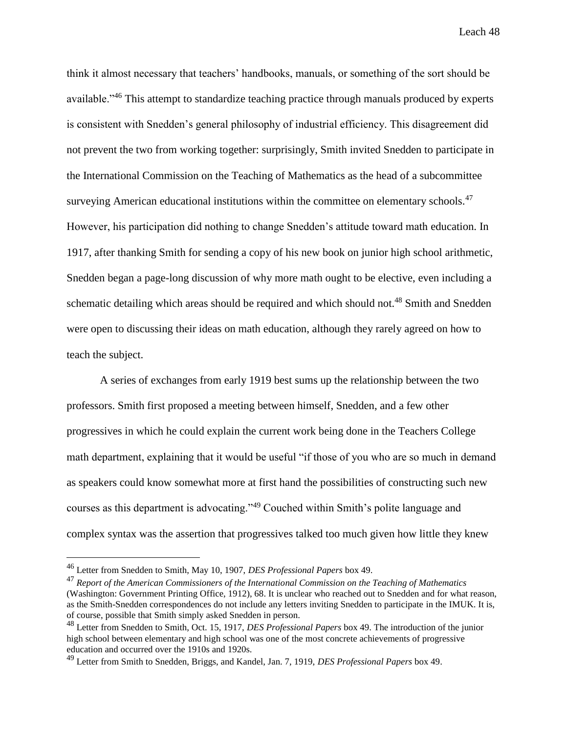think it almost necessary that teachers' handbooks, manuals, or something of the sort should be available."<sup>46</sup> This attempt to standardize teaching practice through manuals produced by experts is consistent with Snedden's general philosophy of industrial efficiency. This disagreement did not prevent the two from working together: surprisingly, Smith invited Snedden to participate in the International Commission on the Teaching of Mathematics as the head of a subcommittee surveying American educational institutions within the committee on elementary schools.<sup>47</sup> However, his participation did nothing to change Snedden's attitude toward math education. In 1917, after thanking Smith for sending a copy of his new book on junior high school arithmetic, Snedden began a page-long discussion of why more math ought to be elective, even including a schematic detailing which areas should be required and which should not.<sup>48</sup> Smith and Snedden were open to discussing their ideas on math education, although they rarely agreed on how to teach the subject.

A series of exchanges from early 1919 best sums up the relationship between the two professors. Smith first proposed a meeting between himself, Snedden, and a few other progressives in which he could explain the current work being done in the Teachers College math department, explaining that it would be useful "if those of you who are so much in demand as speakers could know somewhat more at first hand the possibilities of constructing such new courses as this department is advocating."<sup>49</sup> Couched within Smith's polite language and complex syntax was the assertion that progressives talked too much given how little they knew

<sup>46</sup> Letter from Snedden to Smith, May 10, 1907, *DES Professional Papers* box 49.

<sup>47</sup> *Report of the American Commissioners of the International Commission on the Teaching of Mathematics* (Washington: Government Printing Office, 1912), 68. It is unclear who reached out to Snedden and for what reason, as the Smith-Snedden correspondences do not include any letters inviting Snedden to participate in the IMUK. It is, of course, possible that Smith simply asked Snedden in person.

<sup>48</sup> Letter from Snedden to Smith, Oct. 15, 1917, *DES Professional Papers* box 49. The introduction of the junior high school between elementary and high school was one of the most concrete achievements of progressive education and occurred over the 1910s and 1920s.

<sup>49</sup> Letter from Smith to Snedden, Briggs, and Kandel, Jan. 7, 1919, *DES Professional Papers* box 49.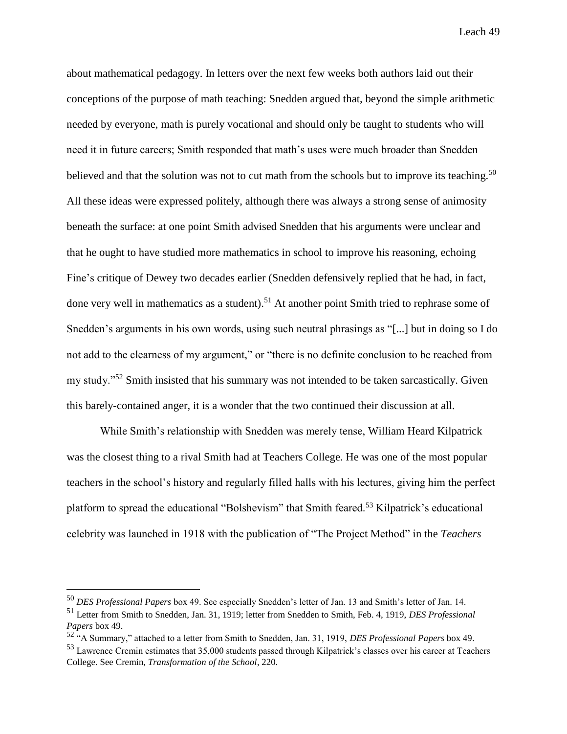about mathematical pedagogy. In letters over the next few weeks both authors laid out their conceptions of the purpose of math teaching: Snedden argued that, beyond the simple arithmetic needed by everyone, math is purely vocational and should only be taught to students who will need it in future careers; Smith responded that math's uses were much broader than Snedden believed and that the solution was not to cut math from the schools but to improve its teaching.<sup>50</sup> All these ideas were expressed politely, although there was always a strong sense of animosity beneath the surface: at one point Smith advised Snedden that his arguments were unclear and that he ought to have studied more mathematics in school to improve his reasoning, echoing Fine's critique of Dewey two decades earlier (Snedden defensively replied that he had, in fact, done very well in mathematics as a student).<sup>51</sup> At another point Smith tried to rephrase some of Snedden's arguments in his own words, using such neutral phrasings as "[...] but in doing so I do not add to the clearness of my argument," or "there is no definite conclusion to be reached from my study."<sup>52</sup> Smith insisted that his summary was not intended to be taken sarcastically. Given this barely-contained anger, it is a wonder that the two continued their discussion at all.

While Smith's relationship with Snedden was merely tense, William Heard Kilpatrick was the closest thing to a rival Smith had at Teachers College. He was one of the most popular teachers in the school's history and regularly filled halls with his lectures, giving him the perfect platform to spread the educational "Bolshevism" that Smith feared.<sup>53</sup> Kilpatrick's educational celebrity was launched in 1918 with the publication of "The Project Method" in the *Teachers* 

<sup>50</sup> *DES Professional Papers* box 49. See especially Snedden's letter of Jan. 13 and Smith's letter of Jan. 14.

<sup>51</sup> Letter from Smith to Snedden, Jan. 31, 1919; letter from Snedden to Smith, Feb. 4, 1919, *DES Professional Papers* box 49.

<sup>52</sup> "A Summary," attached to a letter from Smith to Snedden, Jan. 31, 1919, *DES Professional Papers* box 49.

<sup>53</sup> Lawrence Cremin estimates that 35,000 students passed through Kilpatrick's classes over his career at Teachers College. See Cremin, *Transformation of the School*, 220.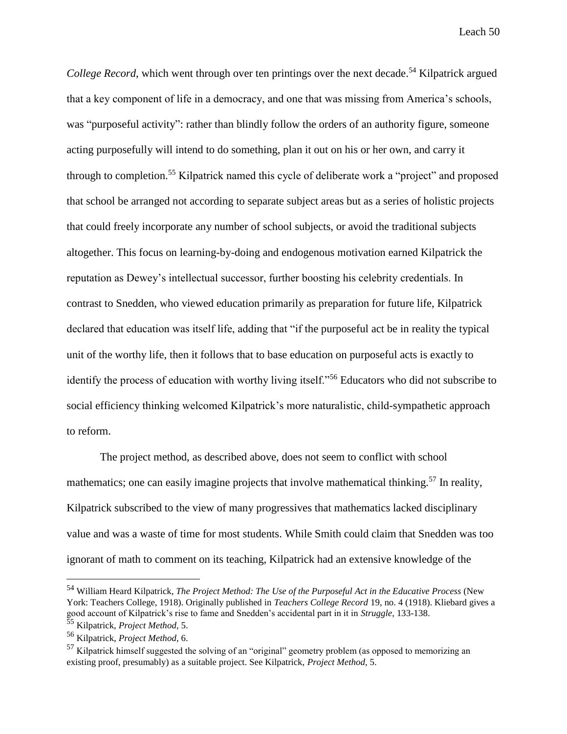*College Record*, which went through over ten printings over the next decade.<sup>54</sup> Kilpatrick argued that a key component of life in a democracy, and one that was missing from America's schools, was "purposeful activity": rather than blindly follow the orders of an authority figure, someone acting purposefully will intend to do something, plan it out on his or her own, and carry it through to completion.<sup>55</sup> Kilpatrick named this cycle of deliberate work a "project" and proposed that school be arranged not according to separate subject areas but as a series of holistic projects that could freely incorporate any number of school subjects, or avoid the traditional subjects altogether. This focus on learning-by-doing and endogenous motivation earned Kilpatrick the reputation as Dewey's intellectual successor, further boosting his celebrity credentials. In contrast to Snedden, who viewed education primarily as preparation for future life, Kilpatrick declared that education was itself life, adding that "if the purposeful act be in reality the typical unit of the worthy life, then it follows that to base education on purposeful acts is exactly to identify the process of education with worthy living itself."<sup>56</sup> Educators who did not subscribe to social efficiency thinking welcomed Kilpatrick's more naturalistic, child-sympathetic approach to reform.

The project method, as described above, does not seem to conflict with school mathematics; one can easily imagine projects that involve mathematical thinking.<sup>57</sup> In reality, Kilpatrick subscribed to the view of many progressives that mathematics lacked disciplinary value and was a waste of time for most students. While Smith could claim that Snedden was too ignorant of math to comment on its teaching, Kilpatrick had an extensive knowledge of the

<sup>54</sup> William Heard Kilpatrick, *The Project Method: The Use of the Purposeful Act in the Educative Process* (New York: Teachers College, 1918). Originally published in *Teachers College Record* 19, no. 4 (1918). Kliebard gives a good account of Kilpatrick's rise to fame and Snedden's accidental part in it in *Struggle*, 133-138.

<sup>55</sup> Kilpatrick, *Project Method*, 5.

<sup>56</sup> Kilpatrick, *Project Method*, 6.

<sup>&</sup>lt;sup>57</sup> Kilpatrick himself suggested the solving of an "original" geometry problem (as opposed to memorizing an existing proof, presumably) as a suitable project. See Kilpatrick, *Project Method*, 5.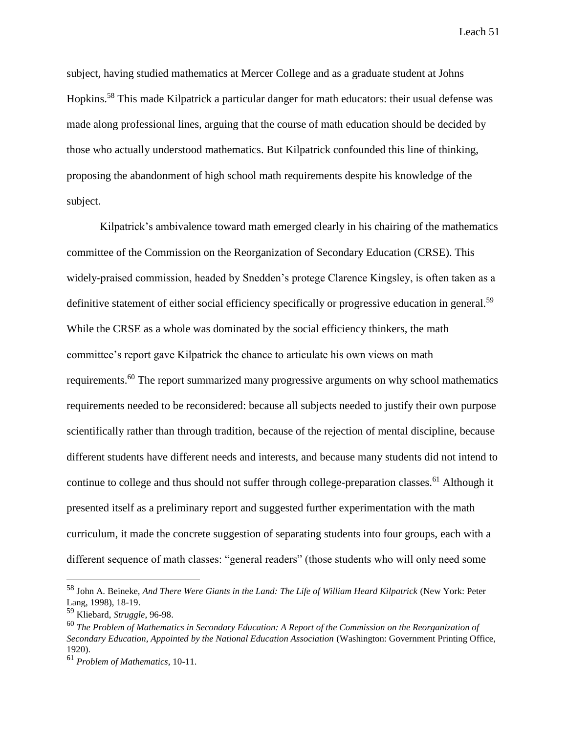subject, having studied mathematics at Mercer College and as a graduate student at Johns Hopkins.<sup>58</sup> This made Kilpatrick a particular danger for math educators: their usual defense was made along professional lines, arguing that the course of math education should be decided by those who actually understood mathematics. But Kilpatrick confounded this line of thinking, proposing the abandonment of high school math requirements despite his knowledge of the subject.

Kilpatrick's ambivalence toward math emerged clearly in his chairing of the mathematics committee of the Commission on the Reorganization of Secondary Education (CRSE). This widely-praised commission, headed by Snedden's protege Clarence Kingsley, is often taken as a definitive statement of either social efficiency specifically or progressive education in general.<sup>59</sup> While the CRSE as a whole was dominated by the social efficiency thinkers, the math committee's report gave Kilpatrick the chance to articulate his own views on math requirements.<sup>60</sup> The report summarized many progressive arguments on why school mathematics requirements needed to be reconsidered: because all subjects needed to justify their own purpose scientifically rather than through tradition, because of the rejection of mental discipline, because different students have different needs and interests, and because many students did not intend to continue to college and thus should not suffer through college-preparation classes.<sup>61</sup> Although it presented itself as a preliminary report and suggested further experimentation with the math curriculum, it made the concrete suggestion of separating students into four groups, each with a different sequence of math classes: "general readers" (those students who will only need some

<sup>58</sup> John A. Beineke, *And There Were Giants in the Land: The Life of William Heard Kilpatrick* (New York: Peter Lang, 1998), 18-19.

<sup>59</sup> Kliebard, *Struggle*, 96-98.

<sup>60</sup> *The Problem of Mathematics in Secondary Education: A Report of the Commission on the Reorganization of Secondary Education, Appointed by the National Education Association* (Washington: Government Printing Office, 1920).

<sup>61</sup> *Problem of Mathematics*, 10-11.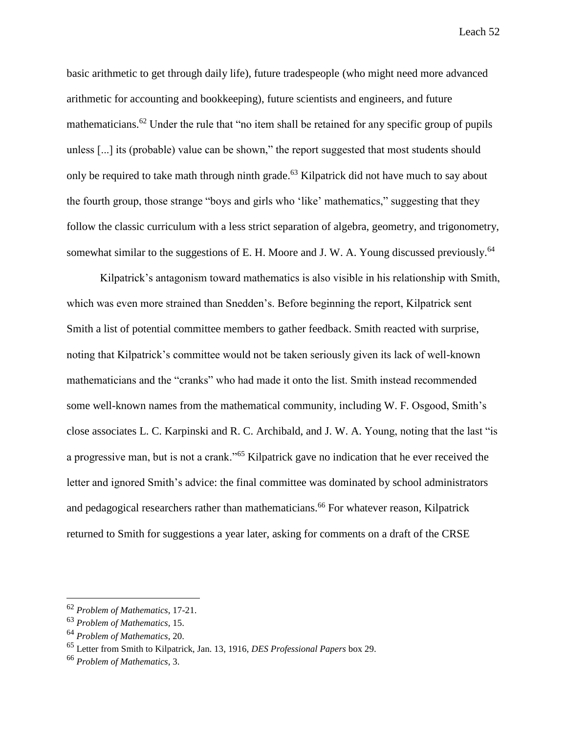basic arithmetic to get through daily life), future tradespeople (who might need more advanced arithmetic for accounting and bookkeeping), future scientists and engineers, and future mathematicians.<sup>62</sup> Under the rule that "no item shall be retained for any specific group of pupils unless [...] its (probable) value can be shown," the report suggested that most students should only be required to take math through ninth grade.<sup>63</sup> Kilpatrick did not have much to say about the fourth group, those strange "boys and girls who 'like' mathematics," suggesting that they follow the classic curriculum with a less strict separation of algebra, geometry, and trigonometry, somewhat similar to the suggestions of E. H. Moore and J. W. A. Young discussed previously.<sup>64</sup>

Kilpatrick's antagonism toward mathematics is also visible in his relationship with Smith, which was even more strained than Snedden's. Before beginning the report, Kilpatrick sent Smith a list of potential committee members to gather feedback. Smith reacted with surprise, noting that Kilpatrick's committee would not be taken seriously given its lack of well-known mathematicians and the "cranks" who had made it onto the list. Smith instead recommended some well-known names from the mathematical community, including W. F. Osgood, Smith's close associates L. C. Karpinski and R. C. Archibald, and J. W. A. Young, noting that the last "is a progressive man, but is not a crank."<sup>65</sup> Kilpatrick gave no indication that he ever received the letter and ignored Smith's advice: the final committee was dominated by school administrators and pedagogical researchers rather than mathematicians.<sup>66</sup> For whatever reason, Kilpatrick returned to Smith for suggestions a year later, asking for comments on a draft of the CRSE

<sup>62</sup> *Problem of Mathematics*, 17-21.

<sup>63</sup> *Problem of Mathematics*, 15.

<sup>64</sup> *Problem of Mathematics*, 20.

<sup>65</sup> Letter from Smith to Kilpatrick, Jan. 13, 1916, *DES Professional Papers* box 29.

<sup>66</sup> *Problem of Mathematics*, 3.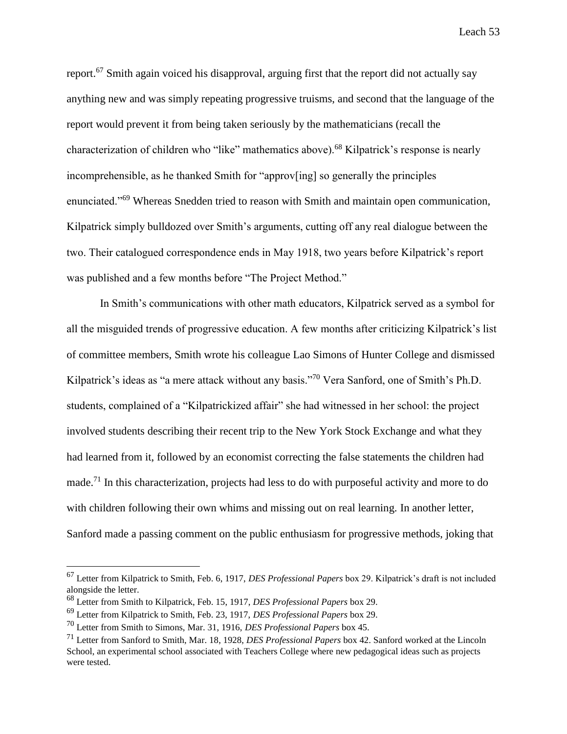report.<sup>67</sup> Smith again voiced his disapproval, arguing first that the report did not actually say anything new and was simply repeating progressive truisms, and second that the language of the report would prevent it from being taken seriously by the mathematicians (recall the characterization of children who "like" mathematics above).<sup>68</sup> Kilpatrick's response is nearly incomprehensible, as he thanked Smith for "approv[ing] so generally the principles enunciated."<sup>69</sup> Whereas Snedden tried to reason with Smith and maintain open communication, Kilpatrick simply bulldozed over Smith's arguments, cutting off any real dialogue between the two. Their catalogued correspondence ends in May 1918, two years before Kilpatrick's report was published and a few months before "The Project Method."

In Smith's communications with other math educators, Kilpatrick served as a symbol for all the misguided trends of progressive education. A few months after criticizing Kilpatrick's list of committee members, Smith wrote his colleague Lao Simons of Hunter College and dismissed Kilpatrick's ideas as "a mere attack without any basis."<sup>70</sup> Vera Sanford, one of Smith's Ph.D. students, complained of a "Kilpatrickized affair" she had witnessed in her school: the project involved students describing their recent trip to the New York Stock Exchange and what they had learned from it, followed by an economist correcting the false statements the children had made.<sup>71</sup> In this characterization, projects had less to do with purposeful activity and more to do with children following their own whims and missing out on real learning. In another letter, Sanford made a passing comment on the public enthusiasm for progressive methods, joking that

<sup>67</sup> Letter from Kilpatrick to Smith, Feb. 6, 1917, *DES Professional Papers* box 29. Kilpatrick's draft is not included alongside the letter.

<sup>68</sup> Letter from Smith to Kilpatrick, Feb. 15, 1917, *DES Professional Papers* box 29.

<sup>69</sup> Letter from Kilpatrick to Smith, Feb. 23, 1917, *DES Professional Papers* box 29.

<sup>70</sup> Letter from Smith to Simons, Mar. 31, 1916, *DES Professional Papers* box 45.

<sup>71</sup> Letter from Sanford to Smith, Mar. 18, 1928, *DES Professional Papers* box 42. Sanford worked at the Lincoln School, an experimental school associated with Teachers College where new pedagogical ideas such as projects were tested.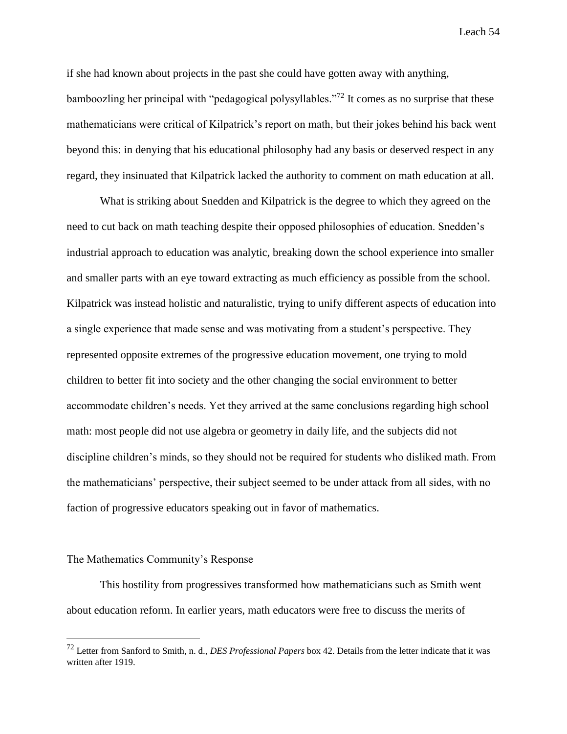if she had known about projects in the past she could have gotten away with anything,

bamboozling her principal with "pedagogical polysyllables."<sup>72</sup> It comes as no surprise that these mathematicians were critical of Kilpatrick's report on math, but their jokes behind his back went beyond this: in denying that his educational philosophy had any basis or deserved respect in any regard, they insinuated that Kilpatrick lacked the authority to comment on math education at all.

What is striking about Snedden and Kilpatrick is the degree to which they agreed on the need to cut back on math teaching despite their opposed philosophies of education. Snedden's industrial approach to education was analytic, breaking down the school experience into smaller and smaller parts with an eye toward extracting as much efficiency as possible from the school. Kilpatrick was instead holistic and naturalistic, trying to unify different aspects of education into a single experience that made sense and was motivating from a student's perspective. They represented opposite extremes of the progressive education movement, one trying to mold children to better fit into society and the other changing the social environment to better accommodate children's needs. Yet they arrived at the same conclusions regarding high school math: most people did not use algebra or geometry in daily life, and the subjects did not discipline children's minds, so they should not be required for students who disliked math. From the mathematicians' perspective, their subject seemed to be under attack from all sides, with no faction of progressive educators speaking out in favor of mathematics.

#### The Mathematics Community's Response

 $\overline{a}$ 

This hostility from progressives transformed how mathematicians such as Smith went about education reform. In earlier years, math educators were free to discuss the merits of

<sup>72</sup> Letter from Sanford to Smith, n. d., *DES Professional Papers* box 42. Details from the letter indicate that it was written after 1919.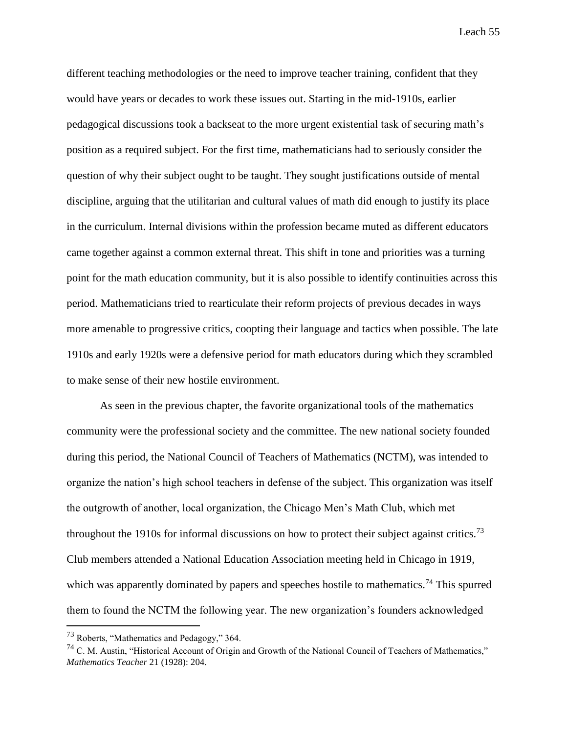different teaching methodologies or the need to improve teacher training, confident that they would have years or decades to work these issues out. Starting in the mid-1910s, earlier pedagogical discussions took a backseat to the more urgent existential task of securing math's position as a required subject. For the first time, mathematicians had to seriously consider the question of why their subject ought to be taught. They sought justifications outside of mental discipline, arguing that the utilitarian and cultural values of math did enough to justify its place in the curriculum. Internal divisions within the profession became muted as different educators came together against a common external threat. This shift in tone and priorities was a turning point for the math education community, but it is also possible to identify continuities across this period. Mathematicians tried to rearticulate their reform projects of previous decades in ways more amenable to progressive critics, coopting their language and tactics when possible. The late 1910s and early 1920s were a defensive period for math educators during which they scrambled to make sense of their new hostile environment.

As seen in the previous chapter, the favorite organizational tools of the mathematics community were the professional society and the committee. The new national society founded during this period, the National Council of Teachers of Mathematics (NCTM), was intended to organize the nation's high school teachers in defense of the subject. This organization was itself the outgrowth of another, local organization, the Chicago Men's Math Club, which met throughout the 1910s for informal discussions on how to protect their subject against critics.<sup>73</sup> Club members attended a National Education Association meeting held in Chicago in 1919, which was apparently dominated by papers and speeches hostile to mathematics.<sup>74</sup> This spurred them to found the NCTM the following year. The new organization's founders acknowledged

<sup>73</sup> Roberts, "Mathematics and Pedagogy," 364.

<sup>&</sup>lt;sup>74</sup> C. M. Austin, "Historical Account of Origin and Growth of the National Council of Teachers of Mathematics," *Mathematics Teacher* 21 (1928): 204.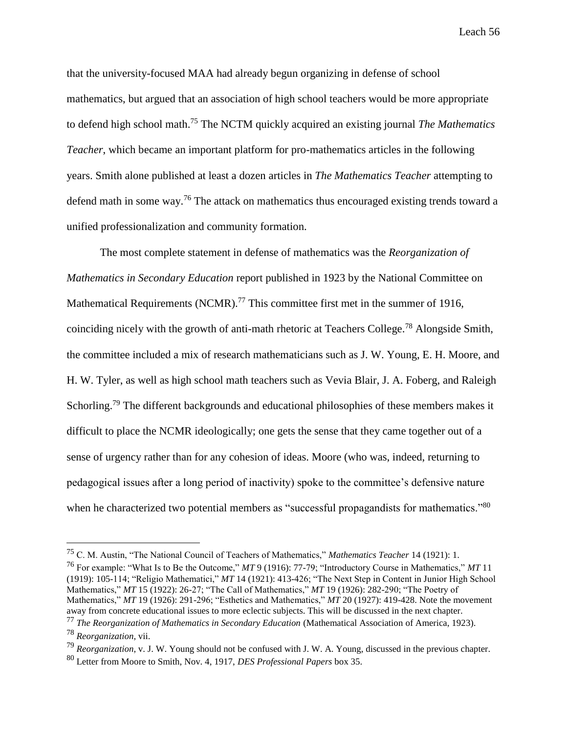that the university-focused MAA had already begun organizing in defense of school mathematics, but argued that an association of high school teachers would be more appropriate to defend high school math.<sup>75</sup> The NCTM quickly acquired an existing journal *The Mathematics Teacher*, which became an important platform for pro-mathematics articles in the following years. Smith alone published at least a dozen articles in *The Mathematics Teacher* attempting to defend math in some way.<sup>76</sup> The attack on mathematics thus encouraged existing trends toward a unified professionalization and community formation.

The most complete statement in defense of mathematics was the *Reorganization of Mathematics in Secondary Education* report published in 1923 by the National Committee on Mathematical Requirements (NCMR).<sup>77</sup> This committee first met in the summer of 1916, coinciding nicely with the growth of anti-math rhetoric at Teachers College.<sup>78</sup> Alongside Smith, the committee included a mix of research mathematicians such as J. W. Young, E. H. Moore, and H. W. Tyler, as well as high school math teachers such as Vevia Blair, J. A. Foberg, and Raleigh Schorling.<sup>79</sup> The different backgrounds and educational philosophies of these members makes it difficult to place the NCMR ideologically; one gets the sense that they came together out of a sense of urgency rather than for any cohesion of ideas. Moore (who was, indeed, returning to pedagogical issues after a long period of inactivity) spoke to the committee's defensive nature when he characterized two potential members as "successful propagandists for mathematics."<sup>80</sup>

<sup>75</sup> C. M. Austin, "The National Council of Teachers of Mathematics," *Mathematics Teacher* 14 (1921): 1.

<sup>76</sup> For example: "What Is to Be the Outcome," *MT* 9 (1916): 77-79; "Introductory Course in Mathematics," *MT* 11 (1919): 105-114; "Religio Mathematici," *MT* 14 (1921): 413-426; "The Next Step in Content in Junior High School Mathematics," *MT* 15 (1922): 26-27; "The Call of Mathematics," *MT* 19 (1926): 282-290; "The Poetry of Mathematics," *MT* 19 (1926): 291-296; "Esthetics and Mathematics," *MT* 20 (1927): 419-428. Note the movement away from concrete educational issues to more eclectic subjects. This will be discussed in the next chapter.

<sup>77</sup> *The Reorganization of Mathematics in Secondary Education* (Mathematical Association of America, 1923). <sup>78</sup> *Reorganization*, vii.

<sup>79</sup> *Reorganization*, v. J. W. Young should not be confused with J. W. A. Young, discussed in the previous chapter. <sup>80</sup> Letter from Moore to Smith, Nov. 4, 1917, *DES Professional Papers* box 35.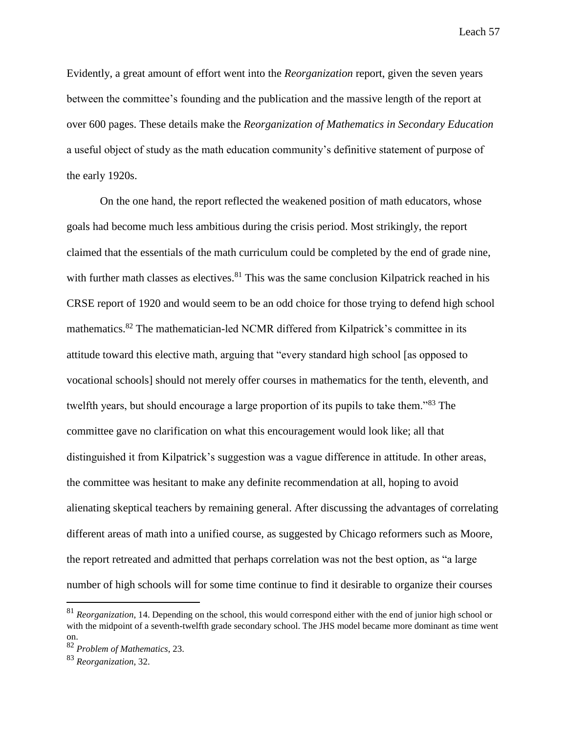Evidently, a great amount of effort went into the *Reorganization* report, given the seven years between the committee's founding and the publication and the massive length of the report at over 600 pages. These details make the *Reorganization of Mathematics in Secondary Education* a useful object of study as the math education community's definitive statement of purpose of the early 1920s.

On the one hand, the report reflected the weakened position of math educators, whose goals had become much less ambitious during the crisis period. Most strikingly, the report claimed that the essentials of the math curriculum could be completed by the end of grade nine, with further math classes as electives. $81$  This was the same conclusion Kilpatrick reached in his CRSE report of 1920 and would seem to be an odd choice for those trying to defend high school mathematics.<sup>82</sup> The mathematician-led NCMR differed from Kilpatrick's committee in its attitude toward this elective math, arguing that "every standard high school [as opposed to vocational schools] should not merely offer courses in mathematics for the tenth, eleventh, and twelfth years, but should encourage a large proportion of its pupils to take them."<sup>83</sup> The committee gave no clarification on what this encouragement would look like; all that distinguished it from Kilpatrick's suggestion was a vague difference in attitude. In other areas, the committee was hesitant to make any definite recommendation at all, hoping to avoid alienating skeptical teachers by remaining general. After discussing the advantages of correlating different areas of math into a unified course, as suggested by Chicago reformers such as Moore, the report retreated and admitted that perhaps correlation was not the best option, as "a large number of high schools will for some time continue to find it desirable to organize their courses

<sup>81</sup> *Reorganization*, 14. Depending on the school, this would correspond either with the end of junior high school or with the midpoint of a seventh-twelfth grade secondary school. The JHS model became more dominant as time went on.

<sup>82</sup> *Problem of Mathematics*, 23.

<sup>83</sup> *Reorganization*, 32.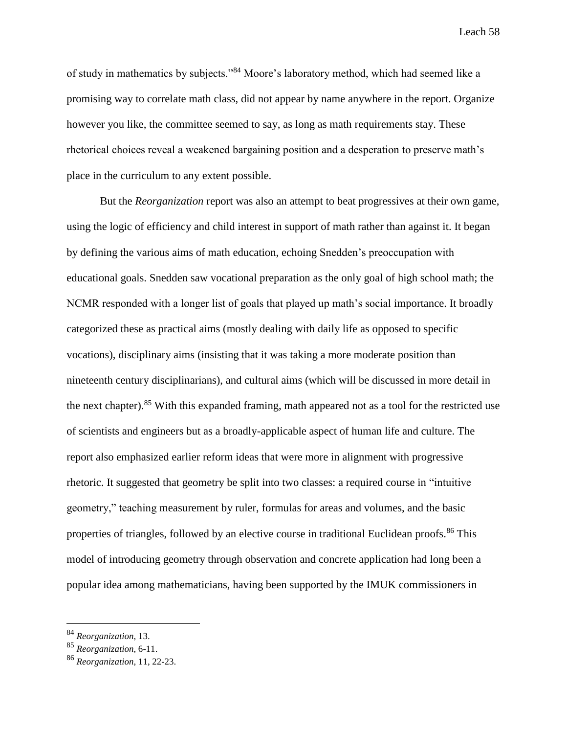of study in mathematics by subjects."<sup>84</sup> Moore's laboratory method, which had seemed like a promising way to correlate math class, did not appear by name anywhere in the report. Organize however you like, the committee seemed to say, as long as math requirements stay. These rhetorical choices reveal a weakened bargaining position and a desperation to preserve math's place in the curriculum to any extent possible.

But the *Reorganization* report was also an attempt to beat progressives at their own game, using the logic of efficiency and child interest in support of math rather than against it. It began by defining the various aims of math education, echoing Snedden's preoccupation with educational goals. Snedden saw vocational preparation as the only goal of high school math; the NCMR responded with a longer list of goals that played up math's social importance. It broadly categorized these as practical aims (mostly dealing with daily life as opposed to specific vocations), disciplinary aims (insisting that it was taking a more moderate position than nineteenth century disciplinarians), and cultural aims (which will be discussed in more detail in the next chapter).<sup>85</sup> With this expanded framing, math appeared not as a tool for the restricted use of scientists and engineers but as a broadly-applicable aspect of human life and culture. The report also emphasized earlier reform ideas that were more in alignment with progressive rhetoric. It suggested that geometry be split into two classes: a required course in "intuitive geometry," teaching measurement by ruler, formulas for areas and volumes, and the basic properties of triangles, followed by an elective course in traditional Euclidean proofs.<sup>86</sup> This model of introducing geometry through observation and concrete application had long been a popular idea among mathematicians, having been supported by the IMUK commissioners in

<sup>84</sup> *Reorganization*, 13.

<sup>85</sup> *Reorganization*, 6-11.

<sup>86</sup> *Reorganization*, 11, 22-23.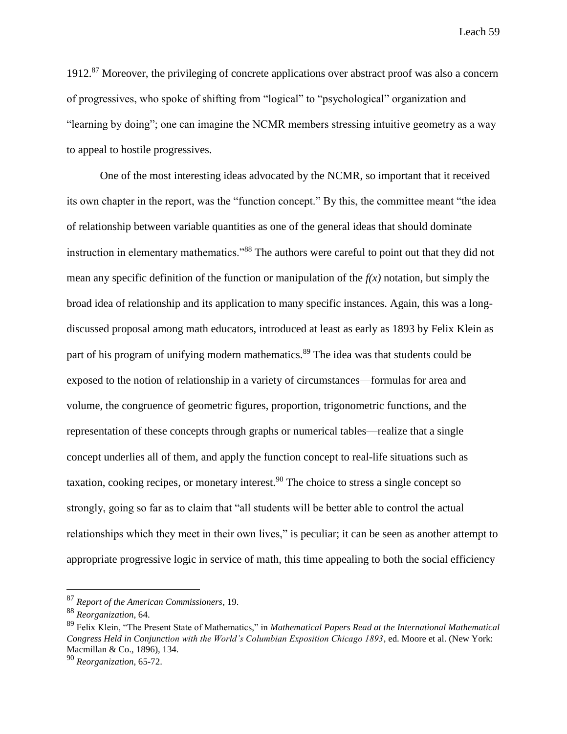1912.<sup>87</sup> Moreover, the privileging of concrete applications over abstract proof was also a concern of progressives, who spoke of shifting from "logical" to "psychological" organization and "learning by doing"; one can imagine the NCMR members stressing intuitive geometry as a way to appeal to hostile progressives.

One of the most interesting ideas advocated by the NCMR, so important that it received its own chapter in the report, was the "function concept." By this, the committee meant "the idea of relationship between variable quantities as one of the general ideas that should dominate instruction in elementary mathematics."<sup>88</sup> The authors were careful to point out that they did not mean any specific definition of the function or manipulation of the  $f(x)$  notation, but simply the broad idea of relationship and its application to many specific instances. Again, this was a longdiscussed proposal among math educators, introduced at least as early as 1893 by Felix Klein as part of his program of unifying modern mathematics.<sup>89</sup> The idea was that students could be exposed to the notion of relationship in a variety of circumstances—formulas for area and volume, the congruence of geometric figures, proportion, trigonometric functions, and the representation of these concepts through graphs or numerical tables—realize that a single concept underlies all of them, and apply the function concept to real-life situations such as taxation, cooking recipes, or monetary interest.<sup>90</sup> The choice to stress a single concept so strongly, going so far as to claim that "all students will be better able to control the actual relationships which they meet in their own lives," is peculiar; it can be seen as another attempt to appropriate progressive logic in service of math, this time appealing to both the social efficiency

<sup>87</sup> *Report of the American Commissioners*, 19.

<sup>88</sup> *Reorganization*, 64.

<sup>89</sup> Felix Klein, "The Present State of Mathematics," in *Mathematical Papers Read at the International Mathematical Congress Held in Conjunction with the World's Columbian Exposition Chicago 1893*, ed. Moore et al. (New York: Macmillan & Co., 1896), 134.

<sup>90</sup> *Reorganization*, 65-72.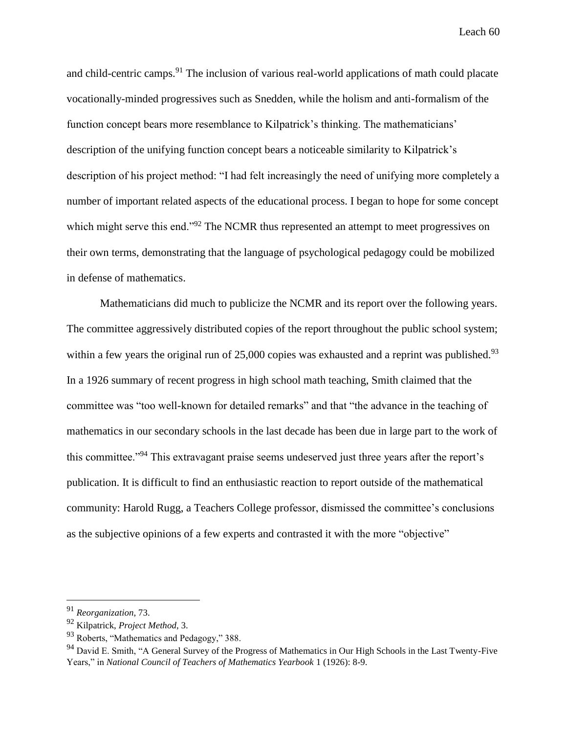and child-centric camps.<sup>91</sup> The inclusion of various real-world applications of math could placate vocationally-minded progressives such as Snedden, while the holism and anti-formalism of the function concept bears more resemblance to Kilpatrick's thinking. The mathematicians' description of the unifying function concept bears a noticeable similarity to Kilpatrick's description of his project method: "I had felt increasingly the need of unifying more completely a number of important related aspects of the educational process. I began to hope for some concept which might serve this end."<sup>92</sup> The NCMR thus represented an attempt to meet progressives on their own terms, demonstrating that the language of psychological pedagogy could be mobilized in defense of mathematics.

Mathematicians did much to publicize the NCMR and its report over the following years. The committee aggressively distributed copies of the report throughout the public school system; within a few years the original run of 25,000 copies was exhausted and a reprint was published.<sup>93</sup> In a 1926 summary of recent progress in high school math teaching, Smith claimed that the committee was "too well-known for detailed remarks" and that "the advance in the teaching of mathematics in our secondary schools in the last decade has been due in large part to the work of this committee."<sup>94</sup> This extravagant praise seems undeserved just three years after the report's publication. It is difficult to find an enthusiastic reaction to report outside of the mathematical community: Harold Rugg, a Teachers College professor, dismissed the committee's conclusions as the subjective opinions of a few experts and contrasted it with the more "objective"

<sup>91</sup> *Reorganization*, 73.

<sup>92</sup> Kilpatrick, *Project Method*, 3.

<sup>93</sup> Roberts, "Mathematics and Pedagogy," 388.

<sup>&</sup>lt;sup>94</sup> David E. Smith, "A General Survey of the Progress of Mathematics in Our High Schools in the Last Twenty-Five Years," in *National Council of Teachers of Mathematics Yearbook* 1 (1926): 8-9.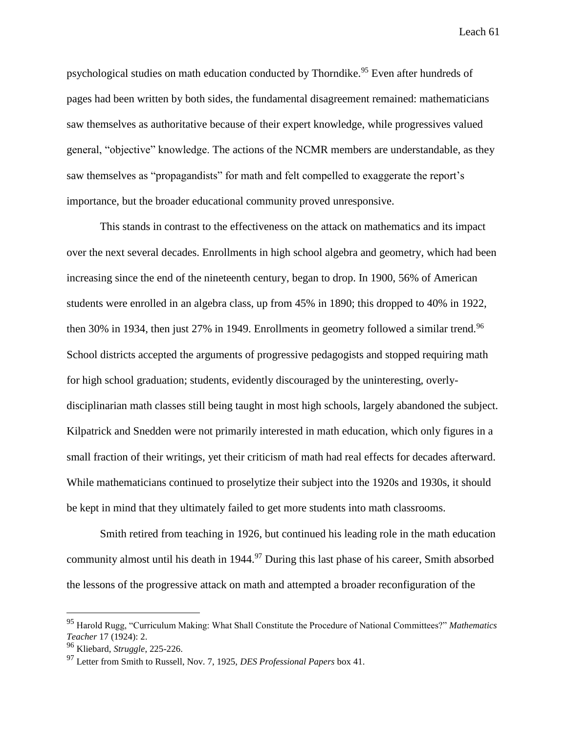psychological studies on math education conducted by Thorndike.<sup>95</sup> Even after hundreds of pages had been written by both sides, the fundamental disagreement remained: mathematicians saw themselves as authoritative because of their expert knowledge, while progressives valued general, "objective" knowledge. The actions of the NCMR members are understandable, as they saw themselves as "propagandists" for math and felt compelled to exaggerate the report's importance, but the broader educational community proved unresponsive.

This stands in contrast to the effectiveness on the attack on mathematics and its impact over the next several decades. Enrollments in high school algebra and geometry, which had been increasing since the end of the nineteenth century, began to drop. In 1900, 56% of American students were enrolled in an algebra class, up from 45% in 1890; this dropped to 40% in 1922, then 30% in 1934, then just 27% in 1949. Enrollments in geometry followed a similar trend.<sup>96</sup> School districts accepted the arguments of progressive pedagogists and stopped requiring math for high school graduation; students, evidently discouraged by the uninteresting, overlydisciplinarian math classes still being taught in most high schools, largely abandoned the subject. Kilpatrick and Snedden were not primarily interested in math education, which only figures in a small fraction of their writings, yet their criticism of math had real effects for decades afterward. While mathematicians continued to proselytize their subject into the 1920s and 1930s, it should be kept in mind that they ultimately failed to get more students into math classrooms.

Smith retired from teaching in 1926, but continued his leading role in the math education community almost until his death in  $1944$ .<sup>97</sup> During this last phase of his career, Smith absorbed the lessons of the progressive attack on math and attempted a broader reconfiguration of the

<sup>95</sup> Harold Rugg, "Curriculum Making: What Shall Constitute the Procedure of National Committees?" *Mathematics Teacher* 17 (1924): 2.

<sup>96</sup> Kliebard, *Struggle*, 225-226.

<sup>97</sup> Letter from Smith to Russell, Nov. 7, 1925, *DES Professional Papers* box 41.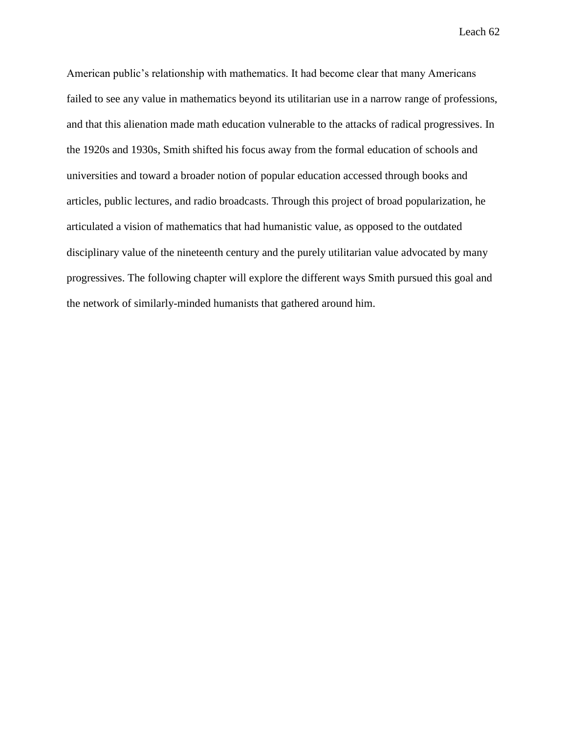American public's relationship with mathematics. It had become clear that many Americans failed to see any value in mathematics beyond its utilitarian use in a narrow range of professions, and that this alienation made math education vulnerable to the attacks of radical progressives. In the 1920s and 1930s, Smith shifted his focus away from the formal education of schools and universities and toward a broader notion of popular education accessed through books and articles, public lectures, and radio broadcasts. Through this project of broad popularization, he articulated a vision of mathematics that had humanistic value, as opposed to the outdated disciplinary value of the nineteenth century and the purely utilitarian value advocated by many progressives. The following chapter will explore the different ways Smith pursued this goal and the network of similarly-minded humanists that gathered around him.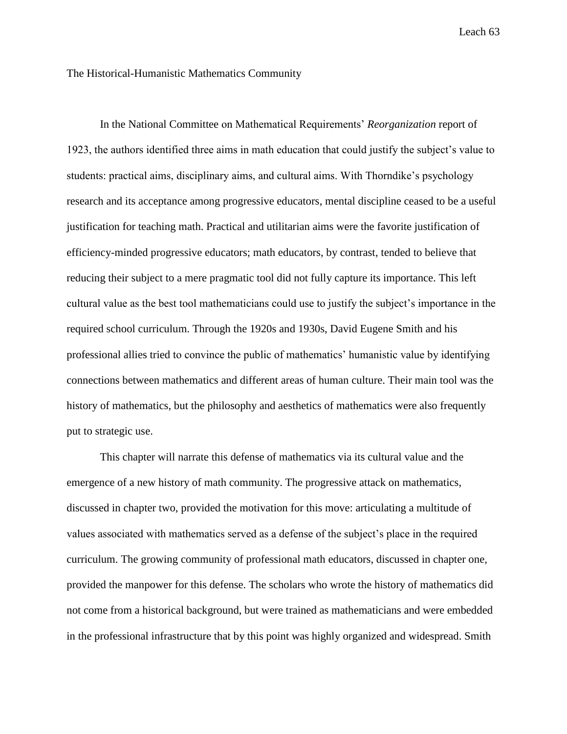#### The Historical-Humanistic Mathematics Community

In the National Committee on Mathematical Requirements' *Reorganization* report of 1923, the authors identified three aims in math education that could justify the subject's value to students: practical aims, disciplinary aims, and cultural aims. With Thorndike's psychology research and its acceptance among progressive educators, mental discipline ceased to be a useful justification for teaching math. Practical and utilitarian aims were the favorite justification of efficiency-minded progressive educators; math educators, by contrast, tended to believe that reducing their subject to a mere pragmatic tool did not fully capture its importance. This left cultural value as the best tool mathematicians could use to justify the subject's importance in the required school curriculum. Through the 1920s and 1930s, David Eugene Smith and his professional allies tried to convince the public of mathematics' humanistic value by identifying connections between mathematics and different areas of human culture. Their main tool was the history of mathematics, but the philosophy and aesthetics of mathematics were also frequently put to strategic use.

This chapter will narrate this defense of mathematics via its cultural value and the emergence of a new history of math community. The progressive attack on mathematics, discussed in chapter two, provided the motivation for this move: articulating a multitude of values associated with mathematics served as a defense of the subject's place in the required curriculum. The growing community of professional math educators, discussed in chapter one, provided the manpower for this defense. The scholars who wrote the history of mathematics did not come from a historical background, but were trained as mathematicians and were embedded in the professional infrastructure that by this point was highly organized and widespread. Smith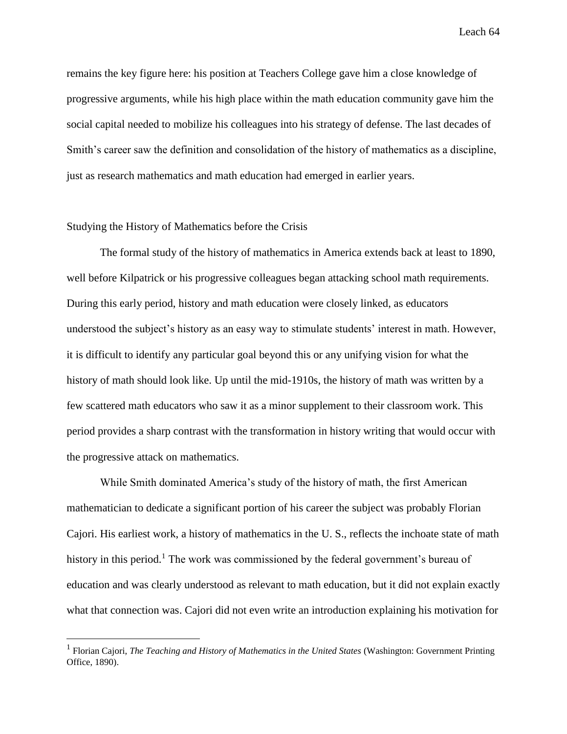remains the key figure here: his position at Teachers College gave him a close knowledge of progressive arguments, while his high place within the math education community gave him the social capital needed to mobilize his colleagues into his strategy of defense. The last decades of Smith's career saw the definition and consolidation of the history of mathematics as a discipline, just as research mathematics and math education had emerged in earlier years.

## Studying the History of Mathematics before the Crisis

 $\overline{a}$ 

The formal study of the history of mathematics in America extends back at least to 1890, well before Kilpatrick or his progressive colleagues began attacking school math requirements. During this early period, history and math education were closely linked, as educators understood the subject's history as an easy way to stimulate students' interest in math. However, it is difficult to identify any particular goal beyond this or any unifying vision for what the history of math should look like. Up until the mid-1910s, the history of math was written by a few scattered math educators who saw it as a minor supplement to their classroom work. This period provides a sharp contrast with the transformation in history writing that would occur with the progressive attack on mathematics.

While Smith dominated America's study of the history of math, the first American mathematician to dedicate a significant portion of his career the subject was probably Florian Cajori. His earliest work, a history of mathematics in the U. S., reflects the inchoate state of math history in this period.<sup>1</sup> The work was commissioned by the federal government's bureau of education and was clearly understood as relevant to math education, but it did not explain exactly what that connection was. Cajori did not even write an introduction explaining his motivation for

<sup>&</sup>lt;sup>1</sup> Florian Cajori, *The Teaching and History of Mathematics in the United States* (Washington: Government Printing Office, 1890).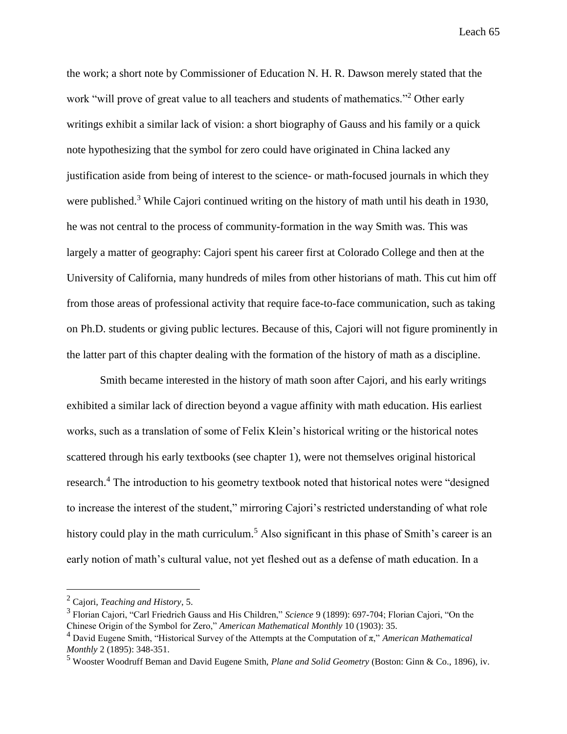the work; a short note by Commissioner of Education N. H. R. Dawson merely stated that the work "will prove of great value to all teachers and students of mathematics."<sup>2</sup> Other early writings exhibit a similar lack of vision: a short biography of Gauss and his family or a quick note hypothesizing that the symbol for zero could have originated in China lacked any justification aside from being of interest to the science- or math-focused journals in which they were published.<sup>3</sup> While Cajori continued writing on the history of math until his death in 1930, he was not central to the process of community-formation in the way Smith was. This was largely a matter of geography: Cajori spent his career first at Colorado College and then at the University of California, many hundreds of miles from other historians of math. This cut him off from those areas of professional activity that require face-to-face communication, such as taking on Ph.D. students or giving public lectures. Because of this, Cajori will not figure prominently in the latter part of this chapter dealing with the formation of the history of math as a discipline.

Smith became interested in the history of math soon after Cajori, and his early writings exhibited a similar lack of direction beyond a vague affinity with math education. His earliest works, such as a translation of some of Felix Klein's historical writing or the historical notes scattered through his early textbooks (see chapter 1), were not themselves original historical research.<sup>4</sup> The introduction to his geometry textbook noted that historical notes were "designed" to increase the interest of the student," mirroring Cajori's restricted understanding of what role history could play in the math curriculum.<sup>5</sup> Also significant in this phase of Smith's career is an early notion of math's cultural value, not yet fleshed out as a defense of math education. In a

<sup>2</sup> Cajori, *Teaching and History*, 5.

<sup>3</sup> Florian Cajori, "Carl Friedrich Gauss and His Children," *Science* 9 (1899): 697-704; Florian Cajori, "On the Chinese Origin of the Symbol for Zero," *American Mathematical Monthly* 10 (1903): 35.

<sup>4</sup> David Eugene Smith, "Historical Survey of the Attempts at the Computation of π," *American Mathematical Monthly* 2 (1895): 348-351.

<sup>5</sup> Wooster Woodruff Beman and David Eugene Smith, *Plane and Solid Geometry* (Boston: Ginn & Co., 1896), iv.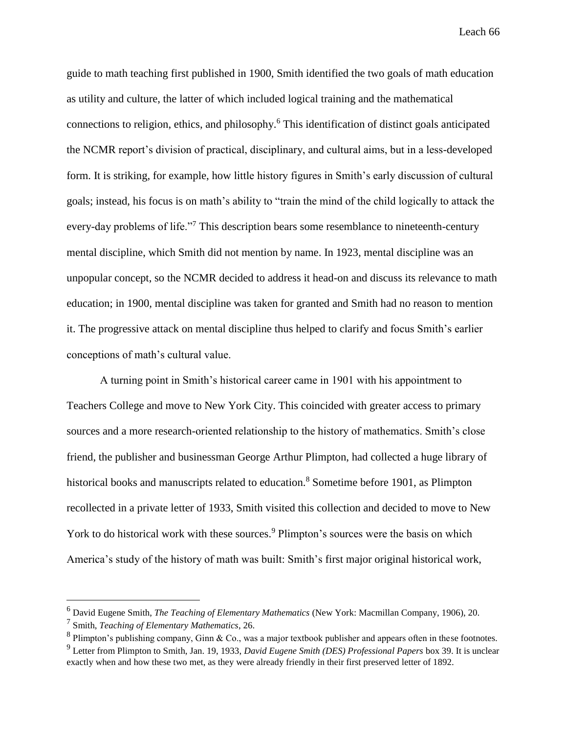guide to math teaching first published in 1900, Smith identified the two goals of math education as utility and culture, the latter of which included logical training and the mathematical connections to religion, ethics, and philosophy. <sup>6</sup> This identification of distinct goals anticipated the NCMR report's division of practical, disciplinary, and cultural aims, but in a less-developed form. It is striking, for example, how little history figures in Smith's early discussion of cultural goals; instead, his focus is on math's ability to "train the mind of the child logically to attack the every-day problems of life."<sup>7</sup> This description bears some resemblance to nineteenth-century mental discipline, which Smith did not mention by name. In 1923, mental discipline was an unpopular concept, so the NCMR decided to address it head-on and discuss its relevance to math education; in 1900, mental discipline was taken for granted and Smith had no reason to mention it. The progressive attack on mental discipline thus helped to clarify and focus Smith's earlier conceptions of math's cultural value.

A turning point in Smith's historical career came in 1901 with his appointment to Teachers College and move to New York City. This coincided with greater access to primary sources and a more research-oriented relationship to the history of mathematics. Smith's close friend, the publisher and businessman George Arthur Plimpton, had collected a huge library of historical books and manuscripts related to education.<sup>8</sup> Sometime before 1901, as Plimpton recollected in a private letter of 1933, Smith visited this collection and decided to move to New York to do historical work with these sources.<sup>9</sup> Plimpton's sources were the basis on which America's study of the history of math was built: Smith's first major original historical work,

<sup>6</sup> David Eugene Smith, *The Teaching of Elementary Mathematics* (New York: Macmillan Company, 1906), 20.

<sup>7</sup> Smith, *Teaching of Elementary Mathematics*, 26.

 $8$  Plimpton's publishing company, Ginn & Co., was a major textbook publisher and appears often in these footnotes. <sup>9</sup> Letter from Plimpton to Smith, Jan. 19, 1933, *David Eugene Smith (DES) Professional Papers* box 39. It is unclear

exactly when and how these two met, as they were already friendly in their first preserved letter of 1892.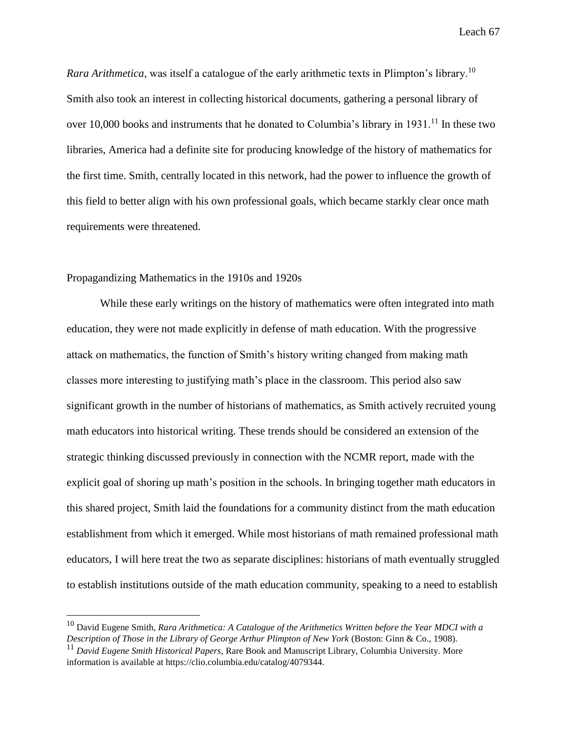*Rara Arithmetica*, was itself a catalogue of the early arithmetic texts in Plimpton's library.<sup>10</sup> Smith also took an interest in collecting historical documents, gathering a personal library of over 10,000 books and instruments that he donated to Columbia's library in  $1931<sup>11</sup>$  In these two libraries, America had a definite site for producing knowledge of the history of mathematics for the first time. Smith, centrally located in this network, had the power to influence the growth of this field to better align with his own professional goals, which became starkly clear once math requirements were threatened.

## Propagandizing Mathematics in the 1910s and 1920s

 $\overline{a}$ 

While these early writings on the history of mathematics were often integrated into math education, they were not made explicitly in defense of math education. With the progressive attack on mathematics, the function of Smith's history writing changed from making math classes more interesting to justifying math's place in the classroom. This period also saw significant growth in the number of historians of mathematics, as Smith actively recruited young math educators into historical writing. These trends should be considered an extension of the strategic thinking discussed previously in connection with the NCMR report, made with the explicit goal of shoring up math's position in the schools. In bringing together math educators in this shared project, Smith laid the foundations for a community distinct from the math education establishment from which it emerged. While most historians of math remained professional math educators, I will here treat the two as separate disciplines: historians of math eventually struggled to establish institutions outside of the math education community, speaking to a need to establish

<sup>10</sup> David Eugene Smith, *Rara Arithmetica: A Catalogue of the Arithmetics Written before the Year MDCI with a Description of Those in the Library of George Arthur Plimpton of New York* (Boston: Ginn & Co., 1908).

<sup>11</sup> *David Eugene Smith Historical Papers*, Rare Book and Manuscript Library, Columbia University. More information is available at https://clio.columbia.edu/catalog/4079344.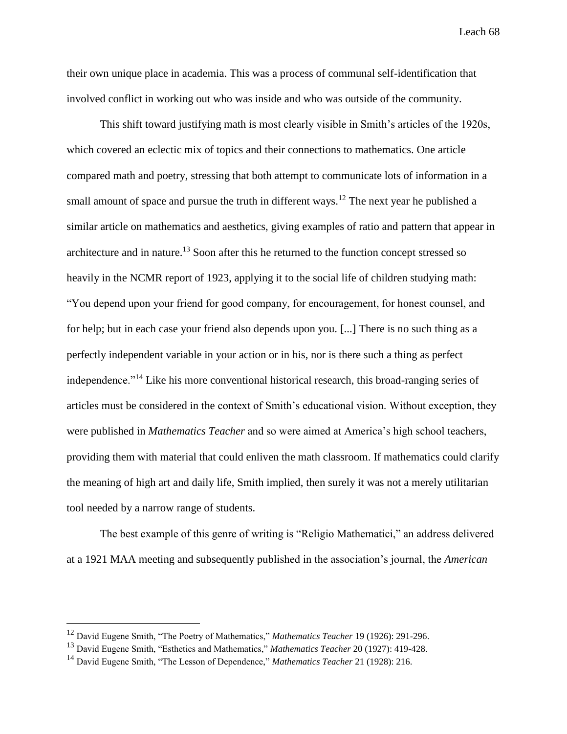their own unique place in academia. This was a process of communal self-identification that involved conflict in working out who was inside and who was outside of the community.

This shift toward justifying math is most clearly visible in Smith's articles of the 1920s, which covered an eclectic mix of topics and their connections to mathematics. One article compared math and poetry, stressing that both attempt to communicate lots of information in a small amount of space and pursue the truth in different ways.<sup>12</sup> The next year he published a similar article on mathematics and aesthetics, giving examples of ratio and pattern that appear in architecture and in nature.<sup>13</sup> Soon after this he returned to the function concept stressed so heavily in the NCMR report of 1923, applying it to the social life of children studying math: "You depend upon your friend for good company, for encouragement, for honest counsel, and for help; but in each case your friend also depends upon you. [...] There is no such thing as a perfectly independent variable in your action or in his, nor is there such a thing as perfect independence."<sup>14</sup> Like his more conventional historical research, this broad-ranging series of articles must be considered in the context of Smith's educational vision. Without exception, they were published in *Mathematics Teacher* and so were aimed at America's high school teachers, providing them with material that could enliven the math classroom. If mathematics could clarify the meaning of high art and daily life, Smith implied, then surely it was not a merely utilitarian tool needed by a narrow range of students.

The best example of this genre of writing is "Religio Mathematici," an address delivered at a 1921 MAA meeting and subsequently published in the association's journal, the *American* 

<sup>12</sup> David Eugene Smith, "The Poetry of Mathematics," *Mathematics Teacher* 19 (1926): 291-296.

<sup>13</sup> David Eugene Smith, "Esthetics and Mathematics," *Mathematics Teacher* 20 (1927): 419-428.

<sup>14</sup> David Eugene Smith, "The Lesson of Dependence," *Mathematics Teacher* 21 (1928): 216.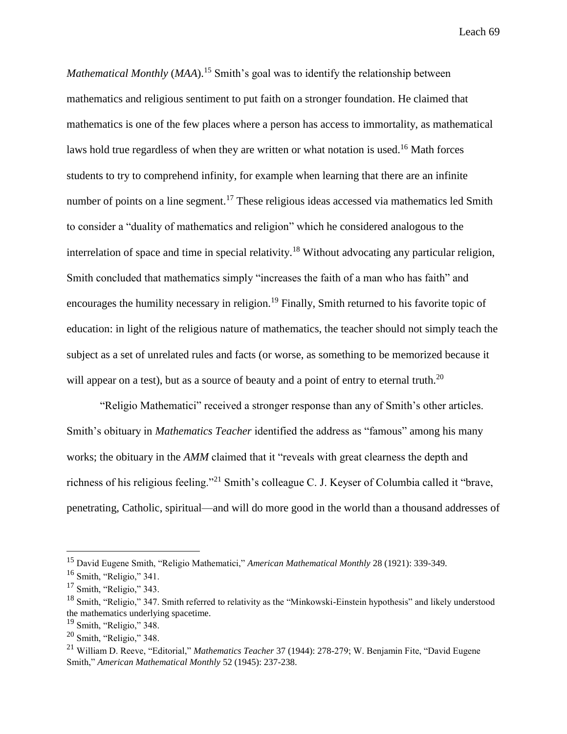*Mathematical Monthly* (*MAA*). <sup>15</sup> Smith's goal was to identify the relationship between mathematics and religious sentiment to put faith on a stronger foundation. He claimed that mathematics is one of the few places where a person has access to immortality, as mathematical laws hold true regardless of when they are written or what notation is used.<sup>16</sup> Math forces students to try to comprehend infinity, for example when learning that there are an infinite number of points on a line segment.<sup>17</sup> These religious ideas accessed via mathematics led Smith to consider a "duality of mathematics and religion" which he considered analogous to the interrelation of space and time in special relativity.<sup>18</sup> Without advocating any particular religion, Smith concluded that mathematics simply "increases the faith of a man who has faith" and encourages the humility necessary in religion.<sup>19</sup> Finally, Smith returned to his favorite topic of education: in light of the religious nature of mathematics, the teacher should not simply teach the subject as a set of unrelated rules and facts (or worse, as something to be memorized because it will appear on a test), but as a source of beauty and a point of entry to eternal truth.<sup>20</sup>

"Religio Mathematici" received a stronger response than any of Smith's other articles. Smith's obituary in *Mathematics Teacher* identified the address as "famous" among his many works; the obituary in the *AMM* claimed that it "reveals with great clearness the depth and richness of his religious feeling."<sup>21</sup> Smith's colleague C. J. Keyser of Columbia called it "brave, penetrating, Catholic, spiritual—and will do more good in the world than a thousand addresses of

<sup>15</sup> David Eugene Smith, "Religio Mathematici," *American Mathematical Monthly* 28 (1921): 339-349.

<sup>16</sup> Smith, "Religio," 341.

 $17$  Smith, "Religio," 343.

<sup>&</sup>lt;sup>18</sup> Smith. "Religio," 347. Smith referred to relativity as the "Minkowski-Einstein hypothesis" and likely understood the mathematics underlying spacetime.

 $19$  Smith, "Religio," 348.

 $20$  Smith, "Religio," 348.

<sup>21</sup> William D. Reeve, "Editorial," *Mathematics Teacher* 37 (1944): 278-279; W. Benjamin Fite, "David Eugene Smith," *American Mathematical Monthly* 52 (1945): 237-238.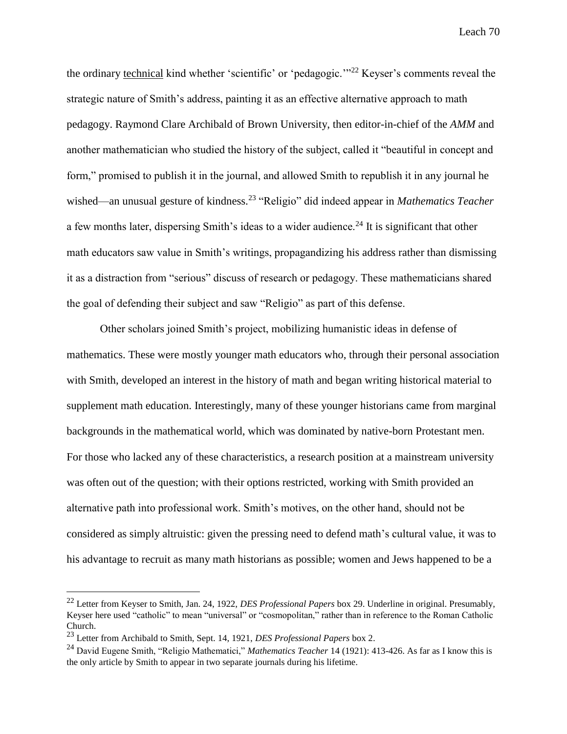the ordinary technical kind whether 'scientific' or 'pedagogic.'"<sup>22</sup> Keyser's comments reveal the strategic nature of Smith's address, painting it as an effective alternative approach to math pedagogy. Raymond Clare Archibald of Brown University, then editor-in-chief of the *AMM* and another mathematician who studied the history of the subject, called it "beautiful in concept and form," promised to publish it in the journal, and allowed Smith to republish it in any journal he wished—an unusual gesture of kindness.<sup>23</sup> "Religio" did indeed appear in *Mathematics Teacher* a few months later, dispersing Smith's ideas to a wider audience.<sup>24</sup> It is significant that other math educators saw value in Smith's writings, propagandizing his address rather than dismissing it as a distraction from "serious" discuss of research or pedagogy. These mathematicians shared the goal of defending their subject and saw "Religio" as part of this defense.

Other scholars joined Smith's project, mobilizing humanistic ideas in defense of mathematics. These were mostly younger math educators who, through their personal association with Smith, developed an interest in the history of math and began writing historical material to supplement math education. Interestingly, many of these younger historians came from marginal backgrounds in the mathematical world, which was dominated by native-born Protestant men. For those who lacked any of these characteristics, a research position at a mainstream university was often out of the question; with their options restricted, working with Smith provided an alternative path into professional work. Smith's motives, on the other hand, should not be considered as simply altruistic: given the pressing need to defend math's cultural value, it was to his advantage to recruit as many math historians as possible; women and Jews happened to be a

<sup>22</sup> Letter from Keyser to Smith, Jan. 24, 1922, *DES Professional Papers* box 29. Underline in original. Presumably, Keyser here used "catholic" to mean "universal" or "cosmopolitan," rather than in reference to the Roman Catholic Church.

<sup>23</sup> Letter from Archibald to Smith, Sept. 14, 1921, *DES Professional Papers* box 2.

<sup>24</sup> David Eugene Smith, "Religio Mathematici," *Mathematics Teacher* 14 (1921): 413-426. As far as I know this is the only article by Smith to appear in two separate journals during his lifetime.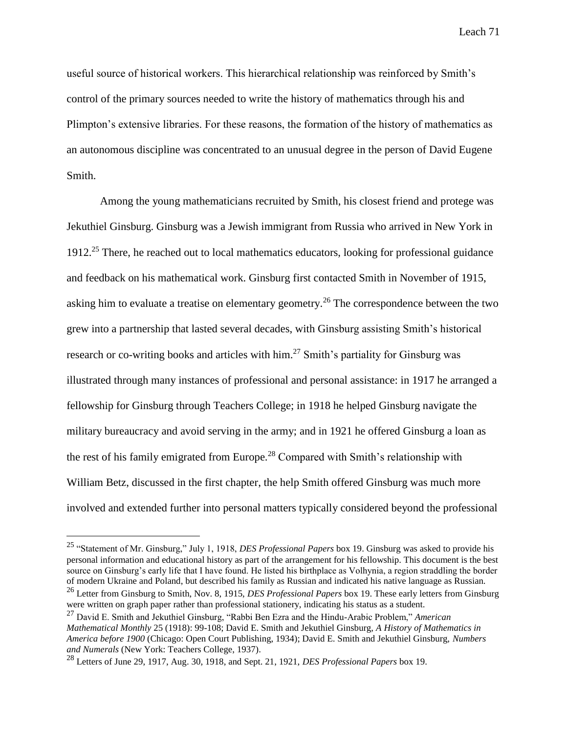useful source of historical workers. This hierarchical relationship was reinforced by Smith's control of the primary sources needed to write the history of mathematics through his and Plimpton's extensive libraries. For these reasons, the formation of the history of mathematics as an autonomous discipline was concentrated to an unusual degree in the person of David Eugene Smith.

Among the young mathematicians recruited by Smith, his closest friend and protege was Jekuthiel Ginsburg. Ginsburg was a Jewish immigrant from Russia who arrived in New York in  $1912<sup>25</sup>$  There, he reached out to local mathematics educators, looking for professional guidance and feedback on his mathematical work. Ginsburg first contacted Smith in November of 1915, asking him to evaluate a treatise on elementary geometry.<sup>26</sup> The correspondence between the two grew into a partnership that lasted several decades, with Ginsburg assisting Smith's historical research or co-writing books and articles with him.<sup>27</sup> Smith's partiality for Ginsburg was illustrated through many instances of professional and personal assistance: in 1917 he arranged a fellowship for Ginsburg through Teachers College; in 1918 he helped Ginsburg navigate the military bureaucracy and avoid serving in the army; and in 1921 he offered Ginsburg a loan as the rest of his family emigrated from Europe.<sup>28</sup> Compared with Smith's relationship with William Betz, discussed in the first chapter, the help Smith offered Ginsburg was much more involved and extended further into personal matters typically considered beyond the professional

<sup>25</sup> "Statement of Mr. Ginsburg," July 1, 1918, *DES Professional Papers* box 19. Ginsburg was asked to provide his personal information and educational history as part of the arrangement for his fellowship. This document is the best source on Ginsburg's early life that I have found. He listed his birthplace as Volhynia, a region straddling the border of modern Ukraine and Poland, but described his family as Russian and indicated his native language as Russian. <sup>26</sup> Letter from Ginsburg to Smith, Nov. 8, 1915, *DES Professional Papers* box 19. These early letters from Ginsburg were written on graph paper rather than professional stationery, indicating his status as a student.

<sup>27</sup> David E. Smith and Jekuthiel Ginsburg, "Rabbi Ben Ezra and the Hindu-Arabic Problem," *American Mathematical Monthly* 25 (1918): 99-108; David E. Smith and Jekuthiel Ginsburg, *A History of Mathematics in America before 1900* (Chicago: Open Court Publishing, 1934); David E. Smith and Jekuthiel Ginsburg, *Numbers and Numerals* (New York: Teachers College, 1937).

<sup>28</sup> Letters of June 29, 1917, Aug. 30, 1918, and Sept. 21, 1921, *DES Professional Papers* box 19.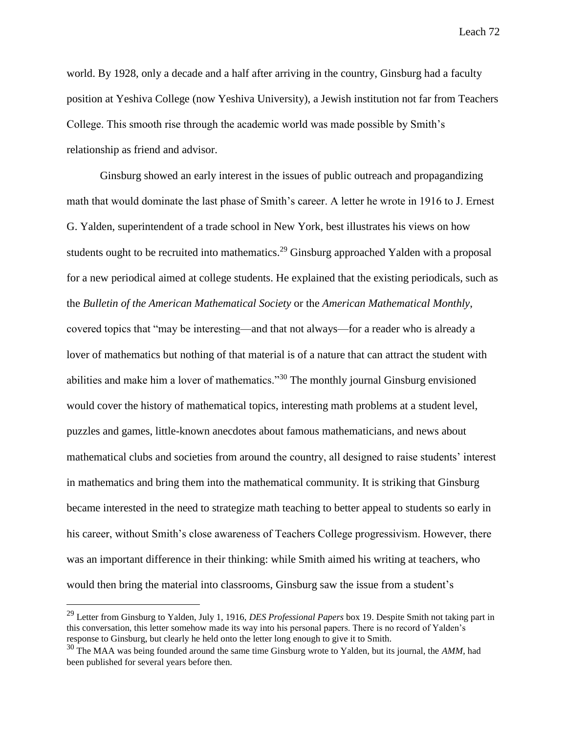world. By 1928, only a decade and a half after arriving in the country, Ginsburg had a faculty position at Yeshiva College (now Yeshiva University), a Jewish institution not far from Teachers College. This smooth rise through the academic world was made possible by Smith's relationship as friend and advisor.

Ginsburg showed an early interest in the issues of public outreach and propagandizing math that would dominate the last phase of Smith's career. A letter he wrote in 1916 to J. Ernest G. Yalden, superintendent of a trade school in New York, best illustrates his views on how students ought to be recruited into mathematics.<sup>29</sup> Ginsburg approached Yalden with a proposal for a new periodical aimed at college students. He explained that the existing periodicals, such as the *Bulletin of the American Mathematical Society* or the *American Mathematical Monthly*, covered topics that "may be interesting—and that not always—for a reader who is already a lover of mathematics but nothing of that material is of a nature that can attract the student with abilities and make him a lover of mathematics."<sup>30</sup> The monthly journal Ginsburg envisioned would cover the history of mathematical topics, interesting math problems at a student level, puzzles and games, little-known anecdotes about famous mathematicians, and news about mathematical clubs and societies from around the country, all designed to raise students' interest in mathematics and bring them into the mathematical community. It is striking that Ginsburg became interested in the need to strategize math teaching to better appeal to students so early in his career, without Smith's close awareness of Teachers College progressivism. However, there was an important difference in their thinking: while Smith aimed his writing at teachers, who would then bring the material into classrooms, Ginsburg saw the issue from a student's

<sup>29</sup> Letter from Ginsburg to Yalden, July 1, 1916, *DES Professional Papers* box 19. Despite Smith not taking part in this conversation, this letter somehow made its way into his personal papers. There is no record of Yalden's response to Ginsburg, but clearly he held onto the letter long enough to give it to Smith.

<sup>30</sup> The MAA was being founded around the same time Ginsburg wrote to Yalden, but its journal, the *AMM*, had been published for several years before then.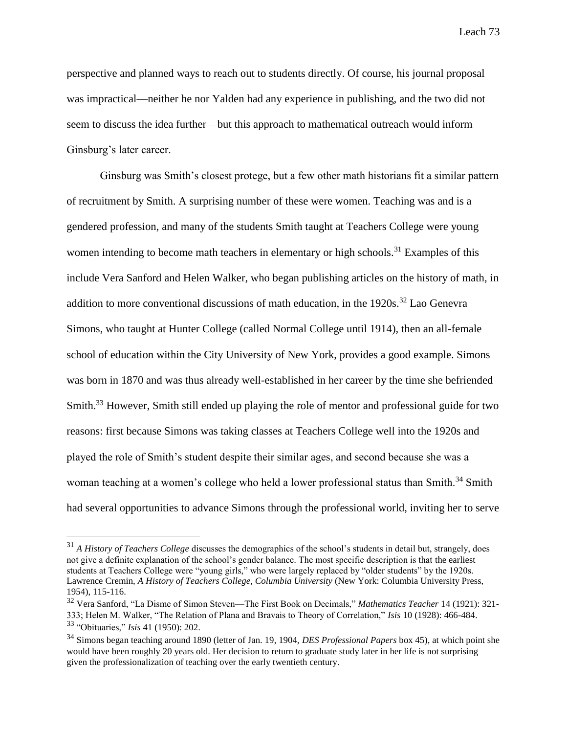perspective and planned ways to reach out to students directly. Of course, his journal proposal was impractical—neither he nor Yalden had any experience in publishing, and the two did not seem to discuss the idea further—but this approach to mathematical outreach would inform Ginsburg's later career.

Ginsburg was Smith's closest protege, but a few other math historians fit a similar pattern of recruitment by Smith. A surprising number of these were women. Teaching was and is a gendered profession, and many of the students Smith taught at Teachers College were young women intending to become math teachers in elementary or high schools.<sup>31</sup> Examples of this include Vera Sanford and Helen Walker, who began publishing articles on the history of math, in addition to more conventional discussions of math education, in the  $1920s$ .<sup>32</sup> Lao Genevra Simons, who taught at Hunter College (called Normal College until 1914), then an all-female school of education within the City University of New York, provides a good example. Simons was born in 1870 and was thus already well-established in her career by the time she befriended Smith.<sup>33</sup> However, Smith still ended up playing the role of mentor and professional guide for two reasons: first because Simons was taking classes at Teachers College well into the 1920s and played the role of Smith's student despite their similar ages, and second because she was a woman teaching at a women's college who held a lower professional status than Smith.<sup>34</sup> Smith had several opportunities to advance Simons through the professional world, inviting her to serve

<sup>&</sup>lt;sup>31</sup> *A History of Teachers College* discusses the demographics of the school's students in detail but, strangely, does not give a definite explanation of the school's gender balance. The most specific description is that the earliest students at Teachers College were "young girls," who were largely replaced by "older students" by the 1920s. Lawrence Cremin, *A History of Teachers College, Columbia University* (New York: Columbia University Press, 1954), 115-116.

<sup>32</sup> Vera Sanford, "La Disme of Simon Steven—The First Book on Decimals," *Mathematics Teacher* 14 (1921): 321- 333; Helen M. Walker, "The Relation of Plana and Bravais to Theory of Correlation," *Isis* 10 (1928): 466-484. <sup>33</sup> "Obituaries," *Isis* 41 (1950): 202.

<sup>34</sup> Simons began teaching around 1890 (letter of Jan. 19, 1904, *DES Professional Papers* box 45), at which point she would have been roughly 20 years old. Her decision to return to graduate study later in her life is not surprising given the professionalization of teaching over the early twentieth century.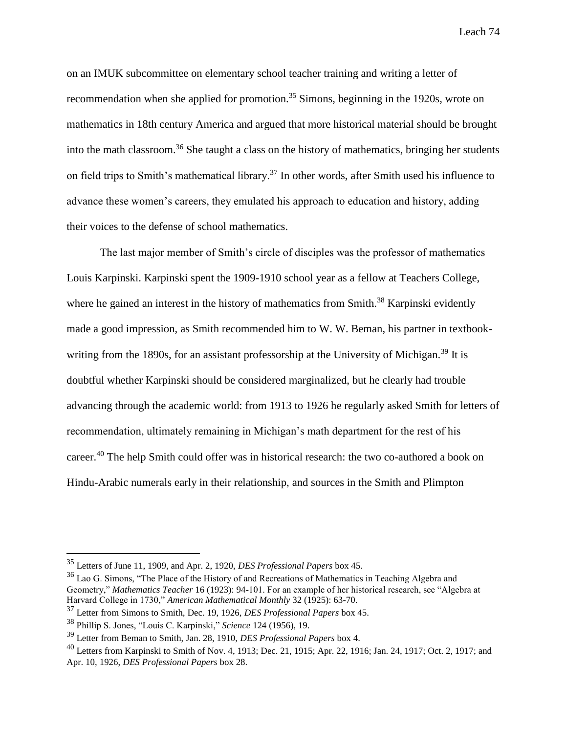on an IMUK subcommittee on elementary school teacher training and writing a letter of recommendation when she applied for promotion.<sup>35</sup> Simons, beginning in the 1920s, wrote on mathematics in 18th century America and argued that more historical material should be brought into the math classroom.<sup>36</sup> She taught a class on the history of mathematics, bringing her students on field trips to Smith's mathematical library.<sup>37</sup> In other words, after Smith used his influence to advance these women's careers, they emulated his approach to education and history, adding their voices to the defense of school mathematics.

The last major member of Smith's circle of disciples was the professor of mathematics Louis Karpinski. Karpinski spent the 1909-1910 school year as a fellow at Teachers College, where he gained an interest in the history of mathematics from Smith.<sup>38</sup> Karpinski evidently made a good impression, as Smith recommended him to W. W. Beman, his partner in textbookwriting from the 1890s, for an assistant professorship at the University of Michigan.<sup>39</sup> It is doubtful whether Karpinski should be considered marginalized, but he clearly had trouble advancing through the academic world: from 1913 to 1926 he regularly asked Smith for letters of recommendation, ultimately remaining in Michigan's math department for the rest of his career.<sup>40</sup> The help Smith could offer was in historical research: the two co-authored a book on Hindu-Arabic numerals early in their relationship, and sources in the Smith and Plimpton

<sup>35</sup> Letters of June 11, 1909, and Apr. 2, 1920, *DES Professional Papers* box 45.

<sup>&</sup>lt;sup>36</sup> Lao G. Simons, "The Place of the History of and Recreations of Mathematics in Teaching Algebra and Geometry," *Mathematics Teacher* 16 (1923): 94-101. For an example of her historical research, see "Algebra at Harvard College in 1730," *American Mathematical Monthly* 32 (1925): 63-70.

<sup>37</sup> Letter from Simons to Smith, Dec. 19, 1926, *DES Professional Papers* box 45.

<sup>38</sup> Phillip S. Jones, "Louis C. Karpinski," *Science* 124 (1956), 19.

<sup>39</sup> Letter from Beman to Smith, Jan. 28, 1910, *DES Professional Papers* box 4.

<sup>40</sup> Letters from Karpinski to Smith of Nov. 4, 1913; Dec. 21, 1915; Apr. 22, 1916; Jan. 24, 1917; Oct. 2, 1917; and Apr. 10, 1926, *DES Professional Papers* box 28.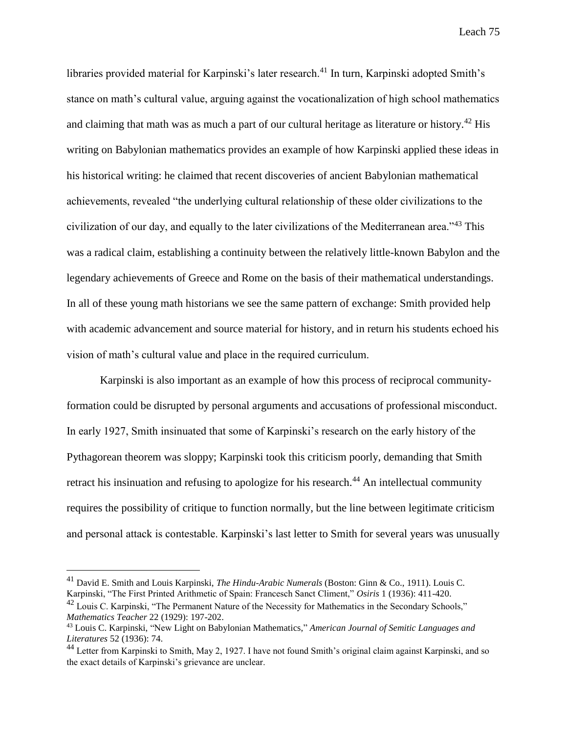libraries provided material for Karpinski's later research.<sup>41</sup> In turn, Karpinski adopted Smith's stance on math's cultural value, arguing against the vocationalization of high school mathematics and claiming that math was as much a part of our cultural heritage as literature or history.<sup>42</sup> His writing on Babylonian mathematics provides an example of how Karpinski applied these ideas in his historical writing: he claimed that recent discoveries of ancient Babylonian mathematical achievements, revealed "the underlying cultural relationship of these older civilizations to the civilization of our day, and equally to the later civilizations of the Mediterranean area."<sup>43</sup> This was a radical claim, establishing a continuity between the relatively little-known Babylon and the legendary achievements of Greece and Rome on the basis of their mathematical understandings. In all of these young math historians we see the same pattern of exchange: Smith provided help with academic advancement and source material for history, and in return his students echoed his vision of math's cultural value and place in the required curriculum.

Karpinski is also important as an example of how this process of reciprocal communityformation could be disrupted by personal arguments and accusations of professional misconduct. In early 1927, Smith insinuated that some of Karpinski's research on the early history of the Pythagorean theorem was sloppy; Karpinski took this criticism poorly, demanding that Smith retract his insinuation and refusing to apologize for his research.<sup>44</sup> An intellectual community requires the possibility of critique to function normally, but the line between legitimate criticism and personal attack is contestable. Karpinski's last letter to Smith for several years was unusually

<sup>41</sup> David E. Smith and Louis Karpinski, *The Hindu-Arabic Numerals* (Boston: Ginn & Co., 1911). Louis C. Karpinski, "The First Printed Arithmetic of Spain: Francesch Sanct Climent," *Osiris* 1 (1936): 411-420.

 $42$  Louis C. Karpinski, "The Permanent Nature of the Necessity for Mathematics in the Secondary Schools," *Mathematics Teacher* 22 (1929): 197-202.

<sup>43</sup> Louis C. Karpinski, "New Light on Babylonian Mathematics," *American Journal of Semitic Languages and Literatures* 52 (1936): 74.

<sup>&</sup>lt;sup>44</sup> Letter from Karpinski to Smith, May 2, 1927. I have not found Smith's original claim against Karpinski, and so the exact details of Karpinski's grievance are unclear.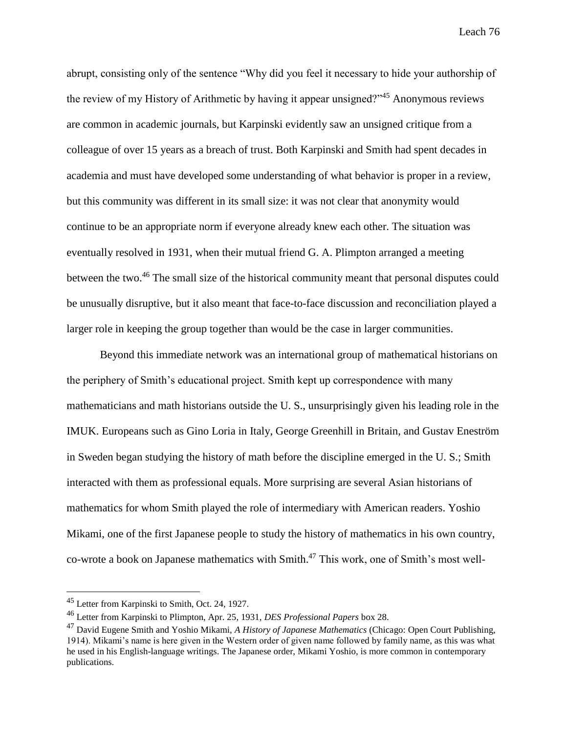abrupt, consisting only of the sentence "Why did you feel it necessary to hide your authorship of the review of my History of Arithmetic by having it appear unsigned?"<sup>45</sup> Anonymous reviews are common in academic journals, but Karpinski evidently saw an unsigned critique from a colleague of over 15 years as a breach of trust. Both Karpinski and Smith had spent decades in academia and must have developed some understanding of what behavior is proper in a review, but this community was different in its small size: it was not clear that anonymity would continue to be an appropriate norm if everyone already knew each other. The situation was eventually resolved in 1931, when their mutual friend G. A. Plimpton arranged a meeting between the two.<sup>46</sup> The small size of the historical community meant that personal disputes could be unusually disruptive, but it also meant that face-to-face discussion and reconciliation played a larger role in keeping the group together than would be the case in larger communities.

Beyond this immediate network was an international group of mathematical historians on the periphery of Smith's educational project. Smith kept up correspondence with many mathematicians and math historians outside the U. S., unsurprisingly given his leading role in the IMUK. Europeans such as Gino Loria in Italy, George Greenhill in Britain, and Gustav Eneström in Sweden began studying the history of math before the discipline emerged in the U. S.; Smith interacted with them as professional equals. More surprising are several Asian historians of mathematics for whom Smith played the role of intermediary with American readers. Yoshio Mikami, one of the first Japanese people to study the history of mathematics in his own country, co-wrote a book on Japanese mathematics with Smith.<sup>47</sup> This work, one of Smith's most well-

<sup>&</sup>lt;sup>45</sup> Letter from Karpinski to Smith, Oct. 24, 1927.

<sup>46</sup> Letter from Karpinski to Plimpton, Apr. 25, 1931, *DES Professional Papers* box 28.

<sup>47</sup> David Eugene Smith and Yoshio Mikami, *A History of Japanese Mathematics* (Chicago: Open Court Publishing, 1914). Mikami's name is here given in the Western order of given name followed by family name, as this was what he used in his English-language writings. The Japanese order, Mikami Yoshio, is more common in contemporary publications.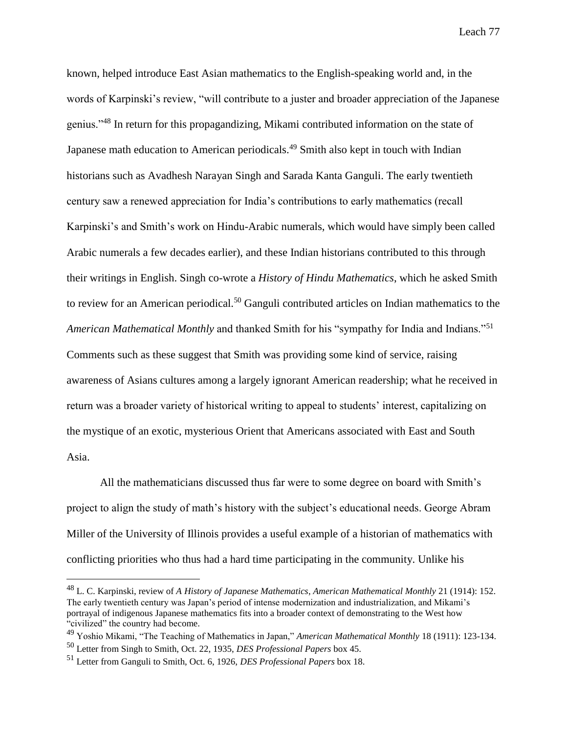known, helped introduce East Asian mathematics to the English-speaking world and, in the words of Karpinski's review, "will contribute to a juster and broader appreciation of the Japanese genius."<sup>48</sup> In return for this propagandizing, Mikami contributed information on the state of Japanese math education to American periodicals.<sup>49</sup> Smith also kept in touch with Indian historians such as Avadhesh Narayan Singh and Sarada Kanta Ganguli. The early twentieth century saw a renewed appreciation for India's contributions to early mathematics (recall Karpinski's and Smith's work on Hindu-Arabic numerals, which would have simply been called Arabic numerals a few decades earlier), and these Indian historians contributed to this through their writings in English. Singh co-wrote a *History of Hindu Mathematics*, which he asked Smith to review for an American periodical.<sup>50</sup> Ganguli contributed articles on Indian mathematics to the *American Mathematical Monthly* and thanked Smith for his "sympathy for India and Indians."<sup>51</sup> Comments such as these suggest that Smith was providing some kind of service, raising awareness of Asians cultures among a largely ignorant American readership; what he received in return was a broader variety of historical writing to appeal to students' interest, capitalizing on the mystique of an exotic, mysterious Orient that Americans associated with East and South Asia.

All the mathematicians discussed thus far were to some degree on board with Smith's project to align the study of math's history with the subject's educational needs. George Abram Miller of the University of Illinois provides a useful example of a historian of mathematics with conflicting priorities who thus had a hard time participating in the community. Unlike his

<sup>48</sup> L. C. Karpinski, review of *A History of Japanese Mathematics*, *American Mathematical Monthly* 21 (1914): 152. The early twentieth century was Japan's period of intense modernization and industrialization, and Mikami's portrayal of indigenous Japanese mathematics fits into a broader context of demonstrating to the West how "civilized" the country had become.

<sup>49</sup> Yoshio Mikami, "The Teaching of Mathematics in Japan," *American Mathematical Monthly* 18 (1911): 123-134. <sup>50</sup> Letter from Singh to Smith, Oct. 22, 1935, *DES Professional Papers* box 45.

<sup>51</sup> Letter from Ganguli to Smith, Oct. 6, 1926, *DES Professional Papers* box 18.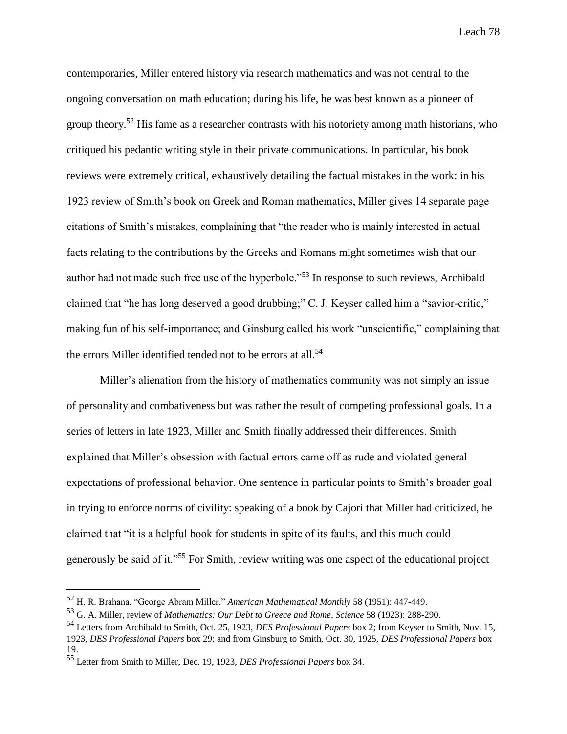contemporaries, Miller entered history via research mathematics and was not central to the ongoing conversation on math education; during his life, he was best known as a pioneer of group theory.<sup>52</sup> His fame as a researcher contrasts with his notoriety among math historians, who critiqued his pedantic writing style in their private communications. In particular, his book reviews were extremely critical, exhaustively detailing the factual mistakes in the work: in his 1923 review of Smith's book on Greek and Roman mathematics, Miller gives 14 separate page citations of Smith's mistakes, complaining that "the reader who is mainly interested in actual facts relating to the contributions by the Greeks and Romans might sometimes wish that our author had not made such free use of the hyperbole."<sup>53</sup> In response to such reviews, Archibald claimed that "he has long deserved a good drubbing;" C. J. Keyser called him a "savior-critic," making fun of his self-importance; and Ginsburg called his work "unscientific," complaining that the errors Miller identified tended not to be errors at all.<sup>54</sup>

Miller's alienation from the history of mathematics community was not simply an issue of personality and combativeness but was rather the result of competing professional goals. In a series of letters in late 1923, Miller and Smith finally addressed their differences. Smith explained that Miller's obsession with factual errors came off as rude and violated general expectations of professional behavior. One sentence in particular points to Smith's broader goal in trying to enforce norms of civility: speaking of a book by Cajori that Miller had criticized, he claimed that "it is a helpful book for students in spite of its faults, and this much could generously be said of it."<sup>55</sup> For Smith, review writing was one aspect of the educational project

<sup>52</sup> H. R. Brahana, "George Abram Miller," *American Mathematical Monthly* 58 (1951): 447-449.

<sup>53</sup> G. A. Miller, review of *Mathematics: Our Debt to Greece and Rome*, *Science* 58 (1923): 288-290.

<sup>54</sup> Letters from Archibald to Smith, Oct. 25, 1923, *DES Professional Papers* box 2; from Keyser to Smith, Nov. 15, 1923, *DES Professional Papers* box 29; and from Ginsburg to Smith, Oct. 30, 1925, *DES Professional Papers* box 19.

<sup>55</sup> Letter from Smith to Miller, Dec. 19, 1923, *DES Professional Papers* box 34.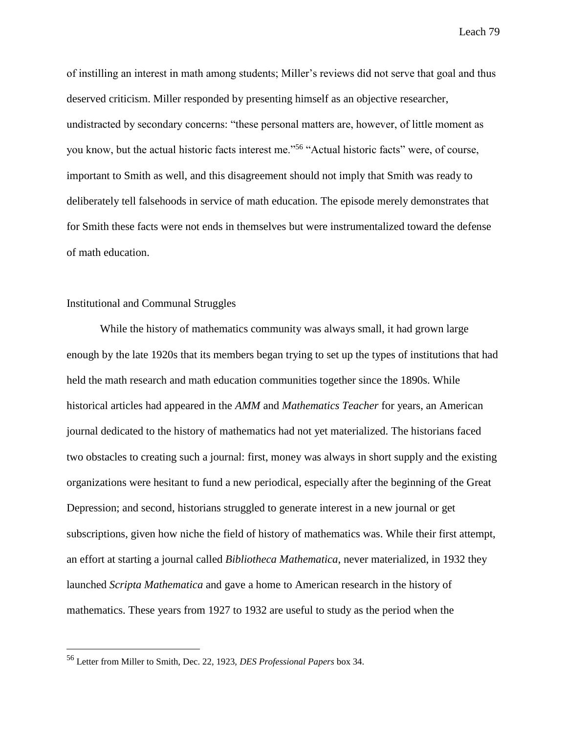of instilling an interest in math among students; Miller's reviews did not serve that goal and thus deserved criticism. Miller responded by presenting himself as an objective researcher, undistracted by secondary concerns: "these personal matters are, however, of little moment as you know, but the actual historic facts interest me."<sup>56</sup> "Actual historic facts" were, of course, important to Smith as well, and this disagreement should not imply that Smith was ready to deliberately tell falsehoods in service of math education. The episode merely demonstrates that for Smith these facts were not ends in themselves but were instrumentalized toward the defense of math education.

## Institutional and Communal Struggles

While the history of mathematics community was always small, it had grown large enough by the late 1920s that its members began trying to set up the types of institutions that had held the math research and math education communities together since the 1890s. While historical articles had appeared in the *AMM* and *Mathematics Teacher* for years, an American journal dedicated to the history of mathematics had not yet materialized. The historians faced two obstacles to creating such a journal: first, money was always in short supply and the existing organizations were hesitant to fund a new periodical, especially after the beginning of the Great Depression; and second, historians struggled to generate interest in a new journal or get subscriptions, given how niche the field of history of mathematics was. While their first attempt, an effort at starting a journal called *Bibliotheca Mathematica*, never materialized, in 1932 they launched *Scripta Mathematica* and gave a home to American research in the history of mathematics. These years from 1927 to 1932 are useful to study as the period when the

<sup>56</sup> Letter from Miller to Smith, Dec. 22, 1923, *DES Professional Papers* box 34.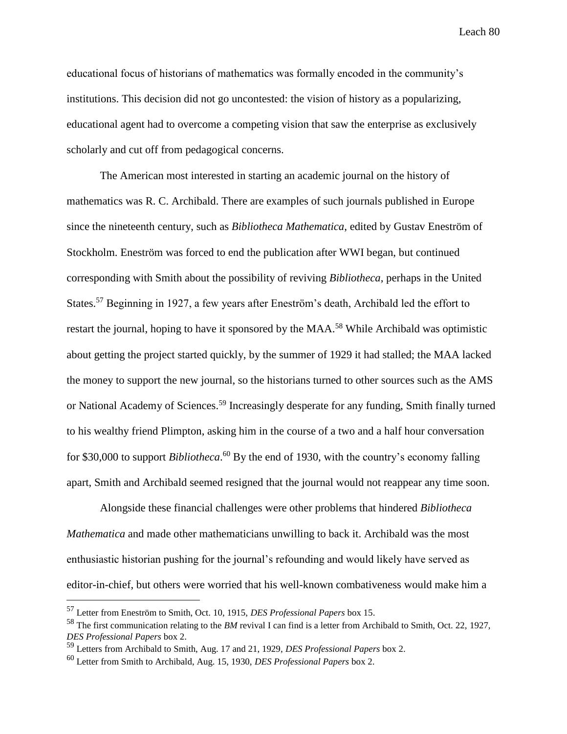educational focus of historians of mathematics was formally encoded in the community's institutions. This decision did not go uncontested: the vision of history as a popularizing, educational agent had to overcome a competing vision that saw the enterprise as exclusively scholarly and cut off from pedagogical concerns.

The American most interested in starting an academic journal on the history of mathematics was R. C. Archibald. There are examples of such journals published in Europe since the nineteenth century, such as *Bibliotheca Mathematica*, edited by Gustav Eneström of Stockholm. Eneström was forced to end the publication after WWI began, but continued corresponding with Smith about the possibility of reviving *Bibliotheca*, perhaps in the United States.<sup>57</sup> Beginning in 1927, a few years after Eneström's death, Archibald led the effort to restart the journal, hoping to have it sponsored by the MAA.<sup>58</sup> While Archibald was optimistic about getting the project started quickly, by the summer of 1929 it had stalled; the MAA lacked the money to support the new journal, so the historians turned to other sources such as the AMS or National Academy of Sciences.<sup>59</sup> Increasingly desperate for any funding, Smith finally turned to his wealthy friend Plimpton, asking him in the course of a two and a half hour conversation for \$30,000 to support *Bibliotheca*. <sup>60</sup> By the end of 1930, with the country's economy falling apart, Smith and Archibald seemed resigned that the journal would not reappear any time soon.

Alongside these financial challenges were other problems that hindered *Bibliotheca Mathematica* and made other mathematicians unwilling to back it. Archibald was the most enthusiastic historian pushing for the journal's refounding and would likely have served as editor-in-chief, but others were worried that his well-known combativeness would make him a

<sup>57</sup> Letter from Eneström to Smith, Oct. 10, 1915, *DES Professional Papers* box 15.

<sup>58</sup> The first communication relating to the *BM* revival I can find is a letter from Archibald to Smith, Oct. 22, 1927, *DES Professional Papers* box 2.

<sup>59</sup> Letters from Archibald to Smith, Aug. 17 and 21, 1929, *DES Professional Papers* box 2.

<sup>60</sup> Letter from Smith to Archibald, Aug. 15, 1930, *DES Professional Papers* box 2.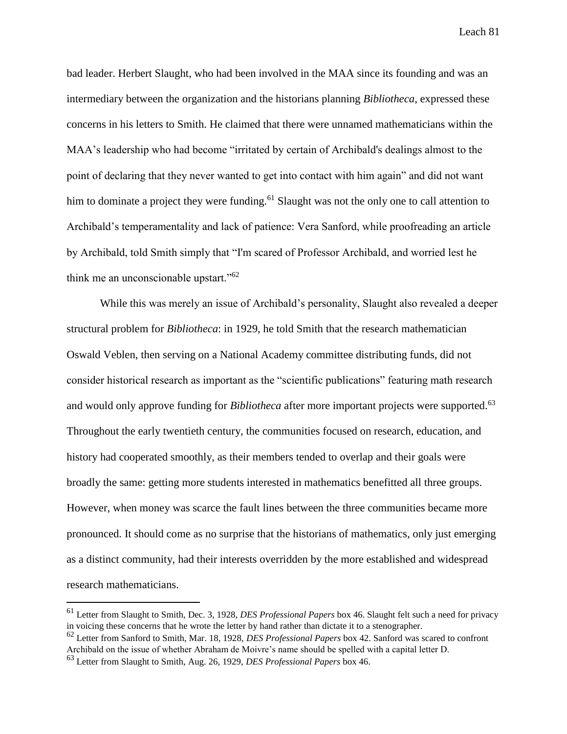bad leader. Herbert Slaught, who had been involved in the MAA since its founding and was an intermediary between the organization and the historians planning *Bibliotheca*, expressed these concerns in his letters to Smith. He claimed that there were unnamed mathematicians within the MAA's leadership who had become "irritated by certain of Archibald's dealings almost to the point of declaring that they never wanted to get into contact with him again" and did not want him to dominate a project they were funding.<sup>61</sup> Slaught was not the only one to call attention to Archibald's temperamentality and lack of patience: Vera Sanford, while proofreading an article by Archibald, told Smith simply that "I'm scared of Professor Archibald, and worried lest he think me an unconscionable upstart."<sup>62</sup>

While this was merely an issue of Archibald's personality, Slaught also revealed a deeper structural problem for *Bibliotheca*: in 1929, he told Smith that the research mathematician Oswald Veblen, then serving on a National Academy committee distributing funds, did not consider historical research as important as the "scientific publications" featuring math research and would only approve funding for *Bibliotheca* after more important projects were supported.<sup>63</sup> Throughout the early twentieth century, the communities focused on research, education, and history had cooperated smoothly, as their members tended to overlap and their goals were broadly the same: getting more students interested in mathematics benefitted all three groups. However, when money was scarce the fault lines between the three communities became more pronounced. It should come as no surprise that the historians of mathematics, only just emerging as a distinct community, had their interests overridden by the more established and widespread research mathematicians.

<sup>61</sup> Letter from Slaught to Smith, Dec. 3, 1928, *DES Professional Papers* box 46. Slaught felt such a need for privacy in voicing these concerns that he wrote the letter by hand rather than dictate it to a stenographer.

<sup>62</sup> Letter from Sanford to Smith, Mar. 18, 1928, *DES Professional Papers* box 42. Sanford was scared to confront Archibald on the issue of whether Abraham de Moivre's name should be spelled with a capital letter D.

<sup>63</sup> Letter from Slaught to Smith, Aug. 26, 1929, *DES Professional Papers* box 46.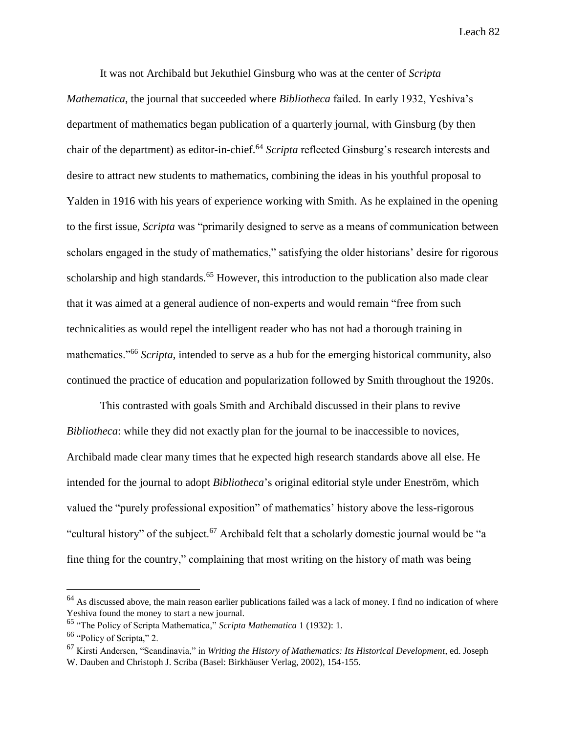It was not Archibald but Jekuthiel Ginsburg who was at the center of *Scripta Mathematica*, the journal that succeeded where *Bibliotheca* failed. In early 1932, Yeshiva's department of mathematics began publication of a quarterly journal, with Ginsburg (by then chair of the department) as editor-in-chief.<sup>64</sup> *Scripta* reflected Ginsburg's research interests and desire to attract new students to mathematics, combining the ideas in his youthful proposal to Yalden in 1916 with his years of experience working with Smith. As he explained in the opening to the first issue, *Scripta* was "primarily designed to serve as a means of communication between scholars engaged in the study of mathematics," satisfying the older historians' desire for rigorous scholarship and high standards.<sup>65</sup> However, this introduction to the publication also made clear that it was aimed at a general audience of non-experts and would remain "free from such technicalities as would repel the intelligent reader who has not had a thorough training in mathematics."<sup>66</sup> *Scripta*, intended to serve as a hub for the emerging historical community, also continued the practice of education and popularization followed by Smith throughout the 1920s.

This contrasted with goals Smith and Archibald discussed in their plans to revive *Bibliotheca*: while they did not exactly plan for the journal to be inaccessible to novices, Archibald made clear many times that he expected high research standards above all else. He intended for the journal to adopt *Bibliotheca*'s original editorial style under Eneström, which valued the "purely professional exposition" of mathematics' history above the less-rigorous "cultural history" of the subject.<sup>67</sup> Archibald felt that a scholarly domestic journal would be "a fine thing for the country," complaining that most writing on the history of math was being

 $64$  As discussed above, the main reason earlier publications failed was a lack of money. I find no indication of where Yeshiva found the money to start a new journal.

<sup>65</sup> "The Policy of Scripta Mathematica," *Scripta Mathematica* 1 (1932): 1.

<sup>66</sup> "Policy of Scripta," 2.

<sup>67</sup> Kirsti Andersen, "Scandinavia," in *Writing the History of Mathematics: Its Historical Development*, ed. Joseph W. Dauben and Christoph J. Scriba (Basel: Birkhäuser Verlag, 2002), 154-155.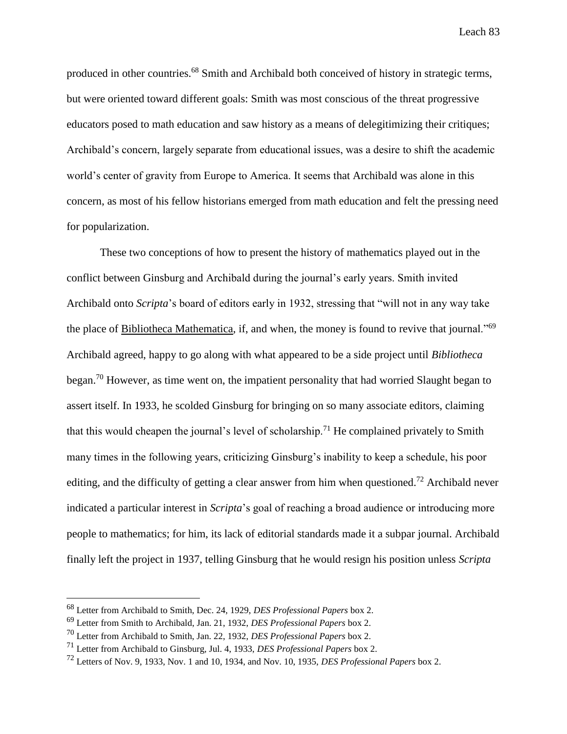produced in other countries.<sup>68</sup> Smith and Archibald both conceived of history in strategic terms, but were oriented toward different goals: Smith was most conscious of the threat progressive educators posed to math education and saw history as a means of delegitimizing their critiques; Archibald's concern, largely separate from educational issues, was a desire to shift the academic world's center of gravity from Europe to America. It seems that Archibald was alone in this concern, as most of his fellow historians emerged from math education and felt the pressing need for popularization.

These two conceptions of how to present the history of mathematics played out in the conflict between Ginsburg and Archibald during the journal's early years. Smith invited Archibald onto *Scripta*'s board of editors early in 1932, stressing that "will not in any way take the place of Bibliotheca Mathematica, if, and when, the money is found to revive that journal."<sup>69</sup> Archibald agreed, happy to go along with what appeared to be a side project until *Bibliotheca* began.<sup>70</sup> However, as time went on, the impatient personality that had worried Slaught began to assert itself. In 1933, he scolded Ginsburg for bringing on so many associate editors, claiming that this would cheapen the journal's level of scholarship.<sup>71</sup> He complained privately to Smith many times in the following years, criticizing Ginsburg's inability to keep a schedule, his poor editing, and the difficulty of getting a clear answer from him when questioned.<sup>72</sup> Archibald never indicated a particular interest in *Scripta*'s goal of reaching a broad audience or introducing more people to mathematics; for him, its lack of editorial standards made it a subpar journal. Archibald finally left the project in 1937, telling Ginsburg that he would resign his position unless *Scripta*

<sup>68</sup> Letter from Archibald to Smith, Dec. 24, 1929, *DES Professional Papers* box 2.

<sup>69</sup> Letter from Smith to Archibald, Jan. 21, 1932, *DES Professional Papers* box 2.

<sup>70</sup> Letter from Archibald to Smith, Jan. 22, 1932, *DES Professional Papers* box 2.

<sup>71</sup> Letter from Archibald to Ginsburg, Jul. 4, 1933, *DES Professional Papers* box 2.

<sup>72</sup> Letters of Nov. 9, 1933, Nov. 1 and 10, 1934, and Nov. 10, 1935, *DES Professional Papers* box 2.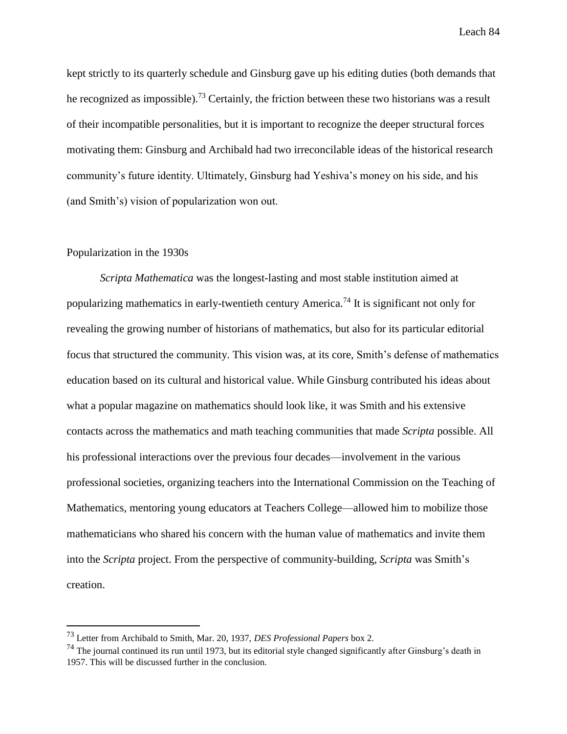kept strictly to its quarterly schedule and Ginsburg gave up his editing duties (both demands that he recognized as impossible).<sup>73</sup> Certainly, the friction between these two historians was a result of their incompatible personalities, but it is important to recognize the deeper structural forces motivating them: Ginsburg and Archibald had two irreconcilable ideas of the historical research community's future identity. Ultimately, Ginsburg had Yeshiva's money on his side, and his (and Smith's) vision of popularization won out.

### Popularization in the 1930s

 $\overline{a}$ 

*Scripta Mathematica* was the longest-lasting and most stable institution aimed at popularizing mathematics in early-twentieth century America.<sup>74</sup> It is significant not only for revealing the growing number of historians of mathematics, but also for its particular editorial focus that structured the community. This vision was, at its core, Smith's defense of mathematics education based on its cultural and historical value. While Ginsburg contributed his ideas about what a popular magazine on mathematics should look like, it was Smith and his extensive contacts across the mathematics and math teaching communities that made *Scripta* possible. All his professional interactions over the previous four decades—involvement in the various professional societies, organizing teachers into the International Commission on the Teaching of Mathematics, mentoring young educators at Teachers College—allowed him to mobilize those mathematicians who shared his concern with the human value of mathematics and invite them into the *Scripta* project. From the perspective of community-building, *Scripta* was Smith's creation.

<sup>73</sup> Letter from Archibald to Smith, Mar. 20, 1937, *DES Professional Papers* box 2.

 $^{74}$  The journal continued its run until 1973, but its editorial style changed significantly after Ginsburg's death in 1957. This will be discussed further in the conclusion.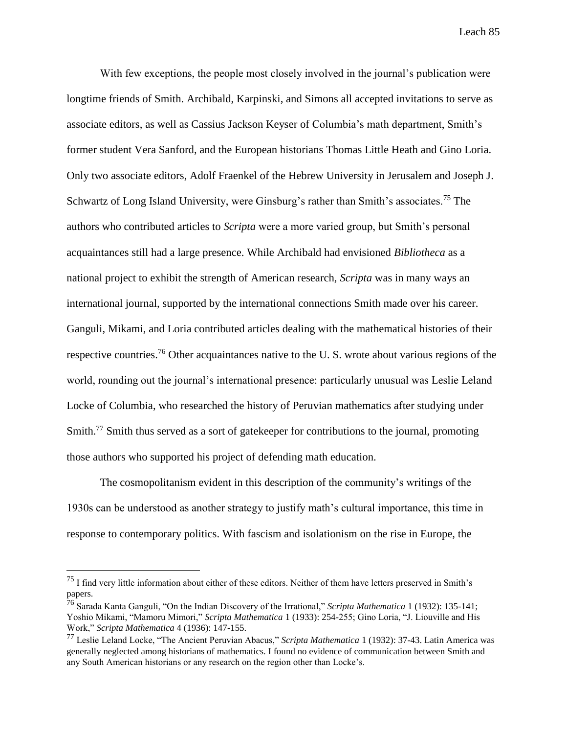With few exceptions, the people most closely involved in the journal's publication were longtime friends of Smith. Archibald, Karpinski, and Simons all accepted invitations to serve as associate editors, as well as Cassius Jackson Keyser of Columbia's math department, Smith's former student Vera Sanford, and the European historians Thomas Little Heath and Gino Loria. Only two associate editors, Adolf Fraenkel of the Hebrew University in Jerusalem and Joseph J. Schwartz of Long Island University, were Ginsburg's rather than Smith's associates.<sup>75</sup> The authors who contributed articles to *Scripta* were a more varied group, but Smith's personal acquaintances still had a large presence. While Archibald had envisioned *Bibliotheca* as a national project to exhibit the strength of American research, *Scripta* was in many ways an international journal, supported by the international connections Smith made over his career. Ganguli, Mikami, and Loria contributed articles dealing with the mathematical histories of their respective countries.<sup>76</sup> Other acquaintances native to the U.S. wrote about various regions of the world, rounding out the journal's international presence: particularly unusual was Leslie Leland Locke of Columbia, who researched the history of Peruvian mathematics after studying under Smith.<sup>77</sup> Smith thus served as a sort of gatekeeper for contributions to the journal, promoting those authors who supported his project of defending math education.

The cosmopolitanism evident in this description of the community's writings of the 1930s can be understood as another strategy to justify math's cultural importance, this time in response to contemporary politics. With fascism and isolationism on the rise in Europe, the

<sup>&</sup>lt;sup>75</sup> I find very little information about either of these editors. Neither of them have letters preserved in Smith's papers.

<sup>76</sup> Sarada Kanta Ganguli, "On the Indian Discovery of the Irrational," *Scripta Mathematica* 1 (1932): 135-141; Yoshio Mikami, "Mamoru Mimori," *Scripta Mathematica* 1 (1933): 254-255; Gino Loria, "J. Liouville and His Work," *Scripta Mathematica* 4 (1936): 147-155.

<sup>77</sup> Leslie Leland Locke, "The Ancient Peruvian Abacus," *Scripta Mathematica* 1 (1932): 37-43. Latin America was generally neglected among historians of mathematics. I found no evidence of communication between Smith and any South American historians or any research on the region other than Locke's.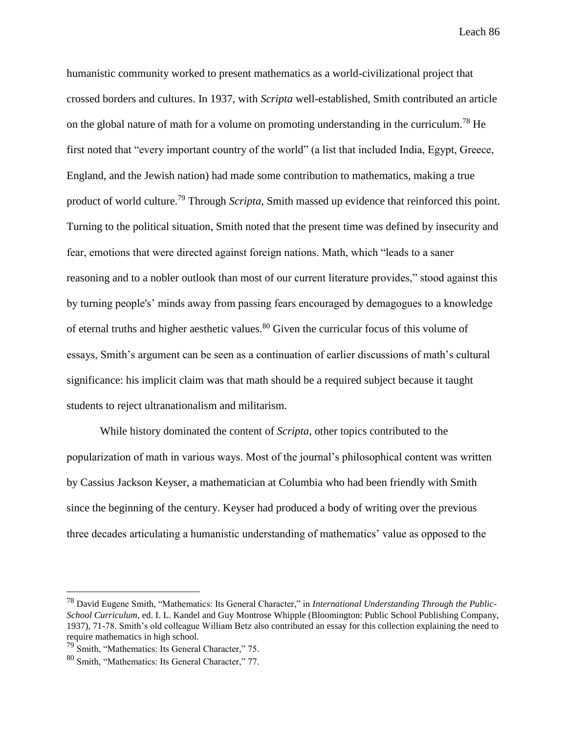humanistic community worked to present mathematics as a world-civilizational project that crossed borders and cultures. In 1937, with *Scripta* well-established, Smith contributed an article on the global nature of math for a volume on promoting understanding in the curriculum.<sup>78</sup> He first noted that "every important country of the world" (a list that included India, Egypt, Greece, England, and the Jewish nation) had made some contribution to mathematics, making a true product of world culture.<sup>79</sup> Through *Scripta*, Smith massed up evidence that reinforced this point. Turning to the political situation, Smith noted that the present time was defined by insecurity and fear, emotions that were directed against foreign nations. Math, which "leads to a saner reasoning and to a nobler outlook than most of our current literature provides," stood against this by turning people's' minds away from passing fears encouraged by demagogues to a knowledge of eternal truths and higher aesthetic values.<sup>80</sup> Given the curricular focus of this volume of essays, Smith's argument can be seen as a continuation of earlier discussions of math's cultural significance: his implicit claim was that math should be a required subject because it taught students to reject ultranationalism and militarism.

While history dominated the content of *Scripta*, other topics contributed to the popularization of math in various ways. Most of the journal's philosophical content was written by Cassius Jackson Keyser, a mathematician at Columbia who had been friendly with Smith since the beginning of the century. Keyser had produced a body of writing over the previous three decades articulating a humanistic understanding of mathematics' value as opposed to the

<sup>78</sup> David Eugene Smith, "Mathematics: Its General Character," in *International Understanding Through the Public-School Curriculum*, ed. I. L. Kandel and Guy Montrose Whipple (Bloomington: Public School Publishing Company, 1937), 71-78. Smith's old colleague William Betz also contributed an essay for this collection explaining the need to require mathematics in high school.

<sup>79</sup> Smith, "Mathematics: Its General Character," 75.

<sup>80</sup> Smith, "Mathematics: Its General Character," 77.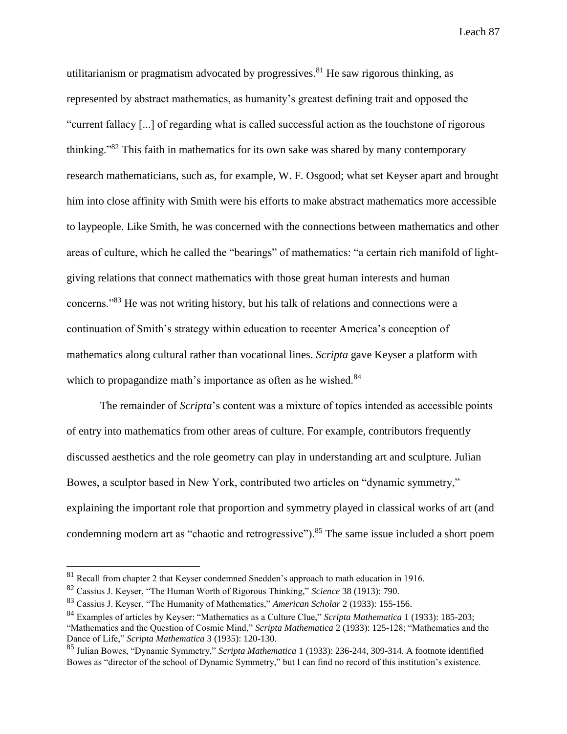utilitarianism or pragmatism advocated by progressives. $81$  He saw rigorous thinking, as represented by abstract mathematics, as humanity's greatest defining trait and opposed the "current fallacy [...] of regarding what is called successful action as the touchstone of rigorous thinking."<sup>82</sup> This faith in mathematics for its own sake was shared by many contemporary research mathematicians, such as, for example, W. F. Osgood; what set Keyser apart and brought him into close affinity with Smith were his efforts to make abstract mathematics more accessible to laypeople. Like Smith, he was concerned with the connections between mathematics and other areas of culture, which he called the "bearings" of mathematics: "a certain rich manifold of lightgiving relations that connect mathematics with those great human interests and human concerns."<sup>83</sup> He was not writing history, but his talk of relations and connections were a continuation of Smith's strategy within education to recenter America's conception of mathematics along cultural rather than vocational lines. *Scripta* gave Keyser a platform with which to propagandize math's importance as often as he wished.<sup>84</sup>

The remainder of *Scripta*'s content was a mixture of topics intended as accessible points of entry into mathematics from other areas of culture. For example, contributors frequently discussed aesthetics and the role geometry can play in understanding art and sculpture. Julian Bowes, a sculptor based in New York, contributed two articles on "dynamic symmetry," explaining the important role that proportion and symmetry played in classical works of art (and condemning modern art as "chaotic and retrogressive").<sup>85</sup> The same issue included a short poem

<sup>81</sup> Recall from chapter 2 that Keyser condemned Snedden's approach to math education in 1916.

<sup>82</sup> Cassius J. Keyser, "The Human Worth of Rigorous Thinking," *Science* 38 (1913): 790.

<sup>83</sup> Cassius J. Keyser, "The Humanity of Mathematics," *American Scholar* 2 (1933): 155-156.

<sup>84</sup> Examples of articles by Keyser: "Mathematics as a Culture Clue," *Scripta Mathematica* 1 (1933): 185-203; "Mathematics and the Question of Cosmic Mind," *Scripta Mathematica* 2 (1933): 125-128; "Mathematics and the

Dance of Life," *Scripta Mathematica* 3 (1935): 120-130.

<sup>85</sup> Julian Bowes, "Dynamic Symmetry," *Scripta Mathematica* 1 (1933): 236-244, 309-314. A footnote identified Bowes as "director of the school of Dynamic Symmetry," but I can find no record of this institution's existence.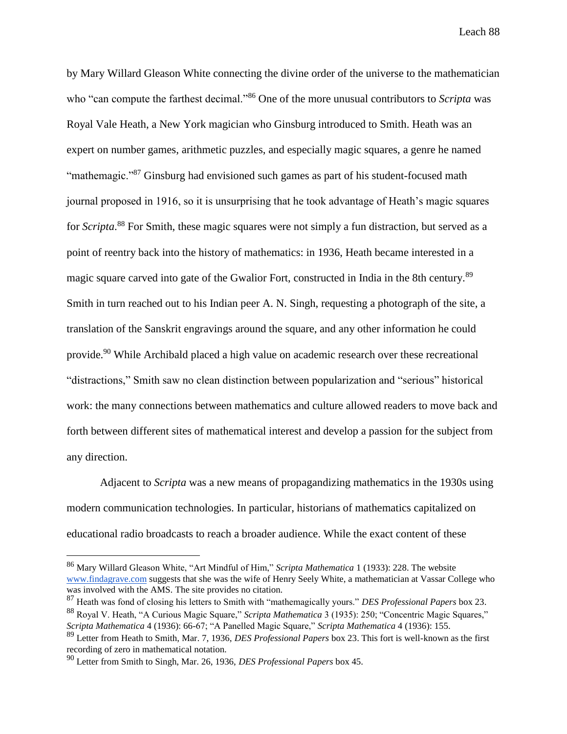by Mary Willard Gleason White connecting the divine order of the universe to the mathematician who "can compute the farthest decimal."<sup>86</sup> One of the more unusual contributors to *Scripta* was Royal Vale Heath, a New York magician who Ginsburg introduced to Smith. Heath was an expert on number games, arithmetic puzzles, and especially magic squares, a genre he named "mathemagic."<sup>87</sup> Ginsburg had envisioned such games as part of his student-focused math journal proposed in 1916, so it is unsurprising that he took advantage of Heath's magic squares for *Scripta*. <sup>88</sup> For Smith, these magic squares were not simply a fun distraction, but served as a point of reentry back into the history of mathematics: in 1936, Heath became interested in a magic square carved into gate of the Gwalior Fort, constructed in India in the 8th century.<sup>89</sup> Smith in turn reached out to his Indian peer A. N. Singh, requesting a photograph of the site, a translation of the Sanskrit engravings around the square, and any other information he could provide.<sup>90</sup> While Archibald placed a high value on academic research over these recreational "distractions," Smith saw no clean distinction between popularization and "serious" historical work: the many connections between mathematics and culture allowed readers to move back and forth between different sites of mathematical interest and develop a passion for the subject from any direction.

Adjacent to *Scripta* was a new means of propagandizing mathematics in the 1930s using modern communication technologies. In particular, historians of mathematics capitalized on educational radio broadcasts to reach a broader audience. While the exact content of these

<sup>86</sup> Mary Willard Gleason White, "Art Mindful of Him," *Scripta Mathematica* 1 (1933): 228. The website [www.findagrave.com](http://www.findagrave.com/) suggests that she was the wife of Henry Seely White, a mathematician at Vassar College who was involved with the AMS. The site provides no citation.

<sup>87</sup> Heath was fond of closing his letters to Smith with "mathemagically yours." *DES Professional Papers* box 23. <sup>88</sup> Royal V. Heath, "A Curious Magic Square," *Scripta Mathematica* 3 (1935): 250; "Concentric Magic Squares,"

*Scripta Mathematica* 4 (1936): 66-67; "A Panelled Magic Square," *Scripta Mathematica* 4 (1936): 155.

<sup>89</sup> Letter from Heath to Smith, Mar. 7, 1936, *DES Professional Papers* box 23. This fort is well-known as the first recording of zero in mathematical notation.

<sup>90</sup> Letter from Smith to Singh, Mar. 26, 1936, *DES Professional Papers* box 45.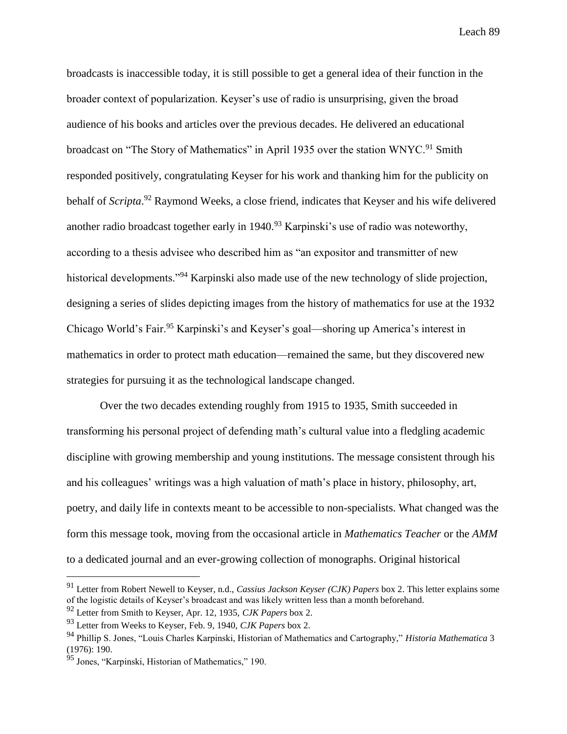broadcasts is inaccessible today, it is still possible to get a general idea of their function in the broader context of popularization. Keyser's use of radio is unsurprising, given the broad audience of his books and articles over the previous decades. He delivered an educational broadcast on "The Story of Mathematics" in April 1935 over the station WNYC.<sup>91</sup> Smith responded positively, congratulating Keyser for his work and thanking him for the publicity on behalf of *Scripta*. <sup>92</sup> Raymond Weeks, a close friend, indicates that Keyser and his wife delivered another radio broadcast together early in  $1940.^{93}$  Karpinski's use of radio was noteworthy, according to a thesis advisee who described him as "an expositor and transmitter of new historical developments."<sup>94</sup> Karpinski also made use of the new technology of slide projection, designing a series of slides depicting images from the history of mathematics for use at the 1932 Chicago World's Fair.<sup>95</sup> Karpinski's and Keyser's goal—shoring up America's interest in mathematics in order to protect math education—remained the same, but they discovered new strategies for pursuing it as the technological landscape changed.

Over the two decades extending roughly from 1915 to 1935, Smith succeeded in transforming his personal project of defending math's cultural value into a fledgling academic discipline with growing membership and young institutions. The message consistent through his and his colleagues' writings was a high valuation of math's place in history, philosophy, art, poetry, and daily life in contexts meant to be accessible to non-specialists. What changed was the form this message took, moving from the occasional article in *Mathematics Teacher* or the *AMM* to a dedicated journal and an ever-growing collection of monographs. Original historical

<sup>91</sup> Letter from Robert Newell to Keyser, n.d., *Cassius Jackson Keyser (CJK) Papers* box 2. This letter explains some of the logistic details of Keyser's broadcast and was likely written less than a month beforehand.

<sup>92</sup> Letter from Smith to Keyser, Apr. 12, 1935, *CJK Papers* box 2.

<sup>93</sup> Letter from Weeks to Keyser, Feb. 9, 1940, *CJK Papers* box 2.

<sup>94</sup> Phillip S. Jones, "Louis Charles Karpinski, Historian of Mathematics and Cartography," *Historia Mathematica* 3 (1976): 190.

<sup>95</sup> Jones, "Karpinski, Historian of Mathematics," 190.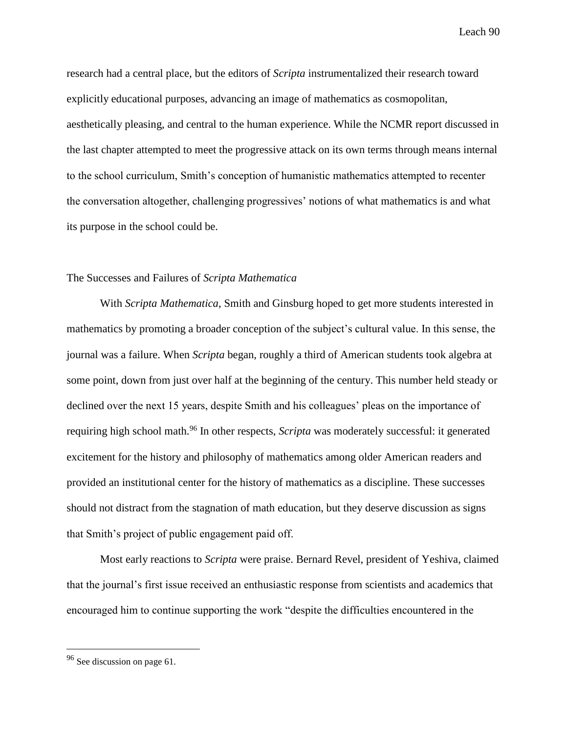research had a central place, but the editors of *Scripta* instrumentalized their research toward explicitly educational purposes, advancing an image of mathematics as cosmopolitan, aesthetically pleasing, and central to the human experience. While the NCMR report discussed in the last chapter attempted to meet the progressive attack on its own terms through means internal to the school curriculum, Smith's conception of humanistic mathematics attempted to recenter the conversation altogether, challenging progressives' notions of what mathematics is and what its purpose in the school could be.

### The Successes and Failures of *Scripta Mathematica*

With *Scripta Mathematica*, Smith and Ginsburg hoped to get more students interested in mathematics by promoting a broader conception of the subject's cultural value. In this sense, the journal was a failure. When *Scripta* began, roughly a third of American students took algebra at some point, down from just over half at the beginning of the century. This number held steady or declined over the next 15 years, despite Smith and his colleagues' pleas on the importance of requiring high school math.<sup>96</sup> In other respects, *Scripta* was moderately successful: it generated excitement for the history and philosophy of mathematics among older American readers and provided an institutional center for the history of mathematics as a discipline. These successes should not distract from the stagnation of math education, but they deserve discussion as signs that Smith's project of public engagement paid off.

Most early reactions to *Scripta* were praise. Bernard Revel, president of Yeshiva, claimed that the journal's first issue received an enthusiastic response from scientists and academics that encouraged him to continue supporting the work "despite the difficulties encountered in the

<sup>96</sup> See discussion on page 61.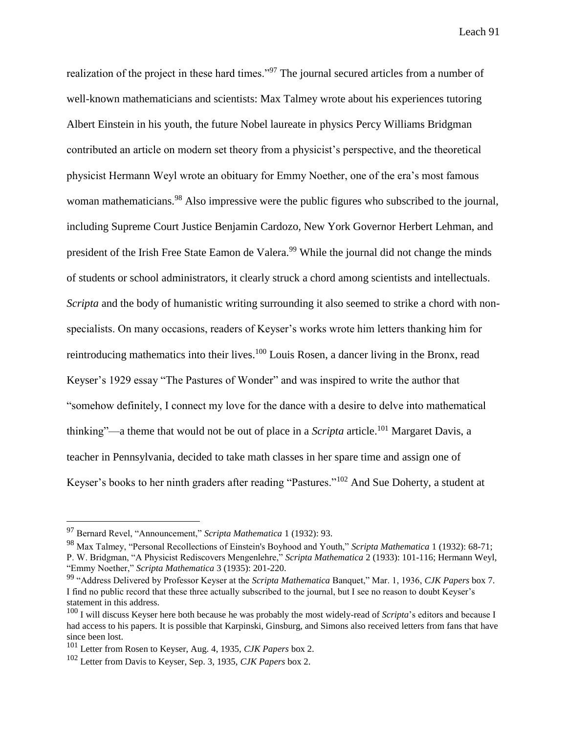realization of the project in these hard times."<sup>97</sup> The journal secured articles from a number of well-known mathematicians and scientists: Max Talmey wrote about his experiences tutoring Albert Einstein in his youth, the future Nobel laureate in physics Percy Williams Bridgman contributed an article on modern set theory from a physicist's perspective, and the theoretical physicist Hermann Weyl wrote an obituary for Emmy Noether, one of the era's most famous woman mathematicians.<sup>98</sup> Also impressive were the public figures who subscribed to the journal, including Supreme Court Justice Benjamin Cardozo, New York Governor Herbert Lehman, and president of the Irish Free State Eamon de Valera.<sup>99</sup> While the journal did not change the minds of students or school administrators, it clearly struck a chord among scientists and intellectuals. *Scripta* and the body of humanistic writing surrounding it also seemed to strike a chord with nonspecialists. On many occasions, readers of Keyser's works wrote him letters thanking him for reintroducing mathematics into their lives.<sup>100</sup> Louis Rosen, a dancer living in the Bronx, read Keyser's 1929 essay "The Pastures of Wonder" and was inspired to write the author that "somehow definitely, I connect my love for the dance with a desire to delve into mathematical thinking"—a theme that would not be out of place in a *Scripta* article.<sup>101</sup> Margaret Davis, a teacher in Pennsylvania, decided to take math classes in her spare time and assign one of Keyser's books to her ninth graders after reading "Pastures."<sup>102</sup> And Sue Doherty, a student at

<sup>97</sup> Bernard Revel, "Announcement," *Scripta Mathematica* 1 (1932): 93.

<sup>98</sup> Max Talmey, "Personal Recollections of Einstein's Boyhood and Youth," *Scripta Mathematica* 1 (1932): 68-71; P. W. Bridgman, "A Physicist Rediscovers Mengenlehre," *Scripta Mathematica* 2 (1933): 101-116; Hermann Weyl, "Emmy Noether," *Scripta Mathematica* 3 (1935): 201-220.

<sup>99</sup> "Address Delivered by Professor Keyser at the *Scripta Mathematica* Banquet," Mar. 1, 1936, *CJK Papers* box 7. I find no public record that these three actually subscribed to the journal, but I see no reason to doubt Keyser's statement in this address.

<sup>100</sup> I will discuss Keyser here both because he was probably the most widely-read of *Scripta*'s editors and because I had access to his papers. It is possible that Karpinski, Ginsburg, and Simons also received letters from fans that have since been lost.

<sup>101</sup> Letter from Rosen to Keyser, Aug. 4, 1935, *CJK Papers* box 2.

<sup>102</sup> Letter from Davis to Keyser, Sep. 3, 1935, *CJK Papers* box 2.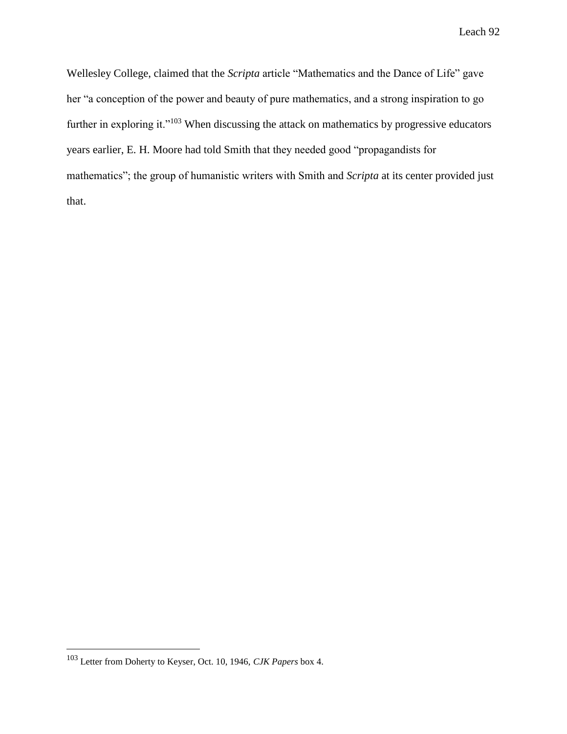Wellesley College, claimed that the *Scripta* article "Mathematics and the Dance of Life" gave her "a conception of the power and beauty of pure mathematics, and a strong inspiration to go further in exploring it."<sup>103</sup> When discussing the attack on mathematics by progressive educators years earlier, E. H. Moore had told Smith that they needed good "propagandists for mathematics"; the group of humanistic writers with Smith and *Scripta* at its center provided just that.

<sup>103</sup> Letter from Doherty to Keyser, Oct. 10, 1946, *CJK Papers* box 4.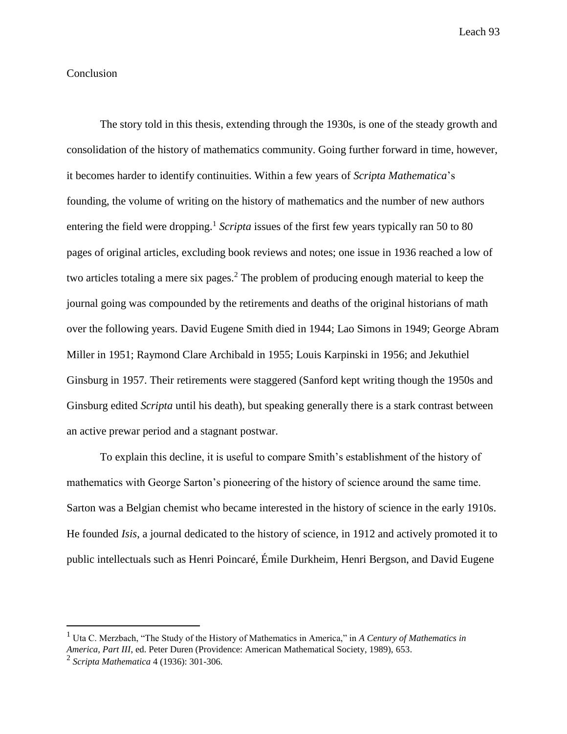# Conclusion

The story told in this thesis, extending through the 1930s, is one of the steady growth and consolidation of the history of mathematics community. Going further forward in time, however, it becomes harder to identify continuities. Within a few years of *Scripta Mathematica*'s founding, the volume of writing on the history of mathematics and the number of new authors entering the field were dropping.<sup>1</sup> Scripta issues of the first few years typically ran 50 to 80 pages of original articles, excluding book reviews and notes; one issue in 1936 reached a low of two articles totaling a mere six pages.<sup>2</sup> The problem of producing enough material to keep the journal going was compounded by the retirements and deaths of the original historians of math over the following years. David Eugene Smith died in 1944; Lao Simons in 1949; George Abram Miller in 1951; Raymond Clare Archibald in 1955; Louis Karpinski in 1956; and Jekuthiel Ginsburg in 1957. Their retirements were staggered (Sanford kept writing though the 1950s and Ginsburg edited *Scripta* until his death), but speaking generally there is a stark contrast between an active prewar period and a stagnant postwar.

To explain this decline, it is useful to compare Smith's establishment of the history of mathematics with George Sarton's pioneering of the history of science around the same time. Sarton was a Belgian chemist who became interested in the history of science in the early 1910s. He founded *Isis*, a journal dedicated to the history of science, in 1912 and actively promoted it to public intellectuals such as Henri Poincaré, Émile Durkheim, Henri Bergson, and David Eugene

<sup>1</sup> Uta C. Merzbach, "The Study of the History of Mathematics in America," in *A Century of Mathematics in America, Part III*, ed. Peter Duren (Providence: American Mathematical Society, 1989), 653.

<sup>2</sup> *Scripta Mathematica* 4 (1936): 301-306.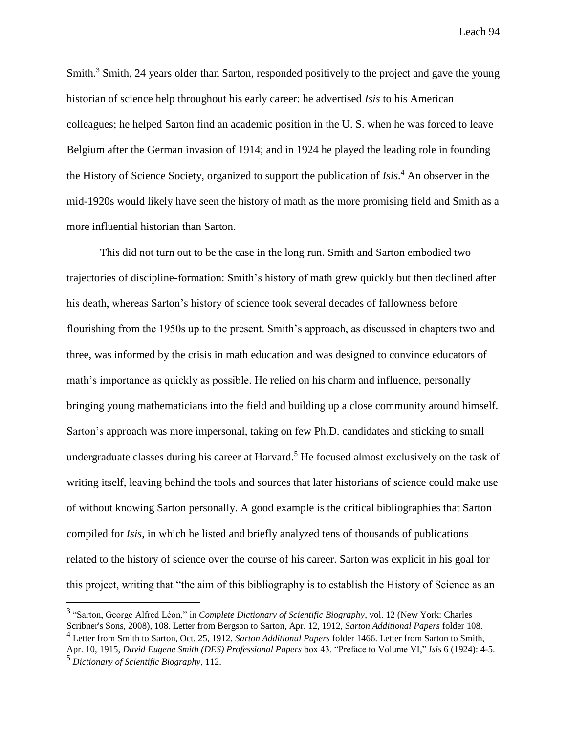Smith.<sup>3</sup> Smith, 24 years older than Sarton, responded positively to the project and gave the young historian of science help throughout his early career: he advertised *Isis* to his American colleagues; he helped Sarton find an academic position in the U. S. when he was forced to leave Belgium after the German invasion of 1914; and in 1924 he played the leading role in founding the History of Science Society, organized to support the publication of *Isis*. <sup>4</sup> An observer in the mid-1920s would likely have seen the history of math as the more promising field and Smith as a more influential historian than Sarton.

This did not turn out to be the case in the long run. Smith and Sarton embodied two trajectories of discipline-formation: Smith's history of math grew quickly but then declined after his death, whereas Sarton's history of science took several decades of fallowness before flourishing from the 1950s up to the present. Smith's approach, as discussed in chapters two and three, was informed by the crisis in math education and was designed to convince educators of math's importance as quickly as possible. He relied on his charm and influence, personally bringing young mathematicians into the field and building up a close community around himself. Sarton's approach was more impersonal, taking on few Ph.D. candidates and sticking to small undergraduate classes during his career at Harvard.<sup>5</sup> He focused almost exclusively on the task of writing itself, leaving behind the tools and sources that later historians of science could make use of without knowing Sarton personally. A good example is the critical bibliographies that Sarton compiled for *Isis*, in which he listed and briefly analyzed tens of thousands of publications related to the history of science over the course of his career. Sarton was explicit in his goal for this project, writing that "the aim of this bibliography is to establish the History of Science as an

<sup>3</sup> "Sarton, George Alfred Léon," in *Complete Dictionary of Scientific Biography*, vol. 12 (New York: Charles Scribner's Sons, 2008), 108. Letter from Bergson to Sarton, Apr. 12, 1912, *Sarton Additional Papers* folder 108. <sup>4</sup> Letter from Smith to Sarton, Oct. 25, 1912, *Sarton Additional Papers* folder 1466. Letter from Sarton to Smith, Apr. 10, 1915, *David Eugene Smith (DES) Professional Papers* box 43. "Preface to Volume VI," *Isis* 6 (1924): 4-5. <sup>5</sup> *Dictionary of Scientific Biography*, 112.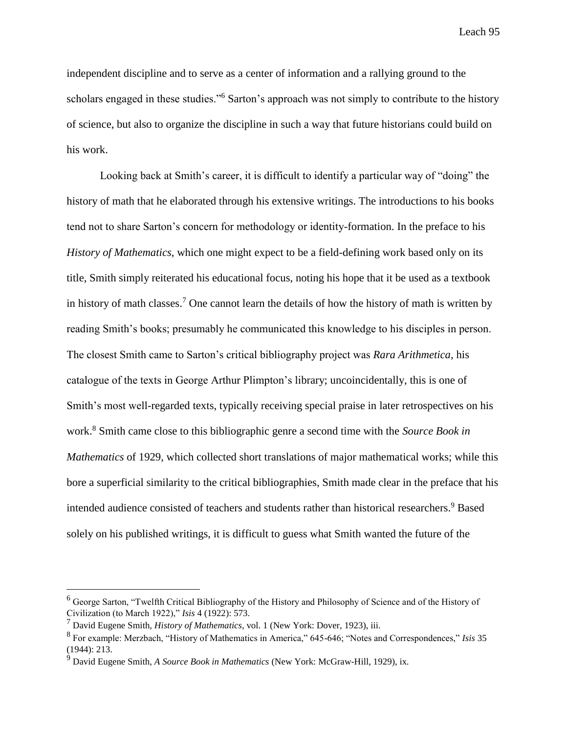independent discipline and to serve as a center of information and a rallying ground to the scholars engaged in these studies."<sup>6</sup> Sarton's approach was not simply to contribute to the history of science, but also to organize the discipline in such a way that future historians could build on his work.

Looking back at Smith's career, it is difficult to identify a particular way of "doing" the history of math that he elaborated through his extensive writings. The introductions to his books tend not to share Sarton's concern for methodology or identity-formation. In the preface to his *History of Mathematics*, which one might expect to be a field-defining work based only on its title, Smith simply reiterated his educational focus, noting his hope that it be used as a textbook in history of math classes.<sup>7</sup> One cannot learn the details of how the history of math is written by reading Smith's books; presumably he communicated this knowledge to his disciples in person. The closest Smith came to Sarton's critical bibliography project was *Rara Arithmetica*, his catalogue of the texts in George Arthur Plimpton's library; uncoincidentally, this is one of Smith's most well-regarded texts, typically receiving special praise in later retrospectives on his work.<sup>8</sup> Smith came close to this bibliographic genre a second time with the *Source Book in Mathematics* of 1929, which collected short translations of major mathematical works; while this bore a superficial similarity to the critical bibliographies, Smith made clear in the preface that his intended audience consisted of teachers and students rather than historical researchers.<sup>9</sup> Based solely on his published writings, it is difficult to guess what Smith wanted the future of the

<sup>&</sup>lt;sup>6</sup> George Sarton, "Twelfth Critical Bibliography of the History and Philosophy of Science and of the History of Civilization (to March 1922)," *Isis* 4 (1922): 573.

<sup>7</sup> David Eugene Smith, *History of Mathematics*, vol. 1 (New York: Dover, 1923), iii.

<sup>8</sup> For example: Merzbach, "History of Mathematics in America," 645-646; "Notes and Correspondences," *Isis* 35 (1944): 213.

<sup>9</sup> David Eugene Smith, *A Source Book in Mathematics* (New York: McGraw-Hill, 1929), ix.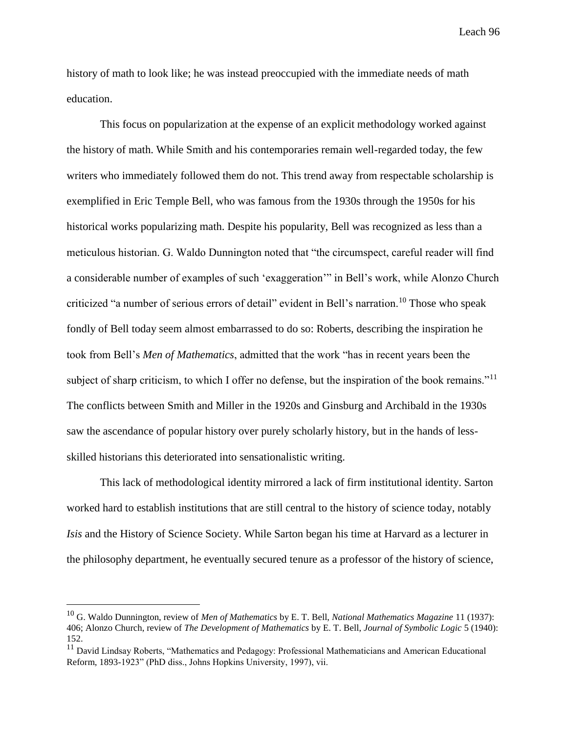history of math to look like; he was instead preoccupied with the immediate needs of math education.

This focus on popularization at the expense of an explicit methodology worked against the history of math. While Smith and his contemporaries remain well-regarded today, the few writers who immediately followed them do not. This trend away from respectable scholarship is exemplified in Eric Temple Bell, who was famous from the 1930s through the 1950s for his historical works popularizing math. Despite his popularity, Bell was recognized as less than a meticulous historian. G. Waldo Dunnington noted that "the circumspect, careful reader will find a considerable number of examples of such 'exaggeration'" in Bell's work, while Alonzo Church criticized "a number of serious errors of detail" evident in Bell's narration.<sup>10</sup> Those who speak fondly of Bell today seem almost embarrassed to do so: Roberts, describing the inspiration he took from Bell's *Men of Mathematics*, admitted that the work "has in recent years been the subject of sharp criticism, to which I offer no defense, but the inspiration of the book remains."<sup>11</sup> The conflicts between Smith and Miller in the 1920s and Ginsburg and Archibald in the 1930s saw the ascendance of popular history over purely scholarly history, but in the hands of lessskilled historians this deteriorated into sensationalistic writing.

This lack of methodological identity mirrored a lack of firm institutional identity. Sarton worked hard to establish institutions that are still central to the history of science today, notably *Isis* and the History of Science Society. While Sarton began his time at Harvard as a lecturer in the philosophy department, he eventually secured tenure as a professor of the history of science,

<sup>10</sup> G. Waldo Dunnington, review of *Men of Mathematics* by E. T. Bell, *National Mathematics Magazine* 11 (1937): 406; Alonzo Church, review of *The Development of Mathematics* by E. T. Bell, *Journal of Symbolic Logic* 5 (1940): 152.

<sup>&</sup>lt;sup>11</sup> David Lindsay Roberts, "Mathematics and Pedagogy: Professional Mathematicians and American Educational Reform, 1893-1923" (PhD diss., Johns Hopkins University, 1997), vii.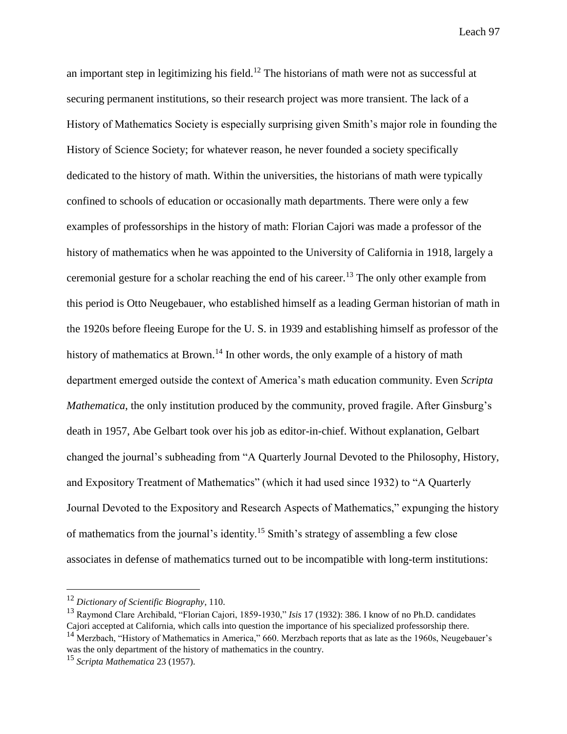an important step in legitimizing his field.<sup>12</sup> The historians of math were not as successful at securing permanent institutions, so their research project was more transient. The lack of a History of Mathematics Society is especially surprising given Smith's major role in founding the History of Science Society; for whatever reason, he never founded a society specifically dedicated to the history of math. Within the universities, the historians of math were typically confined to schools of education or occasionally math departments. There were only a few examples of professorships in the history of math: Florian Cajori was made a professor of the history of mathematics when he was appointed to the University of California in 1918, largely a ceremonial gesture for a scholar reaching the end of his career.<sup>13</sup> The only other example from this period is Otto Neugebauer, who established himself as a leading German historian of math in the 1920s before fleeing Europe for the U. S. in 1939 and establishing himself as professor of the history of mathematics at Brown.<sup>14</sup> In other words, the only example of a history of math department emerged outside the context of America's math education community. Even *Scripta Mathematica*, the only institution produced by the community, proved fragile. After Ginsburg's death in 1957, Abe Gelbart took over his job as editor-in-chief. Without explanation, Gelbart changed the journal's subheading from "A Quarterly Journal Devoted to the Philosophy, History, and Expository Treatment of Mathematics" (which it had used since 1932) to "A Quarterly Journal Devoted to the Expository and Research Aspects of Mathematics," expunging the history of mathematics from the journal's identity.<sup>15</sup> Smith's strategy of assembling a few close associates in defense of mathematics turned out to be incompatible with long-term institutions:

<sup>12</sup> *Dictionary of Scientific Biography*, 110.

<sup>13</sup> Raymond Clare Archibald, "Florian Cajori, 1859-1930," *Isis* 17 (1932): 386. I know of no Ph.D. candidates Cajori accepted at California, which calls into question the importance of his specialized professorship there. <sup>14</sup> Merzbach, "History of Mathematics in America," 660. Merzbach reports that as late as the 1960s, Neugebauer's

was the only department of the history of mathematics in the country.

<sup>15</sup> *Scripta Mathematica* 23 (1957).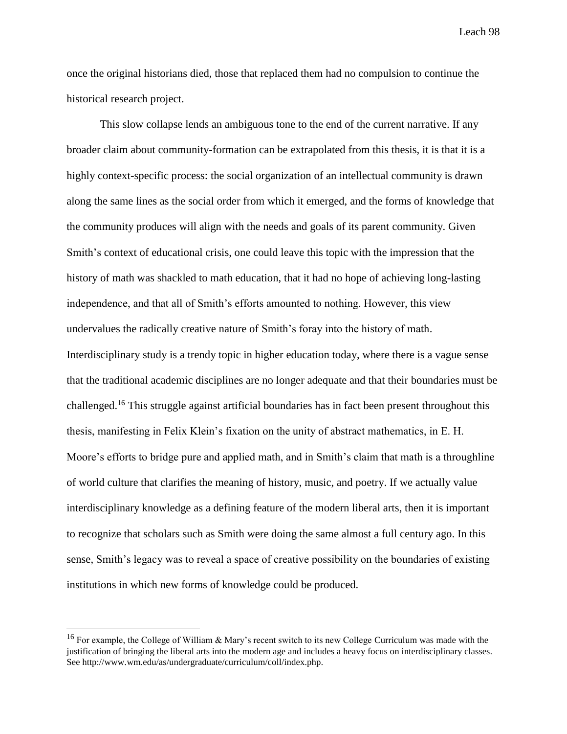once the original historians died, those that replaced them had no compulsion to continue the historical research project.

This slow collapse lends an ambiguous tone to the end of the current narrative. If any broader claim about community-formation can be extrapolated from this thesis, it is that it is a highly context-specific process: the social organization of an intellectual community is drawn along the same lines as the social order from which it emerged, and the forms of knowledge that the community produces will align with the needs and goals of its parent community. Given Smith's context of educational crisis, one could leave this topic with the impression that the history of math was shackled to math education, that it had no hope of achieving long-lasting independence, and that all of Smith's efforts amounted to nothing. However, this view undervalues the radically creative nature of Smith's foray into the history of math. Interdisciplinary study is a trendy topic in higher education today, where there is a vague sense that the traditional academic disciplines are no longer adequate and that their boundaries must be challenged.<sup>16</sup> This struggle against artificial boundaries has in fact been present throughout this thesis, manifesting in Felix Klein's fixation on the unity of abstract mathematics, in E. H. Moore's efforts to bridge pure and applied math, and in Smith's claim that math is a throughline of world culture that clarifies the meaning of history, music, and poetry. If we actually value interdisciplinary knowledge as a defining feature of the modern liberal arts, then it is important to recognize that scholars such as Smith were doing the same almost a full century ago. In this sense, Smith's legacy was to reveal a space of creative possibility on the boundaries of existing institutions in which new forms of knowledge could be produced.

<sup>&</sup>lt;sup>16</sup> For example, the College of William & Mary's recent switch to its new College Curriculum was made with the justification of bringing the liberal arts into the modern age and includes a heavy focus on interdisciplinary classes. See http://www.wm.edu/as/undergraduate/curriculum/coll/index.php.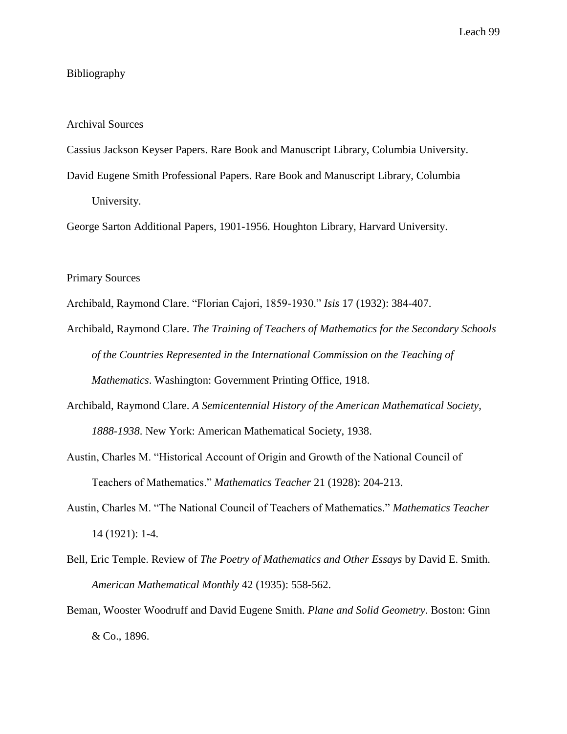### Bibliography

#### Archival Sources

Cassius Jackson Keyser Papers. Rare Book and Manuscript Library, Columbia University.

David Eugene Smith Professional Papers. Rare Book and Manuscript Library, Columbia University.

George Sarton Additional Papers, 1901-1956. Houghton Library, Harvard University.

### Primary Sources

Archibald, Raymond Clare. "Florian Cajori, 1859-1930." *Isis* 17 (1932): 384-407.

- Archibald, Raymond Clare. *The Training of Teachers of Mathematics for the Secondary Schools of the Countries Represented in the International Commission on the Teaching of Mathematics*. Washington: Government Printing Office, 1918.
- Archibald, Raymond Clare. *A Semicentennial History of the American Mathematical Society, 1888-1938*. New York: American Mathematical Society, 1938.
- Austin, Charles M. "Historical Account of Origin and Growth of the National Council of Teachers of Mathematics." *Mathematics Teacher* 21 (1928): 204-213.
- Austin, Charles M. "The National Council of Teachers of Mathematics." *Mathematics Teacher* 14 (1921): 1-4.
- Bell, Eric Temple. Review of *The Poetry of Mathematics and Other Essays* by David E. Smith. *American Mathematical Monthly* 42 (1935): 558-562.
- Beman, Wooster Woodruff and David Eugene Smith. *Plane and Solid Geometry*. Boston: Ginn & Co., 1896.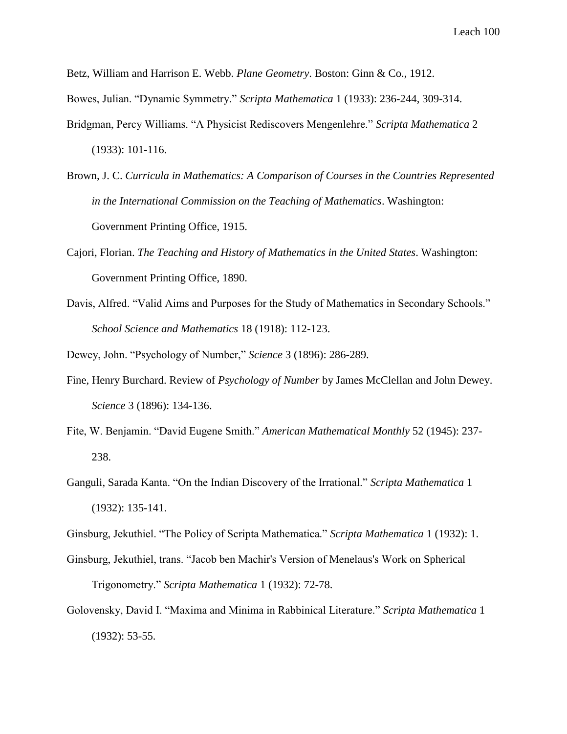Betz, William and Harrison E. Webb. *Plane Geometry*. Boston: Ginn & Co., 1912.

Bowes, Julian. "Dynamic Symmetry." *Scripta Mathematica* 1 (1933): 236-244, 309-314.

- Bridgman, Percy Williams. "A Physicist Rediscovers Mengenlehre." *Scripta Mathematica* 2 (1933): 101-116.
- Brown, J. C. *Curricula in Mathematics: A Comparison of Courses in the Countries Represented in the International Commission on the Teaching of Mathematics*. Washington: Government Printing Office, 1915.
- Cajori, Florian. *The Teaching and History of Mathematics in the United States*. Washington: Government Printing Office, 1890.
- Davis, Alfred. "Valid Aims and Purposes for the Study of Mathematics in Secondary Schools." *School Science and Mathematics* 18 (1918): 112-123.

Dewey, John. "Psychology of Number," *Science* 3 (1896): 286-289.

- Fine, Henry Burchard. Review of *Psychology of Number* by James McClellan and John Dewey. *Science* 3 (1896): 134-136.
- Fite, W. Benjamin. "David Eugene Smith." *American Mathematical Monthly* 52 (1945): 237- 238.
- Ganguli, Sarada Kanta. "On the Indian Discovery of the Irrational." *Scripta Mathematica* 1 (1932): 135-141.

Ginsburg, Jekuthiel. "The Policy of Scripta Mathematica." *Scripta Mathematica* 1 (1932): 1.

- Ginsburg, Jekuthiel, trans. "Jacob ben Machir's Version of Menelaus's Work on Spherical Trigonometry." *Scripta Mathematica* 1 (1932): 72-78.
- Golovensky, David I. "Maxima and Minima in Rabbinical Literature." *Scripta Mathematica* 1 (1932): 53-55.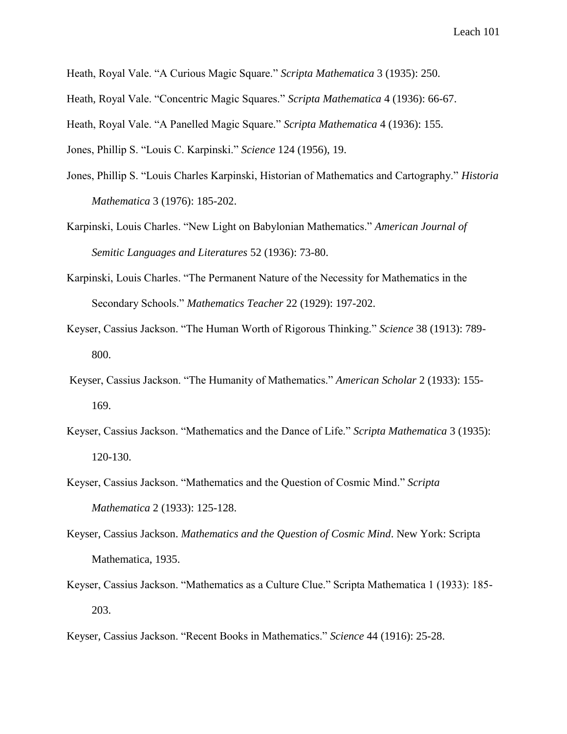Heath, Royal Vale. "A Curious Magic Square." *Scripta Mathematica* 3 (1935): 250.

Heath, Royal Vale. "Concentric Magic Squares." *Scripta Mathematica* 4 (1936): 66-67.

Heath, Royal Vale. "A Panelled Magic Square." *Scripta Mathematica* 4 (1936): 155.

Jones, Phillip S. "Louis C. Karpinski." *Science* 124 (1956), 19.

- Jones, Phillip S. "Louis Charles Karpinski, Historian of Mathematics and Cartography." *Historia Mathematica* 3 (1976): 185-202.
- Karpinski, Louis Charles. "New Light on Babylonian Mathematics." *American Journal of Semitic Languages and Literatures* 52 (1936): 73-80.
- Karpinski, Louis Charles. "The Permanent Nature of the Necessity for Mathematics in the Secondary Schools." *Mathematics Teacher* 22 (1929): 197-202.
- Keyser, Cassius Jackson. "The Human Worth of Rigorous Thinking." *Science* 38 (1913): 789- 800.
- Keyser, Cassius Jackson. "The Humanity of Mathematics." *American Scholar* 2 (1933): 155- 169.
- Keyser, Cassius Jackson. "Mathematics and the Dance of Life." *Scripta Mathematica* 3 (1935): 120-130.
- Keyser, Cassius Jackson. "Mathematics and the Question of Cosmic Mind." *Scripta Mathematica* 2 (1933): 125-128.
- Keyser, Cassius Jackson. *Mathematics and the Question of Cosmic Mind*. New York: Scripta Mathematica, 1935.
- Keyser, Cassius Jackson. "Mathematics as a Culture Clue." Scripta Mathematica 1 (1933): 185- 203.

Keyser, Cassius Jackson. "Recent Books in Mathematics." *Science* 44 (1916): 25-28.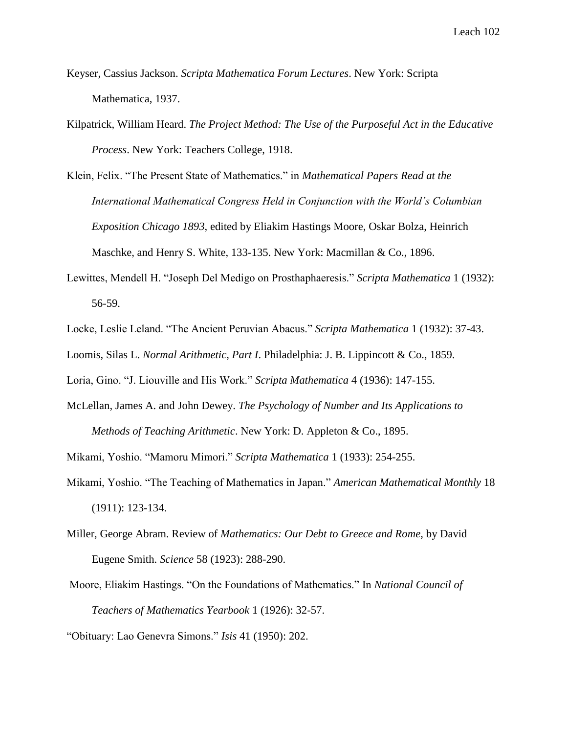- Keyser, Cassius Jackson. *Scripta Mathematica Forum Lectures*. New York: Scripta Mathematica, 1937.
- Kilpatrick, William Heard. *The Project Method: The Use of the Purposeful Act in the Educative Process*. New York: Teachers College, 1918.
- Klein, Felix. "The Present State of Mathematics." in *Mathematical Papers Read at the International Mathematical Congress Held in Conjunction with the World's Columbian Exposition Chicago 1893*, edited by Eliakim Hastings Moore, Oskar Bolza, Heinrich Maschke, and Henry S. White, 133-135. New York: Macmillan & Co., 1896.
- Lewittes, Mendell H. "Joseph Del Medigo on Prosthaphaeresis." *Scripta Mathematica* 1 (1932): 56-59.
- Locke, Leslie Leland. "The Ancient Peruvian Abacus." *Scripta Mathematica* 1 (1932): 37-43.

Loomis, Silas L. *Normal Arithmetic, Part I*. Philadelphia: J. B. Lippincott & Co., 1859.

Loria, Gino. "J. Liouville and His Work." *Scripta Mathematica* 4 (1936): 147-155.

McLellan, James A. and John Dewey. *The Psychology of Number and Its Applications to Methods of Teaching Arithmetic*. New York: D. Appleton & Co., 1895.

Mikami, Yoshio. "Mamoru Mimori." *Scripta Mathematica* 1 (1933): 254-255.

- Mikami, Yoshio. "The Teaching of Mathematics in Japan." *American Mathematical Monthly* 18 (1911): 123-134.
- Miller, George Abram. Review of *Mathematics: Our Debt to Greece and Rome*, by David Eugene Smith. *Science* 58 (1923): 288-290.
- Moore, Eliakim Hastings. "On the Foundations of Mathematics." In *National Council of Teachers of Mathematics Yearbook* 1 (1926): 32-57.

"Obituary: Lao Genevra Simons." *Isis* 41 (1950): 202.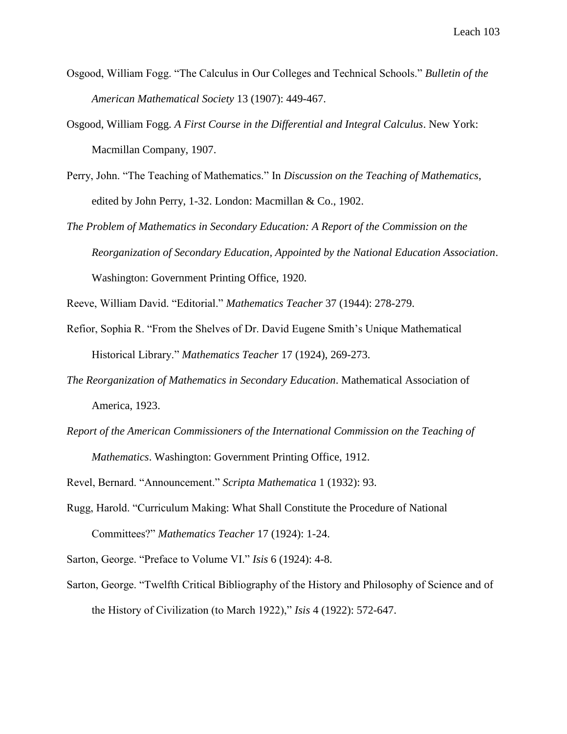- Osgood, William Fogg. "The Calculus in Our Colleges and Technical Schools." *Bulletin of the American Mathematical Society* 13 (1907): 449-467.
- Osgood, William Fogg. *A First Course in the Differential and Integral Calculus*. New York: Macmillan Company, 1907.
- Perry, John. "The Teaching of Mathematics." In *Discussion on the Teaching of Mathematics*, edited by John Perry, 1-32. London: Macmillan & Co., 1902.
- *The Problem of Mathematics in Secondary Education: A Report of the Commission on the Reorganization of Secondary Education, Appointed by the National Education Association*. Washington: Government Printing Office, 1920.

Reeve, William David. "Editorial." *Mathematics Teacher* 37 (1944): 278-279.

- Refior, Sophia R. "From the Shelves of Dr. David Eugene Smith's Unique Mathematical Historical Library." *Mathematics Teacher* 17 (1924), 269-273.
- *The Reorganization of Mathematics in Secondary Education*. Mathematical Association of America, 1923.
- *Report of the American Commissioners of the International Commission on the Teaching of Mathematics*. Washington: Government Printing Office, 1912.

Revel, Bernard. "Announcement." *Scripta Mathematica* 1 (1932): 93.

Rugg, Harold. "Curriculum Making: What Shall Constitute the Procedure of National Committees?" *Mathematics Teacher* 17 (1924): 1-24.

Sarton, George. "Preface to Volume VI." *Isis* 6 (1924): 4-8.

Sarton, George. "Twelfth Critical Bibliography of the History and Philosophy of Science and of the History of Civilization (to March 1922)," *Isis* 4 (1922): 572-647.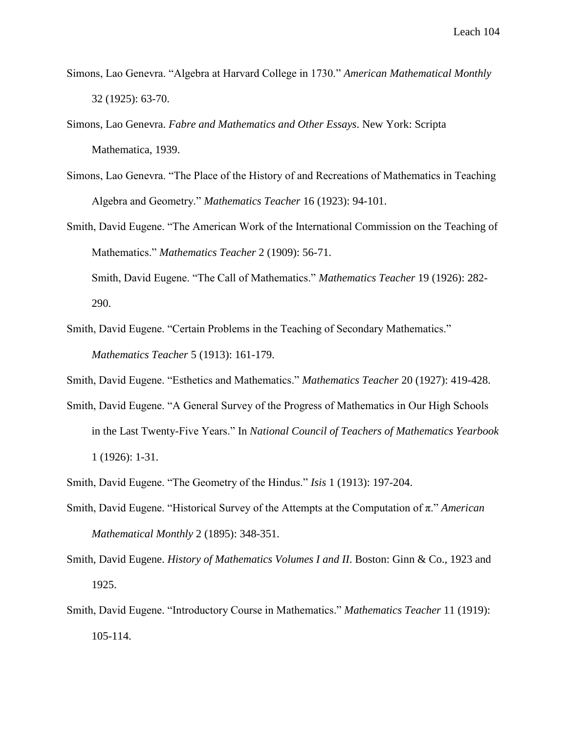- Simons, Lao Genevra. "Algebra at Harvard College in 1730." *American Mathematical Monthly* 32 (1925): 63-70.
- Simons, Lao Genevra. *Fabre and Mathematics and Other Essays*. New York: Scripta Mathematica, 1939.
- Simons, Lao Genevra. "The Place of the History of and Recreations of Mathematics in Teaching Algebra and Geometry." *Mathematics Teacher* 16 (1923): 94-101.
- Smith, David Eugene. "The American Work of the International Commission on the Teaching of Mathematics." *Mathematics Teacher* 2 (1909): 56-71.

Smith, David Eugene. "The Call of Mathematics." *Mathematics Teacher* 19 (1926): 282- 290.

Smith, David Eugene. "Certain Problems in the Teaching of Secondary Mathematics." *Mathematics Teacher* 5 (1913): 161-179.

Smith, David Eugene. "Esthetics and Mathematics." *Mathematics Teacher* 20 (1927): 419-428.

- Smith, David Eugene. "A General Survey of the Progress of Mathematics in Our High Schools in the Last Twenty-Five Years." In *National Council of Teachers of Mathematics Yearbook* 1 (1926): 1-31.
- Smith, David Eugene. "The Geometry of the Hindus." *Isis* 1 (1913): 197-204.
- Smith, David Eugene. "Historical Survey of the Attempts at the Computation of π." *American Mathematical Monthly* 2 (1895): 348-351.
- Smith, David Eugene. *History of Mathematics Volumes I and II*. Boston: Ginn & Co., 1923 and 1925.
- Smith, David Eugene. "Introductory Course in Mathematics." *Mathematics Teacher* 11 (1919): 105-114.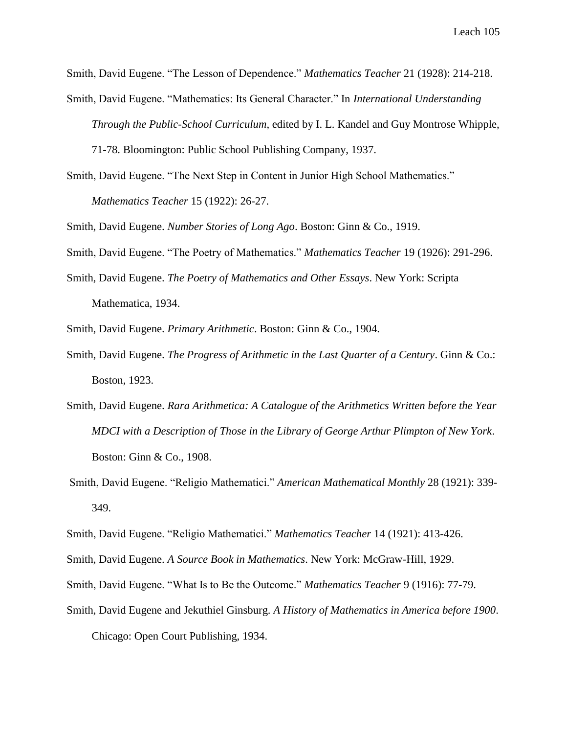Smith, David Eugene. "The Lesson of Dependence." *Mathematics Teacher* 21 (1928): 214-218.

Smith, David Eugene. "Mathematics: Its General Character." In *International Understanding Through the Public-School Curriculum*, edited by I. L. Kandel and Guy Montrose Whipple,

71-78. Bloomington: Public School Publishing Company, 1937.

Smith, David Eugene. "The Next Step in Content in Junior High School Mathematics." *Mathematics Teacher* 15 (1922): 26-27.

Smith, David Eugene. *Number Stories of Long Ago*. Boston: Ginn & Co., 1919.

Smith, David Eugene. "The Poetry of Mathematics." *Mathematics Teacher* 19 (1926): 291-296.

- Smith, David Eugene. *The Poetry of Mathematics and Other Essays*. New York: Scripta Mathematica, 1934.
- Smith, David Eugene. *Primary Arithmetic*. Boston: Ginn & Co., 1904.
- Smith, David Eugene. *The Progress of Arithmetic in the Last Quarter of a Century*. Ginn & Co.: Boston, 1923.
- Smith, David Eugene. *Rara Arithmetica: A Catalogue of the Arithmetics Written before the Year MDCI with a Description of Those in the Library of George Arthur Plimpton of New York*. Boston: Ginn & Co., 1908.
- Smith, David Eugene. "Religio Mathematici." *American Mathematical Monthly* 28 (1921): 339- 349.

- Smith, David Eugene. *A Source Book in Mathematics*. New York: McGraw-Hill, 1929.
- Smith, David Eugene. "What Is to Be the Outcome." *Mathematics Teacher* 9 (1916): 77-79.
- Smith, David Eugene and Jekuthiel Ginsburg. *A History of Mathematics in America before 1900*.

Chicago: Open Court Publishing, 1934.

Smith, David Eugene. "Religio Mathematici." *Mathematics Teacher* 14 (1921): 413-426.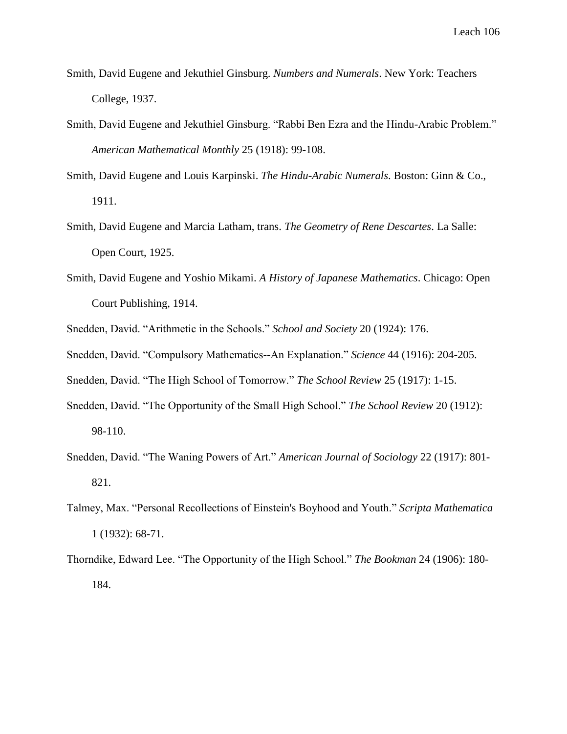- Smith, David Eugene and Jekuthiel Ginsburg. *Numbers and Numerals*. New York: Teachers College, 1937.
- Smith, David Eugene and Jekuthiel Ginsburg. "Rabbi Ben Ezra and the Hindu-Arabic Problem." *American Mathematical Monthly* 25 (1918): 99-108.
- Smith, David Eugene and Louis Karpinski. *The Hindu-Arabic Numerals*. Boston: Ginn & Co., 1911.
- Smith, David Eugene and Marcia Latham, trans. *The Geometry of Rene Descartes*. La Salle: Open Court, 1925.
- Smith, David Eugene and Yoshio Mikami. *A History of Japanese Mathematics*. Chicago: Open Court Publishing, 1914.
- Snedden, David. "Arithmetic in the Schools." *School and Society* 20 (1924): 176.
- Snedden, David. "Compulsory Mathematics--An Explanation." *Science* 44 (1916): 204-205.

Snedden, David. "The High School of Tomorrow." *The School Review* 25 (1917): 1-15.

- Snedden, David. "The Opportunity of the Small High School." *The School Review* 20 (1912): 98-110.
- Snedden, David. "The Waning Powers of Art." *American Journal of Sociology* 22 (1917): 801- 821.
- Talmey, Max. "Personal Recollections of Einstein's Boyhood and Youth." *Scripta Mathematica* 1 (1932): 68-71.
- Thorndike, Edward Lee. "The Opportunity of the High School." *The Bookman* 24 (1906): 180- 184.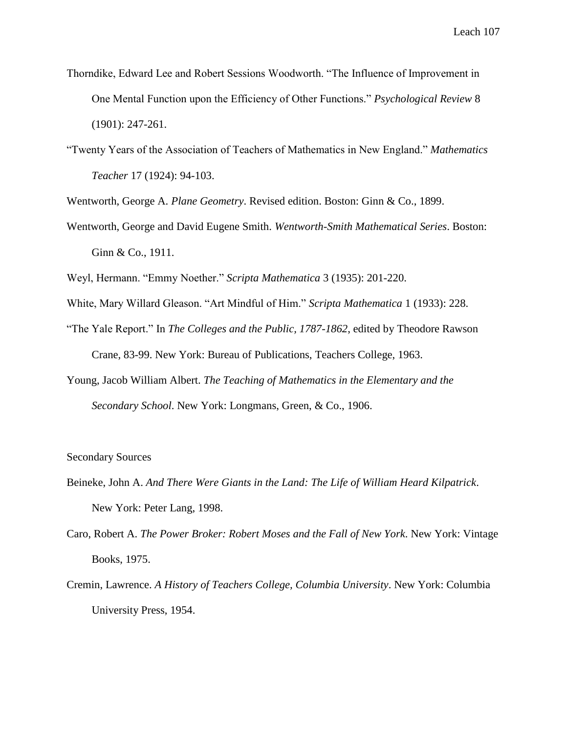- Thorndike, Edward Lee and Robert Sessions Woodworth. "The Influence of Improvement in One Mental Function upon the Efficiency of Other Functions." *Psychological Review* 8 (1901): 247-261.
- "Twenty Years of the Association of Teachers of Mathematics in New England." *Mathematics Teacher* 17 (1924): 94-103.

Wentworth, George A. *Plane Geometry*. Revised edition. Boston: Ginn & Co., 1899.

Wentworth, George and David Eugene Smith. *Wentworth-Smith Mathematical Series*. Boston: Ginn & Co., 1911.

Weyl, Hermann. "Emmy Noether." *Scripta Mathematica* 3 (1935): 201-220.

- White, Mary Willard Gleason. "Art Mindful of Him." *Scripta Mathematica* 1 (1933): 228.
- "The Yale Report." In *The Colleges and the Public, 1787-1862*, edited by Theodore Rawson Crane, 83-99. New York: Bureau of Publications, Teachers College, 1963.
- Young, Jacob William Albert. *The Teaching of Mathematics in the Elementary and the Secondary School*. New York: Longmans, Green, & Co., 1906.

## Secondary Sources

- Beineke, John A. *And There Were Giants in the Land: The Life of William Heard Kilpatrick*. New York: Peter Lang, 1998.
- Caro, Robert A. *The Power Broker: Robert Moses and the Fall of New York*. New York: Vintage Books, 1975.
- Cremin, Lawrence. *A History of Teachers College, Columbia University*. New York: Columbia University Press, 1954.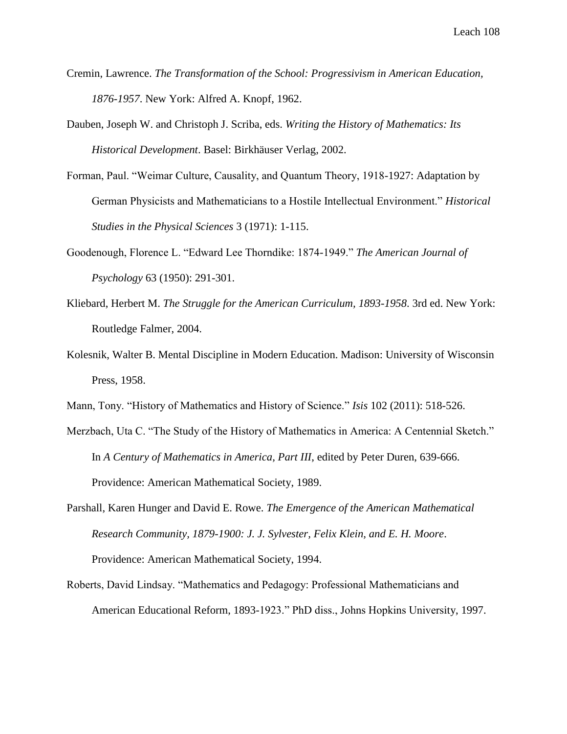- Cremin, Lawrence. *The Transformation of the School: Progressivism in American Education, 1876-1957*. New York: Alfred A. Knopf, 1962.
- Dauben, Joseph W. and Christoph J. Scriba, eds. *Writing the History of Mathematics: Its Historical Development*. Basel: Birkhäuser Verlag, 2002.
- Forman, Paul. "Weimar Culture, Causality, and Quantum Theory, 1918-1927: Adaptation by German Physicists and Mathematicians to a Hostile Intellectual Environment." *Historical Studies in the Physical Sciences* 3 (1971): 1-115.
- Goodenough, Florence L. "Edward Lee Thorndike: 1874-1949." *The American Journal of Psychology* 63 (1950): 291-301.
- Kliebard, Herbert M. *The Struggle for the American Curriculum, 1893-1958*. 3rd ed. New York: Routledge Falmer, 2004.
- Kolesnik, Walter B. Mental Discipline in Modern Education. Madison: University of Wisconsin Press, 1958.
- Mann, Tony. "History of Mathematics and History of Science." *Isis* 102 (2011): 518-526.
- Merzbach, Uta C. "The Study of the History of Mathematics in America: A Centennial Sketch." In *A Century of Mathematics in America, Part III*, edited by Peter Duren, 639-666. Providence: American Mathematical Society, 1989.
- Parshall, Karen Hunger and David E. Rowe. *The Emergence of the American Mathematical Research Community, 1879-1900: J. J. Sylvester, Felix Klein, and E. H. Moore*. Providence: American Mathematical Society, 1994.
- Roberts, David Lindsay. "Mathematics and Pedagogy: Professional Mathematicians and American Educational Reform, 1893-1923." PhD diss., Johns Hopkins University, 1997.